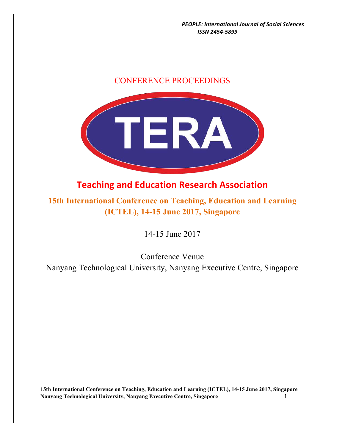### CONFERENCE PROCEEDINGS



## **Teaching and Education Research Association**

**15th International Conference on Teaching, Education and Learning (ICTEL), 14-15 June 2017, Singapore**

14-15 June 2017

Conference Venue Nanyang Technological University, Nanyang Executive Centre, Singapore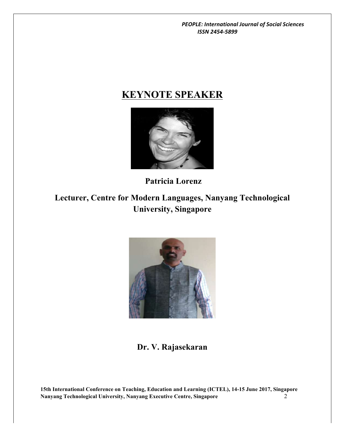# **KEYNOTE SPEAKER**



**Patricia Lorenz**

**Lecturer, Centre for Modern Languages, Nanyang Technological University, Singapore**



**Dr. V. Rajasekaran**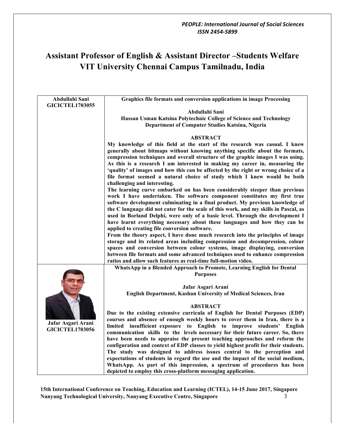## **Assistant Professor of English & Assistant Director –Students Welfare VIT University Chennai Campus Tamilnadu, India**

| Abdullahi Sani                               | Graphics file formats and conversion applications in image Processing                                                                                                                                                                                                                                                                                                                                                                                                                                                                           |
|----------------------------------------------|-------------------------------------------------------------------------------------------------------------------------------------------------------------------------------------------------------------------------------------------------------------------------------------------------------------------------------------------------------------------------------------------------------------------------------------------------------------------------------------------------------------------------------------------------|
| <b>GICICTEL1703055</b>                       | Abdullahi Sani                                                                                                                                                                                                                                                                                                                                                                                                                                                                                                                                  |
|                                              | Hassan Usman Katsina Polytechnic College of Science and Technology                                                                                                                                                                                                                                                                                                                                                                                                                                                                              |
|                                              | Department of Computer Studies Katsina, Nigeria                                                                                                                                                                                                                                                                                                                                                                                                                                                                                                 |
|                                              |                                                                                                                                                                                                                                                                                                                                                                                                                                                                                                                                                 |
|                                              | <b>ABSTRACT</b>                                                                                                                                                                                                                                                                                                                                                                                                                                                                                                                                 |
|                                              | My knowledge of this field at the start of the research was casual. I knew<br>generally about bitmaps without knowing anything specific about the formats,<br>compression techniques and overall structure of the graphic images I was using.<br>As this is a research I am interested in making my career in, measuring the<br>'quality' of images and how this can be affected by the right or wrong choice of a<br>file format seemed a natural choice of study which I knew would be both<br>challenging and interesting.                   |
|                                              | The learning curve embarked on has been considerably steeper than previous<br>work I have undertaken. The software component constitutes my first true<br>software development culminating in a final product. My previous knowledge of<br>the C language did not cater for the scale of this work, and my skills in Pascal, as<br>used in Borland Delphi, were only of a basic level. Through the development I<br>have learnt everything necessary about these languages and how they can be<br>applied to creating file conversion software. |
|                                              | From the theory aspect, I have done much research into the principles of image<br>storage and its related areas including compression and decompression, colour<br>spaces and conversion between colour systems, image displaying, conversion<br>between file formats and some advanced techniques used to enhance compression                                                                                                                                                                                                                  |
|                                              | ratios and allow such features as real-time full-motion video.                                                                                                                                                                                                                                                                                                                                                                                                                                                                                  |
|                                              | WhatsApp in a Blended Approach to Promote, Learning English for Dental                                                                                                                                                                                                                                                                                                                                                                                                                                                                          |
|                                              | <b>Purposes</b>                                                                                                                                                                                                                                                                                                                                                                                                                                                                                                                                 |
|                                              | Jafar Asgari Arani                                                                                                                                                                                                                                                                                                                                                                                                                                                                                                                              |
|                                              | English Department, Kashan University of Medical Sciences, Iran                                                                                                                                                                                                                                                                                                                                                                                                                                                                                 |
| Jafar Asgari Arani<br><b>GICICTEL1703056</b> | <b>ABSTRACT</b>                                                                                                                                                                                                                                                                                                                                                                                                                                                                                                                                 |
|                                              | Due to the existing extensive curricula of English for Dental Purposes (EDP)<br>courses and absence of enough weekly hours to cover them in Iran, there is a<br>limited insufficient exposure to English to improve students' English                                                                                                                                                                                                                                                                                                           |
|                                              | communication skills to the levels necessary for their future career. So, there<br>have been needs to appraise the present teaching approaches and reform the<br>configuration and context of EDP classes to yield highest profit for their students.<br>The study was designed to address issues central to the perception and<br>expectations of students in regard the use and the impact of the social medium,                                                                                                                              |
|                                              | WhatsApp. As part of this impression, a spectrum of procedures has been<br>depicted to employ this cross-platform messaging application.                                                                                                                                                                                                                                                                                                                                                                                                        |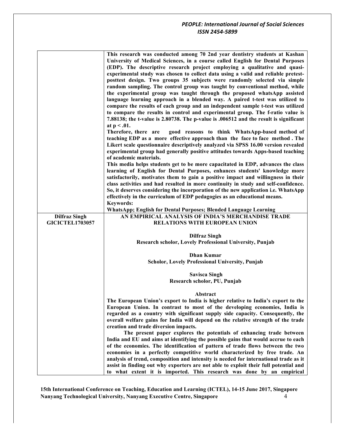|                        | This research was conducted among 70 2nd year dentistry students at Kashan<br>University of Medical Sciences, in a course called English for Dental Purposes<br>(EDP). The descriptive research project employing a qualitative and quasi-<br>experimental study was chosen to collect data using a valid and reliable pretest-<br>posttest design. Two groups 35 subjects were randomly selected via simple<br>random sampling. The control group was taught by conventional method, while<br>the experimental group was taught through the proposed whatsApp assisted<br>language learning approach in a blended way. A paired t-test was utilized to<br>compare the results of each group and an independent sample t-test was utilized<br>to compare the results in control and experimental group. The f-ratio value is<br>7.88138; the t-value is 2.80738. The p-value is .006512 and the result is significant<br>at $p < .01$ .<br>Therefore, there are<br>good reasons to think WhatsApp-based method of<br>teaching EDP as a more effective approach than the face to face method. The<br>Likert scale questionnaire descriptively analyzed via SPSS 16.00 version revealed<br>experimental group had generally positive attitudes towards Apps-based teaching<br>of academic materials.<br>This media helps students get to be more capacitated in EDP, advances the class<br>learning of English for Dental Purposes, enhances students' knowledge more<br>satisfactorily, motivates them to gain a positive impact and willingness in their<br>class activities and had resulted in more continuity in study and self-confidence.<br>So, it deserves considering the incorporation of the new application i.e. WhatsApp<br>effectively in the curriculum of EDP pedagogies as an educational means.<br><b>Keywords:</b> |
|------------------------|--------------------------------------------------------------------------------------------------------------------------------------------------------------------------------------------------------------------------------------------------------------------------------------------------------------------------------------------------------------------------------------------------------------------------------------------------------------------------------------------------------------------------------------------------------------------------------------------------------------------------------------------------------------------------------------------------------------------------------------------------------------------------------------------------------------------------------------------------------------------------------------------------------------------------------------------------------------------------------------------------------------------------------------------------------------------------------------------------------------------------------------------------------------------------------------------------------------------------------------------------------------------------------------------------------------------------------------------------------------------------------------------------------------------------------------------------------------------------------------------------------------------------------------------------------------------------------------------------------------------------------------------------------------------------------------------------------------------------------------------------------------------------------------------------------------------------------------|
|                        | WhatsApp; English for Dental Purposes; Blended Language Learning                                                                                                                                                                                                                                                                                                                                                                                                                                                                                                                                                                                                                                                                                                                                                                                                                                                                                                                                                                                                                                                                                                                                                                                                                                                                                                                                                                                                                                                                                                                                                                                                                                                                                                                                                                     |
| <b>Dilfraz Singh</b>   | AN EMPIRICAL ANALYSIS OF INDIA'S MERCHANDISE TRADE                                                                                                                                                                                                                                                                                                                                                                                                                                                                                                                                                                                                                                                                                                                                                                                                                                                                                                                                                                                                                                                                                                                                                                                                                                                                                                                                                                                                                                                                                                                                                                                                                                                                                                                                                                                   |
| <b>GICICTEL1703057</b> | RELATIONS WITH EUROPEAN UNION                                                                                                                                                                                                                                                                                                                                                                                                                                                                                                                                                                                                                                                                                                                                                                                                                                                                                                                                                                                                                                                                                                                                                                                                                                                                                                                                                                                                                                                                                                                                                                                                                                                                                                                                                                                                        |
|                        |                                                                                                                                                                                                                                                                                                                                                                                                                                                                                                                                                                                                                                                                                                                                                                                                                                                                                                                                                                                                                                                                                                                                                                                                                                                                                                                                                                                                                                                                                                                                                                                                                                                                                                                                                                                                                                      |
|                        | <b>Dilfraz Singh</b>                                                                                                                                                                                                                                                                                                                                                                                                                                                                                                                                                                                                                                                                                                                                                                                                                                                                                                                                                                                                                                                                                                                                                                                                                                                                                                                                                                                                                                                                                                                                                                                                                                                                                                                                                                                                                 |
|                        | Research scholor, Lovely Professional University, Punjab                                                                                                                                                                                                                                                                                                                                                                                                                                                                                                                                                                                                                                                                                                                                                                                                                                                                                                                                                                                                                                                                                                                                                                                                                                                                                                                                                                                                                                                                                                                                                                                                                                                                                                                                                                             |
|                        | <b>Dhan Kumar</b>                                                                                                                                                                                                                                                                                                                                                                                                                                                                                                                                                                                                                                                                                                                                                                                                                                                                                                                                                                                                                                                                                                                                                                                                                                                                                                                                                                                                                                                                                                                                                                                                                                                                                                                                                                                                                    |
|                        | Scholor, Lovely Professional University, Punjab                                                                                                                                                                                                                                                                                                                                                                                                                                                                                                                                                                                                                                                                                                                                                                                                                                                                                                                                                                                                                                                                                                                                                                                                                                                                                                                                                                                                                                                                                                                                                                                                                                                                                                                                                                                      |
|                        |                                                                                                                                                                                                                                                                                                                                                                                                                                                                                                                                                                                                                                                                                                                                                                                                                                                                                                                                                                                                                                                                                                                                                                                                                                                                                                                                                                                                                                                                                                                                                                                                                                                                                                                                                                                                                                      |
|                        | <b>Savisca Singh</b>                                                                                                                                                                                                                                                                                                                                                                                                                                                                                                                                                                                                                                                                                                                                                                                                                                                                                                                                                                                                                                                                                                                                                                                                                                                                                                                                                                                                                                                                                                                                                                                                                                                                                                                                                                                                                 |
|                        | Research scholor, PU, Punjab                                                                                                                                                                                                                                                                                                                                                                                                                                                                                                                                                                                                                                                                                                                                                                                                                                                                                                                                                                                                                                                                                                                                                                                                                                                                                                                                                                                                                                                                                                                                                                                                                                                                                                                                                                                                         |
|                        |                                                                                                                                                                                                                                                                                                                                                                                                                                                                                                                                                                                                                                                                                                                                                                                                                                                                                                                                                                                                                                                                                                                                                                                                                                                                                                                                                                                                                                                                                                                                                                                                                                                                                                                                                                                                                                      |
|                        |                                                                                                                                                                                                                                                                                                                                                                                                                                                                                                                                                                                                                                                                                                                                                                                                                                                                                                                                                                                                                                                                                                                                                                                                                                                                                                                                                                                                                                                                                                                                                                                                                                                                                                                                                                                                                                      |
|                        | Abstract                                                                                                                                                                                                                                                                                                                                                                                                                                                                                                                                                                                                                                                                                                                                                                                                                                                                                                                                                                                                                                                                                                                                                                                                                                                                                                                                                                                                                                                                                                                                                                                                                                                                                                                                                                                                                             |
|                        | The European Union's export to India is higher relative to India's export to the                                                                                                                                                                                                                                                                                                                                                                                                                                                                                                                                                                                                                                                                                                                                                                                                                                                                                                                                                                                                                                                                                                                                                                                                                                                                                                                                                                                                                                                                                                                                                                                                                                                                                                                                                     |
|                        | European Union. In contrast to most of the developing economies, India is                                                                                                                                                                                                                                                                                                                                                                                                                                                                                                                                                                                                                                                                                                                                                                                                                                                                                                                                                                                                                                                                                                                                                                                                                                                                                                                                                                                                                                                                                                                                                                                                                                                                                                                                                            |
|                        | regarded as a country with significant supply side capacity. Consequently, the                                                                                                                                                                                                                                                                                                                                                                                                                                                                                                                                                                                                                                                                                                                                                                                                                                                                                                                                                                                                                                                                                                                                                                                                                                                                                                                                                                                                                                                                                                                                                                                                                                                                                                                                                       |
|                        | overall welfare gains for India will depend on the relative strength of the trade                                                                                                                                                                                                                                                                                                                                                                                                                                                                                                                                                                                                                                                                                                                                                                                                                                                                                                                                                                                                                                                                                                                                                                                                                                                                                                                                                                                                                                                                                                                                                                                                                                                                                                                                                    |
|                        | creation and trade diversion impacts.<br>The present paper explores the potentials of enhancing trade between                                                                                                                                                                                                                                                                                                                                                                                                                                                                                                                                                                                                                                                                                                                                                                                                                                                                                                                                                                                                                                                                                                                                                                                                                                                                                                                                                                                                                                                                                                                                                                                                                                                                                                                        |
|                        | India and EU and aims at identifying the possible gains that would accrue to each                                                                                                                                                                                                                                                                                                                                                                                                                                                                                                                                                                                                                                                                                                                                                                                                                                                                                                                                                                                                                                                                                                                                                                                                                                                                                                                                                                                                                                                                                                                                                                                                                                                                                                                                                    |
|                        | of the economies. The identification of pattern of trade flows between the two                                                                                                                                                                                                                                                                                                                                                                                                                                                                                                                                                                                                                                                                                                                                                                                                                                                                                                                                                                                                                                                                                                                                                                                                                                                                                                                                                                                                                                                                                                                                                                                                                                                                                                                                                       |
|                        | economies in a perfectly competitive world characterized by free trade. An                                                                                                                                                                                                                                                                                                                                                                                                                                                                                                                                                                                                                                                                                                                                                                                                                                                                                                                                                                                                                                                                                                                                                                                                                                                                                                                                                                                                                                                                                                                                                                                                                                                                                                                                                           |
|                        | analysis of trend, composition and intensity is needed for international trade as it                                                                                                                                                                                                                                                                                                                                                                                                                                                                                                                                                                                                                                                                                                                                                                                                                                                                                                                                                                                                                                                                                                                                                                                                                                                                                                                                                                                                                                                                                                                                                                                                                                                                                                                                                 |
|                        | assist in finding out why exporters are not able to exploit their full potential and<br>to what extent it is imported. This research was done by an empirical                                                                                                                                                                                                                                                                                                                                                                                                                                                                                                                                                                                                                                                                                                                                                                                                                                                                                                                                                                                                                                                                                                                                                                                                                                                                                                                                                                                                                                                                                                                                                                                                                                                                        |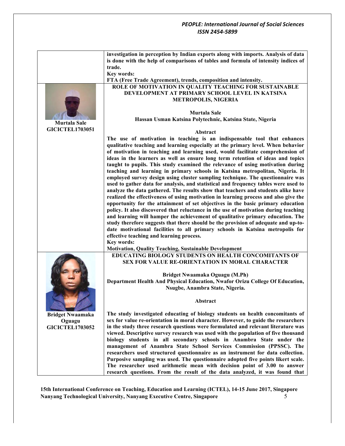|                         | investigation in perception by Indian exports along with imports. Analysis of data<br>is done with the help of comparisons of tables and formula of intensity indices of |
|-------------------------|--------------------------------------------------------------------------------------------------------------------------------------------------------------------------|
|                         | trade.                                                                                                                                                                   |
|                         |                                                                                                                                                                          |
|                         | <b>Key words:</b>                                                                                                                                                        |
|                         | FTA (Free Trade Agreement), trends, composition and intensity.                                                                                                           |
|                         | ROLE OF MOTIVATION IN QUALITY TEACHING FOR SUSTAINABLE                                                                                                                   |
|                         | DEVELOPMENT AT PRIMARY SCHOOL LEVEL IN KATSINA                                                                                                                           |
|                         | <b>METROPOLIS, NIGERIA</b>                                                                                                                                               |
|                         |                                                                                                                                                                          |
|                         | <b>Murtala Sale</b>                                                                                                                                                      |
| <b>Murtala Sale</b>     | Hassan Usman Katsina Polytechnic, Katsina State, Nigeria                                                                                                                 |
| <b>GICICTEL1703051</b>  |                                                                                                                                                                          |
|                         | <b>Abstract</b>                                                                                                                                                          |
|                         | The use of motivation in teaching is an indispensable tool that enhances                                                                                                 |
|                         | qualitative teaching and learning especially at the primary level. When behavior                                                                                         |
|                         | of motivation in teaching and learning used, would facilitate comprehension of                                                                                           |
|                         | ideas in the learners as well as ensure long term retention of ideas and topics                                                                                          |
|                         | taught to pupils. This study examined the relevance of using motivation during                                                                                           |
|                         | teaching and learning in primary schools in Katsina metropolitan, Nigeria. It                                                                                            |
|                         | employed survey design using cluster sampling technique. The questionnaire was                                                                                           |
|                         | used to gather data for analysis, and statistical and frequency tables were used to                                                                                      |
|                         | analyze the data gathered. The results show that teachers and students alike have                                                                                        |
|                         | realized the effectiveness of using motivation in learning process and also give the                                                                                     |
|                         | opportunity for the attainment of set objectives in the basic primary education                                                                                          |
|                         | policy. It also discovered that reluctance in the use of motivation during teaching                                                                                      |
|                         | and learning will hamper the achievement of qualitative primary education. The                                                                                           |
|                         | study therefore suggests that there should be the provision of adequate and up-to-                                                                                       |
|                         | date motivational facilities to all primary schools in Katsina metropolis for                                                                                            |
|                         | effective teaching and learning process.                                                                                                                                 |
|                         | Key words:                                                                                                                                                               |
|                         | <b>Motivation, Quality Teaching, Sustainable Development</b>                                                                                                             |
|                         | EDUCATING BIOLOGY STUDENTS ON HEALTH CONCOMITANTS OF                                                                                                                     |
|                         | SEX FOR VALUE RE-ORIENTATION IN MORAL CHARACTER                                                                                                                          |
|                         |                                                                                                                                                                          |
|                         | Bridget Nwaamaka Oguagu (M.Ph)                                                                                                                                           |
|                         | Department Health And Physical Education, Nwafor Orizu College Of Education,                                                                                             |
|                         | Nsugbe, Anambra State, Nigeria.                                                                                                                                          |
|                         |                                                                                                                                                                          |
|                         | Abstract                                                                                                                                                                 |
|                         |                                                                                                                                                                          |
| <b>Bridget Nwaamaka</b> | The study investigated educating of biology students on health concomitants of                                                                                           |
| Oguagu                  | sex for value re-orientation in moral character. However, to guide the researchers                                                                                       |
| <b>GICICTEL1703052</b>  | in the study three research questions were formulated and relevant literature was                                                                                        |
|                         | viewed. Descriptive survey research was used with the population of five thousand                                                                                        |
|                         | biology students in all secondary schools in Anambra State under the                                                                                                     |
|                         | management of Anambra State School Services Commission (PPSSC). The                                                                                                      |
|                         | researchers used structured questionnaire as an instrument for data collection.                                                                                          |
|                         | Purposive sampling was used. The questionnaire adopted five points likert scale.                                                                                         |
|                         | The researcher used arithmetic mean with decision point of 3.00 to answer                                                                                                |
|                         | research questions. From the result of the data analyzed, it was found that                                                                                              |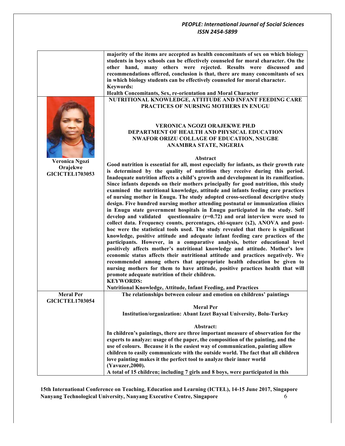|                                                      | majority of the items are accepted as health concomitants of sex on which biology<br>students in boys schools can be effectively counseled for moral character. On the<br>other hand, many others were rejected. Results were discussed and<br>recommendations offered, conclusion is that, there are many concomitants of sex<br>in which biology students can be effectively counseled for moral character.<br><b>Keywords:</b><br>Health Concomitants, Sex, re-orientation and Moral Character                                                                                                                                                                                                                                                                                                                                                                                                                                                                                                                                                                                                                                                                                                |
|------------------------------------------------------|--------------------------------------------------------------------------------------------------------------------------------------------------------------------------------------------------------------------------------------------------------------------------------------------------------------------------------------------------------------------------------------------------------------------------------------------------------------------------------------------------------------------------------------------------------------------------------------------------------------------------------------------------------------------------------------------------------------------------------------------------------------------------------------------------------------------------------------------------------------------------------------------------------------------------------------------------------------------------------------------------------------------------------------------------------------------------------------------------------------------------------------------------------------------------------------------------|
|                                                      | NUTRITIONAL KNOWLEDGE, ATTITUDE AND INFANT FEEDING CARE                                                                                                                                                                                                                                                                                                                                                                                                                                                                                                                                                                                                                                                                                                                                                                                                                                                                                                                                                                                                                                                                                                                                          |
|                                                      | <b>PRACTICES OF NURSING MOTHERS IN ENUGU</b><br><b>VERONICA NGOZI ORAJEKWE PH.D</b><br>DEPARTMENT OF HEALTH AND PHYSICAL EDUCATION<br><b>NWAFOR ORIZU COLLAGE OF EDUCATION, NSUGBE</b><br>ANAMBRA STATE, NIGERIA                                                                                                                                                                                                                                                                                                                                                                                                                                                                                                                                                                                                                                                                                                                                                                                                                                                                                                                                                                                 |
|                                                      | Abstract                                                                                                                                                                                                                                                                                                                                                                                                                                                                                                                                                                                                                                                                                                                                                                                                                                                                                                                                                                                                                                                                                                                                                                                         |
| Veronica Ngozi<br>Orajekwe<br><b>GICICTEL1703053</b> | Good nutrition is essential for all, most especially for infants, as their growth rate<br>is determined by the quality of nutrition they receive during this period.<br>Inadequate nutrition affects a child's growth and development in its ramification.<br>Since infants depends on their mothers principally for good nutrition, this study<br>examined the nutritional knowledge, attitude and infants feeding care practices<br>of nursing mother in Enugu. The study adopted cross-sectional descriptive study<br>design. Five hundred nursing mother attending postnatal or immunization clinics<br>in Enugu state government hospitals in Enugu participated in the study. Self<br>develop and validated questionnaire $(r=0.72)$ and oral interview were used to<br>collect data. Frequency counts, percentages, chi-square (x2), ANOVA and post-<br>hoc were the statistical tools used. The study revealed that there is significant<br>knowledge, positive attitude and adequate infant feeding care practices of the<br>participants. However, in a comparative analysis, better educational level<br>positively affects mother's nutritional knowledge and attitude. Mother's low |
|                                                      | economic status affects their nutritional attitude and practices negatively. We                                                                                                                                                                                                                                                                                                                                                                                                                                                                                                                                                                                                                                                                                                                                                                                                                                                                                                                                                                                                                                                                                                                  |
|                                                      | recommended among others that appropriate health education be given to<br>nursing mothers for them to have attitude, positive practices health that will<br>promote adequate nutrition of their children.                                                                                                                                                                                                                                                                                                                                                                                                                                                                                                                                                                                                                                                                                                                                                                                                                                                                                                                                                                                        |
|                                                      | <b>KEYWORDS:</b><br>Nutritional Knowledge, Attitude, Infant Feeding, and Practices                                                                                                                                                                                                                                                                                                                                                                                                                                                                                                                                                                                                                                                                                                                                                                                                                                                                                                                                                                                                                                                                                                               |
| <b>Meral Per</b>                                     | The relationships between colour and emotion on childrens' paintings                                                                                                                                                                                                                                                                                                                                                                                                                                                                                                                                                                                                                                                                                                                                                                                                                                                                                                                                                                                                                                                                                                                             |
| <b>GICICTEL1703054</b>                               | <b>Meral Per</b>                                                                                                                                                                                                                                                                                                                                                                                                                                                                                                                                                                                                                                                                                                                                                                                                                                                                                                                                                                                                                                                                                                                                                                                 |
|                                                      | Institution/organization: Abant Izzet Baysal University, Bolu-Turkey                                                                                                                                                                                                                                                                                                                                                                                                                                                                                                                                                                                                                                                                                                                                                                                                                                                                                                                                                                                                                                                                                                                             |
|                                                      | Abstract:                                                                                                                                                                                                                                                                                                                                                                                                                                                                                                                                                                                                                                                                                                                                                                                                                                                                                                                                                                                                                                                                                                                                                                                        |
|                                                      | In children's paintings, there are three important measure of observation for the                                                                                                                                                                                                                                                                                                                                                                                                                                                                                                                                                                                                                                                                                                                                                                                                                                                                                                                                                                                                                                                                                                                |
|                                                      | experts to analyze: usage of the paper, the composition of the painting, and the                                                                                                                                                                                                                                                                                                                                                                                                                                                                                                                                                                                                                                                                                                                                                                                                                                                                                                                                                                                                                                                                                                                 |
|                                                      | use of colours. Because it is the easiest way of communication, painting allow                                                                                                                                                                                                                                                                                                                                                                                                                                                                                                                                                                                                                                                                                                                                                                                                                                                                                                                                                                                                                                                                                                                   |
|                                                      | children to easily communicate with the outside world. The fact that all children                                                                                                                                                                                                                                                                                                                                                                                                                                                                                                                                                                                                                                                                                                                                                                                                                                                                                                                                                                                                                                                                                                                |
|                                                      | love painting makes it the perfect tool to analyze their inner world                                                                                                                                                                                                                                                                                                                                                                                                                                                                                                                                                                                                                                                                                                                                                                                                                                                                                                                                                                                                                                                                                                                             |
|                                                      | (Yavuzer, 2000).<br>A total of 15 children; including 7 girls and 8 boys, were participated in this                                                                                                                                                                                                                                                                                                                                                                                                                                                                                                                                                                                                                                                                                                                                                                                                                                                                                                                                                                                                                                                                                              |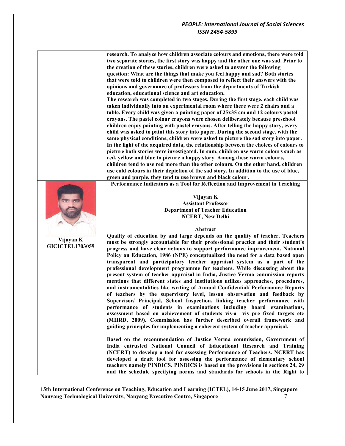**research. To analyze how children associate colours and emotions, there were told two separate stories, the first story was happy and the other one was sad. Prior to the creation of these stories, children were asked to answer the following question: What are the things that make you feel happy and sad? Both stories that were told to children were then composed to reflect their answers with the opinions and governance of professors from the departments of Turkish education, educational science and art education.** 

**The research was completed in two stages. During the first stage, each child was taken individually into an experimental room where there were 2 chairs and a table. Every child was given a painting paper of 25x35 cm and 12 colours pastel crayons. The pastel colour crayons were chosen deliberately because preschool children enjoy painting with pastel crayons. After telling the happy story, every child was asked to paint this story into paper. During the second stage, with the same physical conditions, children were asked to picture the sad story into paper. In the light of the acquired data, the relationship between the choices of colours to picture both stories were investigated. In sum, children use warm colours such as red, yellow and blue to picture a happy story. Among these warm colours, children tend to use red more than the other colours. On the other hand, children use cold colours in their depiction of the sad story. In addition to the use of blue, green and purple, they tend to use brown and black colour.** 

**Performance Indicators as a Tool for Reflection and Improvement in Teaching**



**GICICTEL1703059**

**Vijayan K Assistant Professor Department of Teacher Education NCERT, New Delhi**

#### **Abstract**

**Quality of education by and large depends on the quality of teacher. Teachers must be strongly accountable for their professional practice and their student's progress and have clear actions to support performance improvement. National Policy on Education, 1986 (NPE) conceptualized the need for a data based open transparent and participatory teacher appraisal system as a part of the professional development programme for teachers. While discussing about the present system of teacher appraisal in India, Justice Verma commission reports mentions that different states and institutions utilizes approaches, procedures, and instrumentalities like writing of Annual Confidential/ Performance Reports of teachers by the supervisory level, lesson observation and feedback by Supervisor/ Principal, School Inspection, linking teacher performance with performance of students in examinations including board examinations, assessment based on achievement of students vis-a –vis pre fixed targets etc (MHRD, 2009). Commission has further described overall framework and guiding principles for implementing a coherent system of teacher appraisal.** 

**Based on the recommendation of Justice Verma commission, Government of India entrusted National Council of Educational Research and Training (NCERT) to develop a tool for assessing Performance of Teachers. NCERT has developed a draft tool for assessing the performance of elementary school teachers namely PINDICS. PINDICS is based on the provisions in sections 24, 29 and the schedule specifying norms and standards for schools in the Right to**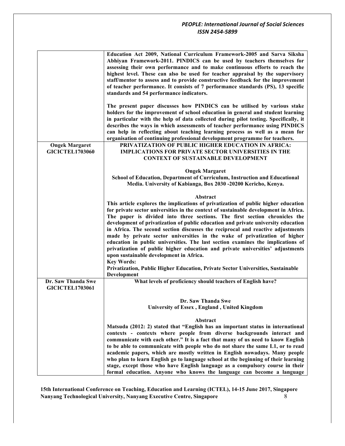|                        | Education Act 2009, National Curriculum Framework-2005 and Sarva Siksha                                                                                                                                                                             |
|------------------------|-----------------------------------------------------------------------------------------------------------------------------------------------------------------------------------------------------------------------------------------------------|
|                        | Abhiyan Framework-2011. PINDICS can be used by teachers themselves for                                                                                                                                                                              |
|                        | assessing their own performance and to make continuous efforts to reach the                                                                                                                                                                         |
|                        | highest level. These can also be used for teacher appraisal by the supervisory                                                                                                                                                                      |
|                        | staff/mentor to assess and to provide constructive feedback for the improvement                                                                                                                                                                     |
|                        | of teacher performance. It consists of 7 performance standards (PS), 13 specific                                                                                                                                                                    |
|                        | standards and 54 performance indicators.                                                                                                                                                                                                            |
|                        | The present paper discusses how PINDICS can be utilised by various stake<br>holders for the improvement of school education in general and student learning<br>in particular with the help of data collected during pilot testing. Specifically, it |
|                        | describes the ways in which assessments of teacher performance using PINDICS                                                                                                                                                                        |
|                        | can help in reflecting about teaching learning process as well as a mean for                                                                                                                                                                        |
|                        | organisation of continuing professional development programme for teachers.                                                                                                                                                                         |
| <b>Ongek Margaret</b>  | PRIVATIZATION OF PUBLIC HIGHER EDUCATION IN AFRICA:                                                                                                                                                                                                 |
| <b>GICICTEL1703060</b> | <b>IMPLICATIONS FOR PRIVATE SECTOR UNIVERSITIES IN THE</b>                                                                                                                                                                                          |
|                        | <b>CONTEXT OF SUSTAINABLE DEVELOPMENT</b>                                                                                                                                                                                                           |
|                        |                                                                                                                                                                                                                                                     |
|                        | <b>Ongek Margaret</b><br>School of Education, Department of Curriculum, Instruction and Educational                                                                                                                                                 |
|                        | Media. University of Kabianga, Box 2030 -20200 Kericho, Kenya.                                                                                                                                                                                      |
|                        |                                                                                                                                                                                                                                                     |
|                        | Abstract                                                                                                                                                                                                                                            |
|                        | This article explores the implications of privatization of public higher education                                                                                                                                                                  |
|                        | for private sector universities in the context of sustainable development in Africa.                                                                                                                                                                |
|                        | The paper is divided into three sections. The first section chronicles the                                                                                                                                                                          |
|                        | development of privatization of public education and private university education                                                                                                                                                                   |
|                        | in Africa. The second section discusses the reciprocal and reactive adjustments                                                                                                                                                                     |
|                        | made by private sector universities in the wake of privatization of higher                                                                                                                                                                          |
|                        | education in public universities. The last section examines the implications of                                                                                                                                                                     |
|                        | privatization of public higher education and private universities' adjustments                                                                                                                                                                      |
|                        | upon sustainable development in Africa.<br><b>Key Words:</b>                                                                                                                                                                                        |
|                        | Privatization, Public Higher Education, Private Sector Universities, Sustainable                                                                                                                                                                    |
|                        | Development                                                                                                                                                                                                                                         |
| Dr. Saw Thanda Swe     | What levels of proficiency should teachers of English have?                                                                                                                                                                                         |
| <b>GICICTEL1703061</b> |                                                                                                                                                                                                                                                     |
|                        |                                                                                                                                                                                                                                                     |
|                        | Dr. Saw Thanda Swe                                                                                                                                                                                                                                  |
|                        | University of Essex, England, United Kingdom                                                                                                                                                                                                        |
|                        | Abstract                                                                                                                                                                                                                                            |
|                        | Matsuda (2012: 2) stated that "English has an important status in international                                                                                                                                                                     |
|                        | contexts - contexts where people from diverse backgrounds interact and                                                                                                                                                                              |
|                        | communicate with each other." It is a fact that many of us need to know English                                                                                                                                                                     |
|                        | to be able to communicate with people who do not share the same L1, or to read                                                                                                                                                                      |
|                        | academic papers, which are mostly written in English nowadays. Many people                                                                                                                                                                          |
|                        | who plan to learn English go to language school at the beginning of their learning                                                                                                                                                                  |
|                        | stage, except those who have English language as a compulsory course in their                                                                                                                                                                       |
|                        | formal education. Anyone who knows the language can become a language                                                                                                                                                                               |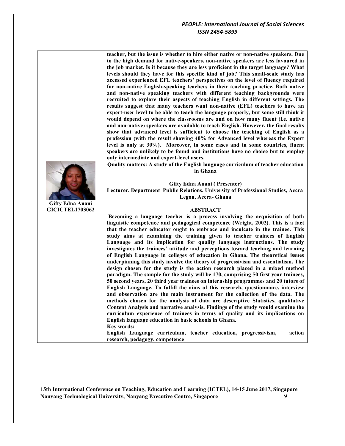|                                                   | teacher, but the issue is whether to hire either native or non-native speakers. Due<br>to the high demand for native-speakers, non-native speakers are less favoured in<br>the job market. Is it because they are less proficient in the target language? What<br>levels should they have for this specific kind of job? This small-scale study has<br>accessed experienced EFL teachers' perspectives on the level of fluency required<br>for non-native English-speaking teachers in their teaching practice. Both native<br>and non-native speaking teachers with different teaching backgrounds were<br>recruited to explore their aspects of teaching English in different settings. The<br>results suggest that many teachers want non-native (EFL) teachers to have an<br>expert-user level to be able to teach the language properly, but some still think it<br>would depend on where the classrooms are and on how many fluent (i.e. native                                                                                                                                                                                                                                                                                                                                                                                                                                                                          |
|---------------------------------------------------|--------------------------------------------------------------------------------------------------------------------------------------------------------------------------------------------------------------------------------------------------------------------------------------------------------------------------------------------------------------------------------------------------------------------------------------------------------------------------------------------------------------------------------------------------------------------------------------------------------------------------------------------------------------------------------------------------------------------------------------------------------------------------------------------------------------------------------------------------------------------------------------------------------------------------------------------------------------------------------------------------------------------------------------------------------------------------------------------------------------------------------------------------------------------------------------------------------------------------------------------------------------------------------------------------------------------------------------------------------------------------------------------------------------------------------|
|                                                   | and non-native) speakers are available to teach English. However, the final results                                                                                                                                                                                                                                                                                                                                                                                                                                                                                                                                                                                                                                                                                                                                                                                                                                                                                                                                                                                                                                                                                                                                                                                                                                                                                                                                            |
|                                                   | show that advanced level is sufficient to choose the teaching of English as a<br>profession (with the result showing 40% for Advanced level whereas the Expert                                                                                                                                                                                                                                                                                                                                                                                                                                                                                                                                                                                                                                                                                                                                                                                                                                                                                                                                                                                                                                                                                                                                                                                                                                                                 |
|                                                   | level is only at 30%). Moreover, in some cases and in some countries, fluent                                                                                                                                                                                                                                                                                                                                                                                                                                                                                                                                                                                                                                                                                                                                                                                                                                                                                                                                                                                                                                                                                                                                                                                                                                                                                                                                                   |
|                                                   | speakers are unlikely to be found and institutions have no choice but to employ<br>only intermediate and expert-level users.                                                                                                                                                                                                                                                                                                                                                                                                                                                                                                                                                                                                                                                                                                                                                                                                                                                                                                                                                                                                                                                                                                                                                                                                                                                                                                   |
|                                                   | Quality matters: A study of the English language curriculum of teacher education<br>in Ghana                                                                                                                                                                                                                                                                                                                                                                                                                                                                                                                                                                                                                                                                                                                                                                                                                                                                                                                                                                                                                                                                                                                                                                                                                                                                                                                                   |
|                                                   | <b>Gifty Edna Anani (Presenter)</b><br>Lecturer, Department Public Relations, University of Professional Studies, Accra<br>Legon, Accra- Ghana                                                                                                                                                                                                                                                                                                                                                                                                                                                                                                                                                                                                                                                                                                                                                                                                                                                                                                                                                                                                                                                                                                                                                                                                                                                                                 |
| <b>Gifty Edna Anani</b><br><b>GICICTEL1703062</b> | <b>ABSTRACT</b>                                                                                                                                                                                                                                                                                                                                                                                                                                                                                                                                                                                                                                                                                                                                                                                                                                                                                                                                                                                                                                                                                                                                                                                                                                                                                                                                                                                                                |
|                                                   | Becoming a language teacher is a process involving the acquisition of both<br>linguistic competence and pedagogical competence (Wright, 2002). This is a fact<br>that the teacher educator ought to embrace and inculcate in the trainee. This<br>study aims at examining the training given to teacher trainees of English<br>Language and its implication for quality language instructions. The study<br>investigates the trainees' attitude and perceptions toward teaching and learning<br>of English Language in colleges of education in Ghana. The theoretical issues<br>underpinning this study involve the theory of progressivism and essentialism. The<br>design chosen for the study is the action research placed in a mixed method<br>paradigm. The sample for the study will be 170, comprising 50 first year trainees,<br>50 second years, 20 third year trainees on internship programmes and 20 tutors of<br>English Language. To fulfill the aims of this research, questionnaire, interview<br>and observation are the main instrument for the collection of the data. The<br>methods chosen for the analysis of data are descriptive Statistics, qualitative<br>Content Analysis and narrative analysis. Findings of the study would examine the<br>curriculum experience of trainees in terms of quality and its implications on<br>English language education in basic schools in Ghana.<br>Key words: |
|                                                   | English Language curriculum, teacher education, progressivism,<br>action<br>research, pedagogy, competence                                                                                                                                                                                                                                                                                                                                                                                                                                                                                                                                                                                                                                                                                                                                                                                                                                                                                                                                                                                                                                                                                                                                                                                                                                                                                                                     |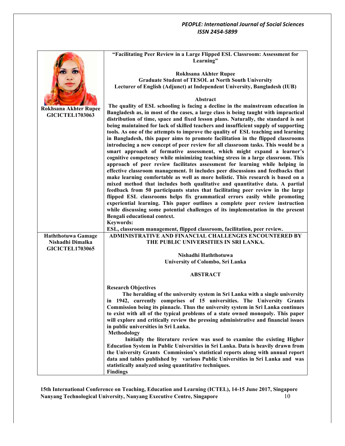|                                            | "Facilitating Peer Review in a Large Flipped ESL Classroom: Assessment for<br>Learning"                                                                                   |
|--------------------------------------------|---------------------------------------------------------------------------------------------------------------------------------------------------------------------------|
|                                            | <b>Rokhsana Akhter Rupee</b>                                                                                                                                              |
|                                            | <b>Graduate Student of TESOL at North South University</b>                                                                                                                |
|                                            | Lecturer of English (Adjunct) at Independent University, Bangladesh (IUB)                                                                                                 |
|                                            |                                                                                                                                                                           |
|                                            | <b>Abstract</b>                                                                                                                                                           |
| <b>Rokhsana Akhter Rupee</b>               | The quality of ESL schooling is facing a decline in the mainstream education in                                                                                           |
| <b>GICICTEL1703063</b>                     | Bangladesh as, in most of the cases, a large class is being taught with impractical<br>distribution of time, space and fixed lesson plans. Naturally, the standard is not |
|                                            | being maintained for lack of skilled teachers and insufficient supply of supporting                                                                                       |
|                                            | tools. As one of the attempts to improve the quality of ESL teaching and learning                                                                                         |
|                                            | in Bangladesh, this paper aims to promote facilitation in the flipped classrooms                                                                                          |
|                                            | introducing a new concept of peer review for all classroom tasks. This would be a                                                                                         |
|                                            | smart approach of formative assessment, which might expand a learner's                                                                                                    |
|                                            | cognitive competency while minimizing teaching stress in a large classroom. This<br>approach of peer review facilitates assessment for learning while helping in          |
|                                            | effective classroom management. It includes peer discussions and feedbacks that                                                                                           |
|                                            | make learning comfortable as well as more holistic. This research is based on a                                                                                           |
|                                            | mixed method that includes both qualitative and quantitative data. A partial                                                                                              |
|                                            | feedback from 50 participants states that facilitating peer review in the large                                                                                           |
|                                            | flipped ESL classrooms helps fix grammatical errors easily while promoting                                                                                                |
|                                            | experiential learning. This paper outlines a complete peer review instruction<br>while discussing some potential challenges of its implementation in the present          |
|                                            | Bengali educational context.                                                                                                                                              |
|                                            | <b>Keywords:</b>                                                                                                                                                          |
|                                            | ESL, classroom management, flipped classroom, facilitation, peer review.                                                                                                  |
| <b>Haththotuwa Gamage</b>                  | ADMINISTRATIVE AND FINANCIAL CHALLENGES ENCOUNTERED BY                                                                                                                    |
| Nishadhi Dimalka<br><b>GICICTEL1703065</b> | THE PUBLIC UNIVERSITIES IN SRI LANKA.                                                                                                                                     |
|                                            | Nishadhi Haththotuwa                                                                                                                                                      |
|                                            | University of Colombo, Sri Lanka                                                                                                                                          |
|                                            |                                                                                                                                                                           |
|                                            | <b>ABSTRACT</b>                                                                                                                                                           |
|                                            | <b>Research Objectives</b>                                                                                                                                                |
|                                            | The heralding of the university system in Sri Lanka with a single university                                                                                              |
|                                            | in 1942, currently comprises of 15 universities. The University Grants                                                                                                    |
|                                            | Commission being its pinnacle. Thus the university system in Sri Lanka continues                                                                                          |
|                                            | to exist with all of the typical problems of a state owned monopoly. This paper                                                                                           |
|                                            | will explore and critically review the pressing administrative and financial issues                                                                                       |
|                                            | in public universities in Sri Lanka.<br>Methodology                                                                                                                       |
|                                            | Initially the literature review was used to examine the existing Higher                                                                                                   |
|                                            | Education System in Public Universities in Sri Lanka. Data is heavily drawn from                                                                                          |
|                                            | the University Grants Commission's statistical reports along with annual report                                                                                           |
|                                            | data and tables published by various Public Universities in Sri Lanka and was                                                                                             |
|                                            | statistically analyzed using quantitative techniques.                                                                                                                     |
|                                            | <b>Findings</b>                                                                                                                                                           |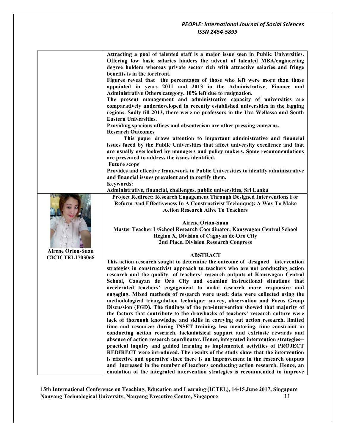|                          | Attracting a pool of talented staff is a major issue seen in Public Universities.<br>Offering low basic salaries hinders the advent of talented MBA/engineering   |
|--------------------------|-------------------------------------------------------------------------------------------------------------------------------------------------------------------|
|                          | degree holders whereas private sector rich with attractive salaries and fringe                                                                                    |
|                          | benefits is in the forefront.                                                                                                                                     |
|                          | Figures reveal that the percentages of those who left were more than those                                                                                        |
|                          | appointed in years 2011 and 2013 in the Administrative, Finance and                                                                                               |
|                          | Administrative Others category. 10% left due to resignation.                                                                                                      |
|                          | The present management and administrative capacity of universities are                                                                                            |
|                          | comparatively underdeveloped in recently established universities in the lagging                                                                                  |
|                          | regions. Sadly till 2013, there were no professors in the Uva Wellassa and South                                                                                  |
|                          | <b>Eastern Universities.</b>                                                                                                                                      |
|                          | Providing spacious offices and absenteeism are other pressing concerns.<br><b>Research Outcomes</b>                                                               |
|                          | This paper draws attention to important administrative and financial                                                                                              |
|                          | issues faced by the Public Universities that affect university excellence and that                                                                                |
|                          | are usually overlooked by managers and policy makers. Some recommendations                                                                                        |
|                          | are presented to address the issues identified.                                                                                                                   |
|                          | <b>Future scope</b>                                                                                                                                               |
|                          | Provides and effective framework to Public Universities to identify administrative                                                                                |
|                          | and financial issues prevalent and to rectify them.                                                                                                               |
|                          | <b>Keywords:</b>                                                                                                                                                  |
|                          | Administrative, financial, challenges, public universities, Sri Lanka                                                                                             |
|                          | Project Redirect: Research Engagement Through Designed Interventions For                                                                                          |
|                          | Reform And Effectiveness In A Constructivist Technique): A Way To Make<br><b>Action Research Alive To Teachers</b>                                                |
|                          |                                                                                                                                                                   |
|                          | <b>Airene Orion-Suan</b>                                                                                                                                          |
|                          | Master Teacher I / School Research Coordinator, Kauswagan Central School                                                                                          |
|                          | Region X, Division of Cagayan de Oro City                                                                                                                         |
|                          | <b>2nd Place, Division Research Congress</b>                                                                                                                      |
| <b>Airene Orion-Suan</b> |                                                                                                                                                                   |
| <b>GICICTEL1703068</b>   | <b>ABSTRACT</b><br>This action research sought to determine the outcome of designed intervention                                                                  |
|                          | strategies in constructivist approach to teachers who are not conducting action                                                                                   |
|                          | research and the quality of teachers' research outputs at Kauswagan Central                                                                                       |
|                          | School, Cagayan de Oro City and examine instructional situations that                                                                                             |
|                          | accelerated teachers' engagement to make research more responsive and                                                                                             |
|                          | engaging. Mixed methods of research were used; data were collected using the                                                                                      |
|                          | methodological triangulation technique: survey, observation and Focus Group                                                                                       |
|                          | Discussion (FGD). The findings of the pre-intervention showed that majority of                                                                                    |
|                          | the factors that contribute to the drawbacks of teachers' research culture were                                                                                   |
|                          | lack of thorough knowledge and skills in carrying out action research, limited                                                                                    |
|                          | time and resources during INSET training, less mentoring, time constraint in                                                                                      |
|                          | conducting action research, lackadaisical support and extrinsic rewards and                                                                                       |
|                          | absence of action research coordinator. Hence, integrated intervention strategies--<br>practical inquiry and guided learning as implemented activities of PROJECT |
|                          | REDIRECT were introduced. The results of the study show that the intervention                                                                                     |
|                          | is effective and operative since there is an improvement in the research outputs                                                                                  |
|                          | and increased in the number of teachers conducting action research. Hence, an                                                                                     |
|                          | emulation of the integrated intervention strategies is recommended to improve                                                                                     |

**15th International Conference on Teaching, Education and Learning (ICTEL), 14-15 June 2017, Singapore** Nanyang Technological University, Nanyang Executive Centre, Singapore **Xanyang Technological** University, Nanyang Executive Centre, Singapore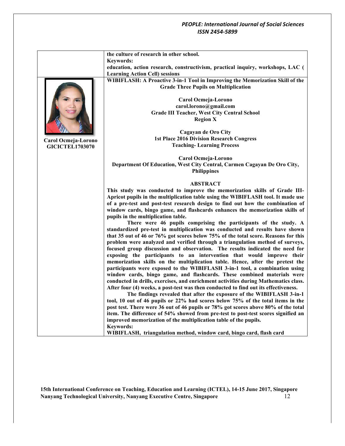|                        | the culture of research in other school.                                                                                                                      |
|------------------------|---------------------------------------------------------------------------------------------------------------------------------------------------------------|
|                        | <b>Keywords:</b>                                                                                                                                              |
|                        | education, action research, constructivism, practical inquiry, workshops, LAC (                                                                               |
|                        | <b>Learning Action Cell) sessions</b>                                                                                                                         |
|                        | WIBIFLASH: A Proactive 3-in-1 Tool in Improving the Memorization Skill of the                                                                                 |
|                        | <b>Grade Three Pupils on Multiplication</b>                                                                                                                   |
|                        |                                                                                                                                                               |
|                        | Carol Ocmeja-Lorono<br>carol.lorono@gmail.com                                                                                                                 |
|                        | <b>Grade III Teacher, West City Central School</b>                                                                                                            |
|                        | <b>Region X</b>                                                                                                                                               |
|                        |                                                                                                                                                               |
|                        | Cagayan de Oro City                                                                                                                                           |
|                        | <b>1st Place 2016 Division Research Congress</b>                                                                                                              |
| Carol Ocmeja-Lorono    | <b>Teaching-Learning Process</b>                                                                                                                              |
| <b>GICICTEL1703070</b> |                                                                                                                                                               |
|                        | Carol Ocmeja-Lorono                                                                                                                                           |
|                        | Department Of Education, West City Central, Carmen Cagayan De Oro City,                                                                                       |
|                        | <b>Philippines</b>                                                                                                                                            |
|                        |                                                                                                                                                               |
|                        | <b>ABSTRACT</b>                                                                                                                                               |
|                        | This study was conducted to improve the memorization skills of Grade III-<br>Apricot pupils in the multiplication table using the WIBIFLASH tool. It made use |
|                        | of a pre-test and post-test research design to find out how the combination of                                                                                |
|                        | window cards, bingo game, and flashcards enhances the memorization skills of                                                                                  |
|                        | pupils in the multiplication table.                                                                                                                           |
|                        | There were 46 pupils comprising the participants of the study. A                                                                                              |
|                        | standardized pre-test in multiplication was conducted and results have shown                                                                                  |
|                        | that 35 out of 46 or 76% got scores below 75% of the total score. Reasons for this                                                                            |
|                        | problem were analyzed and verified through a triangulation method of surveys,                                                                                 |
|                        | focused group discussion and observation. The results indicated the need for                                                                                  |
|                        | exposing the participants to an intervention that would improve their                                                                                         |
|                        | memorization skills on the multiplication table. Hence, after the pretest the                                                                                 |
|                        | participants were exposed to the WIBIFLASH 3-in-1 tool, a combination using                                                                                   |
|                        | window cards, bingo game, and flashcards. These combined materials were                                                                                       |
|                        | conducted in drills, exercises, and enrichment activities during Mathematics class.                                                                           |
|                        | After four (4) weeks, a post-test was then conducted to find out its effectiveness.                                                                           |
|                        | The findings revealed that after the exposure of the WIBIFLASH 3-in-1                                                                                         |
|                        | tool, 10 out of 46 pupils or 22% had scores below 75% of the total items in the                                                                               |
|                        | post test. There were 36 out of 46 pupils or 78% got scores above 80% of the total                                                                            |
|                        | item. The difference of 54% showed from pre-test to post-test scores signified an                                                                             |
|                        | improved memorization of the multiplication table of the pupils.                                                                                              |
|                        | <b>Keywords:</b>                                                                                                                                              |
|                        | WIBIFLASH, triangulation method, window card, bingo card, flash card                                                                                          |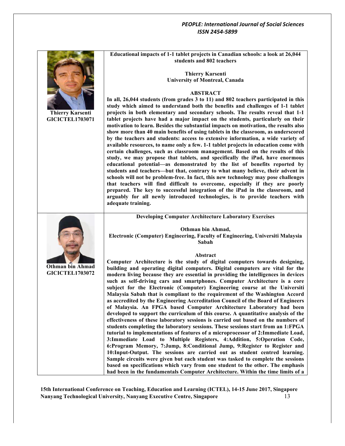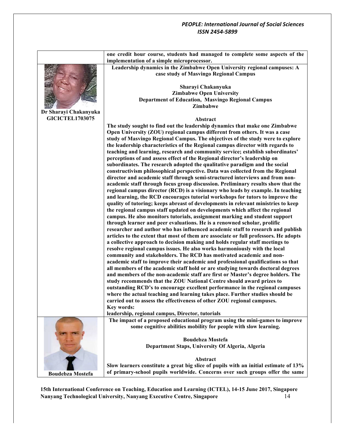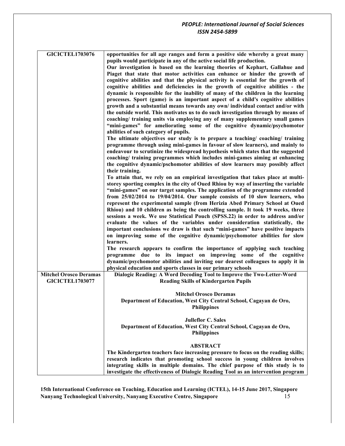| <b>GICICTEL1703076</b>                                  | opportunities for all age ranges and form a positive side whereby a great many<br>pupils would participate in any of the active social life production.<br>Our investigation is based on the learning theories of Kephart, Gallahue and<br>Piaget that state that motor activities can enhance or hinder the growth of<br>cognitive abilities and that the physical activity is essential for the growth of<br>cognitive abilities and deficiencies in the growth of cognitive abilities - the<br>dynamic is responsible for the inability of many of the children in the learning<br>processes. Sport (game) is an important aspect of a child's cognitive abilities<br>growth and a substantial means towards any own/ individual contact and/or with<br>the outside world. This motivates us to do such investigation through by means of<br>coaching/ training units via employing any of many supplementary small games<br>"mini-games" for ameliorating some of the cognitive dynamic/psychomotor<br>abilities of such category of pupils.<br>The ultimate objectives our study is to prepare a teaching/ coaching/ training<br>programme through using mini-games in favour of slow learners), and mainly to<br>endeavour to scrutinize the widespread hypothesis which states that the suggested<br>coaching/ training programmes which includes mini-games aiming at enhancing<br>the cognitive dynamic/pschomotor abilities of slow learners may possibly affect<br>their training.<br>To attain that, we rely on an empirical investigation that takes place at multi-<br>storey sporting complex in the city of Oued Rhiou by way of inserting the variable<br>"mini-games" on our target samples. The application of the programme extended<br>from $25/02/2014$ to $19/04/2014$ . Our sample consists of 10 slow learners, who<br>represent the experimental sample (from Herizia Abed Primary School at Oued<br>Rhiou) and 10 children as being the controlling sample. It took 19 weeks, three<br>sessions a week. We use Statistical Pouch (SPSS.22) in order to address and/or<br>evaluate the values of the variables under consideration statistically, the<br>important conclusions we draw is that such "mini-games" have positive impacts<br>on improving some of the cognitive dynamic/psychomotor abilities for slow<br>learners.<br>The research appears to confirm the importance of applying such teaching<br>programme due to its impact on improving some of the cognitive<br>dynamic/psychomotor abilities and inviting our dearest colleagues to apply it in |
|---------------------------------------------------------|----------------------------------------------------------------------------------------------------------------------------------------------------------------------------------------------------------------------------------------------------------------------------------------------------------------------------------------------------------------------------------------------------------------------------------------------------------------------------------------------------------------------------------------------------------------------------------------------------------------------------------------------------------------------------------------------------------------------------------------------------------------------------------------------------------------------------------------------------------------------------------------------------------------------------------------------------------------------------------------------------------------------------------------------------------------------------------------------------------------------------------------------------------------------------------------------------------------------------------------------------------------------------------------------------------------------------------------------------------------------------------------------------------------------------------------------------------------------------------------------------------------------------------------------------------------------------------------------------------------------------------------------------------------------------------------------------------------------------------------------------------------------------------------------------------------------------------------------------------------------------------------------------------------------------------------------------------------------------------------------------------------------------------------------------------------------------------------------------------------------------------------------------------------------------------------------------------------------------------------------------------------------------------------------------------------------------------------------------------------------------------------------------------------------------------------------------------------------------------------------------------------------------------------------------------------------------------------------|
|                                                         |                                                                                                                                                                                                                                                                                                                                                                                                                                                                                                                                                                                                                                                                                                                                                                                                                                                                                                                                                                                                                                                                                                                                                                                                                                                                                                                                                                                                                                                                                                                                                                                                                                                                                                                                                                                                                                                                                                                                                                                                                                                                                                                                                                                                                                                                                                                                                                                                                                                                                                                                                                                              |
|                                                         | physical education and sports classes in our primary schools                                                                                                                                                                                                                                                                                                                                                                                                                                                                                                                                                                                                                                                                                                                                                                                                                                                                                                                                                                                                                                                                                                                                                                                                                                                                                                                                                                                                                                                                                                                                                                                                                                                                                                                                                                                                                                                                                                                                                                                                                                                                                                                                                                                                                                                                                                                                                                                                                                                                                                                                 |
| <b>Mitchel Orosco Deramas</b><br><b>GICICTEL1703077</b> | Dialogic Reading: A Word Decoding Tool to Improve the Two-Letter-Word<br><b>Reading Skills of Kindergarten Pupils</b>                                                                                                                                                                                                                                                                                                                                                                                                                                                                                                                                                                                                                                                                                                                                                                                                                                                                                                                                                                                                                                                                                                                                                                                                                                                                                                                                                                                                                                                                                                                                                                                                                                                                                                                                                                                                                                                                                                                                                                                                                                                                                                                                                                                                                                                                                                                                                                                                                                                                        |
|                                                         | <b>Mitchel Orosco Deramas</b><br>Department of Education, West City Central School, Cagayan de Oro,<br><b>Philippines</b>                                                                                                                                                                                                                                                                                                                                                                                                                                                                                                                                                                                                                                                                                                                                                                                                                                                                                                                                                                                                                                                                                                                                                                                                                                                                                                                                                                                                                                                                                                                                                                                                                                                                                                                                                                                                                                                                                                                                                                                                                                                                                                                                                                                                                                                                                                                                                                                                                                                                    |
|                                                         | <b>Julieflor C. Sales</b><br>Department of Education, West City Central School, Cagayan de Oro,<br><b>Philippines</b>                                                                                                                                                                                                                                                                                                                                                                                                                                                                                                                                                                                                                                                                                                                                                                                                                                                                                                                                                                                                                                                                                                                                                                                                                                                                                                                                                                                                                                                                                                                                                                                                                                                                                                                                                                                                                                                                                                                                                                                                                                                                                                                                                                                                                                                                                                                                                                                                                                                                        |
|                                                         | <b>ABSTRACT</b><br>The Kindergarten teachers face increasing pressure to focus on the reading skills;<br>research indicates that promoting school success in young children involves<br>integrating skills in multiple domains. The chief purpose of this study is to<br>investigate the effectiveness of Dialogic Reading Tool as an intervention program                                                                                                                                                                                                                                                                                                                                                                                                                                                                                                                                                                                                                                                                                                                                                                                                                                                                                                                                                                                                                                                                                                                                                                                                                                                                                                                                                                                                                                                                                                                                                                                                                                                                                                                                                                                                                                                                                                                                                                                                                                                                                                                                                                                                                                   |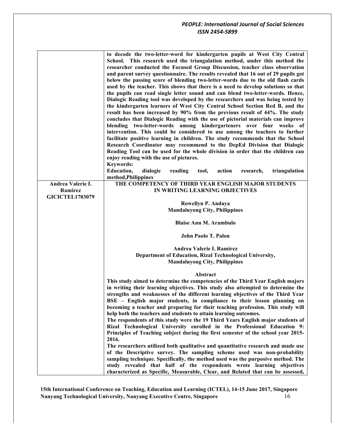|                        | to decode the two-letter-word for kindergarten pupils at West City Central<br>School. This research used the triangulation method, under this method the<br>researcher conducted the Focused Group Discussion, teacher class observation<br>and parent survey questionnaire. The results revealed that 16 out of 29 pupils got<br>below the passing score of blending two-letter-words due to the old flash cards<br>used by the teacher. This shows that there is a need to develop solutions so that<br>the pupils can read single letter sound and can blend two-letter-words. Hence,<br>Dialogic Reading tool was developed by the researchers and was being tested by<br>the kindergarten learners of West City Central School Section Red B, and the<br>result has been increased by 90% from the previous result of 44%. The study<br>concludes that Dialogic Reading with the use of pictorial materials can improve<br>blending two-letter-words among kindergarteners over four weeks of<br>intervention. This could be considered to use among the teachers to further<br>facilitate positive learning in children. The study recommends that the School<br>Research Coordinator may recommend to the DepEd Division that Dialogic<br>Reading Tool can be used for the whole division in order that the children can<br>enjoy reading with the use of pictures.<br><b>Keywords:</b> |
|------------------------|------------------------------------------------------------------------------------------------------------------------------------------------------------------------------------------------------------------------------------------------------------------------------------------------------------------------------------------------------------------------------------------------------------------------------------------------------------------------------------------------------------------------------------------------------------------------------------------------------------------------------------------------------------------------------------------------------------------------------------------------------------------------------------------------------------------------------------------------------------------------------------------------------------------------------------------------------------------------------------------------------------------------------------------------------------------------------------------------------------------------------------------------------------------------------------------------------------------------------------------------------------------------------------------------------------------------------------------------------------------------------------------------|
|                        | Education,<br>dialogic<br>reading<br>tool,<br>action<br>research,<br>triangulation<br>method, Philippines                                                                                                                                                                                                                                                                                                                                                                                                                                                                                                                                                                                                                                                                                                                                                                                                                                                                                                                                                                                                                                                                                                                                                                                                                                                                                      |
| Andrea Valerie I.      | THE COMPETENCY OF THIRD YEAR ENGLISH MAJOR STUDENTS                                                                                                                                                                                                                                                                                                                                                                                                                                                                                                                                                                                                                                                                                                                                                                                                                                                                                                                                                                                                                                                                                                                                                                                                                                                                                                                                            |
| Ramirez                | IN WRITING LEARNING OBJECTIVES                                                                                                                                                                                                                                                                                                                                                                                                                                                                                                                                                                                                                                                                                                                                                                                                                                                                                                                                                                                                                                                                                                                                                                                                                                                                                                                                                                 |
| <b>GICICTEL1703079</b> |                                                                                                                                                                                                                                                                                                                                                                                                                                                                                                                                                                                                                                                                                                                                                                                                                                                                                                                                                                                                                                                                                                                                                                                                                                                                                                                                                                                                |
|                        | Rowellyn P. Andaya                                                                                                                                                                                                                                                                                                                                                                                                                                                                                                                                                                                                                                                                                                                                                                                                                                                                                                                                                                                                                                                                                                                                                                                                                                                                                                                                                                             |
|                        | <b>Mandaluyong City, Philippines</b>                                                                                                                                                                                                                                                                                                                                                                                                                                                                                                                                                                                                                                                                                                                                                                                                                                                                                                                                                                                                                                                                                                                                                                                                                                                                                                                                                           |
|                        | <b>Blaise Ann M. Arambulo</b>                                                                                                                                                                                                                                                                                                                                                                                                                                                                                                                                                                                                                                                                                                                                                                                                                                                                                                                                                                                                                                                                                                                                                                                                                                                                                                                                                                  |
|                        | John Paolo T. Palon                                                                                                                                                                                                                                                                                                                                                                                                                                                                                                                                                                                                                                                                                                                                                                                                                                                                                                                                                                                                                                                                                                                                                                                                                                                                                                                                                                            |
|                        | Andrea Valerie I. Ramirez                                                                                                                                                                                                                                                                                                                                                                                                                                                                                                                                                                                                                                                                                                                                                                                                                                                                                                                                                                                                                                                                                                                                                                                                                                                                                                                                                                      |
|                        | Department of Education, Rizal Technological University,                                                                                                                                                                                                                                                                                                                                                                                                                                                                                                                                                                                                                                                                                                                                                                                                                                                                                                                                                                                                                                                                                                                                                                                                                                                                                                                                       |
|                        | <b>Mandaluyong City, Philippines</b>                                                                                                                                                                                                                                                                                                                                                                                                                                                                                                                                                                                                                                                                                                                                                                                                                                                                                                                                                                                                                                                                                                                                                                                                                                                                                                                                                           |
|                        | Abstract                                                                                                                                                                                                                                                                                                                                                                                                                                                                                                                                                                                                                                                                                                                                                                                                                                                                                                                                                                                                                                                                                                                                                                                                                                                                                                                                                                                       |
|                        | This study aimed to determine the competencies of the Third Year English majors                                                                                                                                                                                                                                                                                                                                                                                                                                                                                                                                                                                                                                                                                                                                                                                                                                                                                                                                                                                                                                                                                                                                                                                                                                                                                                                |
|                        | in writing their learning objectives. This study also attempted to determine the                                                                                                                                                                                                                                                                                                                                                                                                                                                                                                                                                                                                                                                                                                                                                                                                                                                                                                                                                                                                                                                                                                                                                                                                                                                                                                               |
|                        | strengths and weaknesses of the different learning objectives of the Third Year                                                                                                                                                                                                                                                                                                                                                                                                                                                                                                                                                                                                                                                                                                                                                                                                                                                                                                                                                                                                                                                                                                                                                                                                                                                                                                                |
|                        | BSE – English major students, in compliance to their lesson planning on                                                                                                                                                                                                                                                                                                                                                                                                                                                                                                                                                                                                                                                                                                                                                                                                                                                                                                                                                                                                                                                                                                                                                                                                                                                                                                                        |
|                        | becoming a teacher and preparing for their teaching profession. This study will                                                                                                                                                                                                                                                                                                                                                                                                                                                                                                                                                                                                                                                                                                                                                                                                                                                                                                                                                                                                                                                                                                                                                                                                                                                                                                                |
|                        | help both the teachers and students to attain learning outcomes.                                                                                                                                                                                                                                                                                                                                                                                                                                                                                                                                                                                                                                                                                                                                                                                                                                                                                                                                                                                                                                                                                                                                                                                                                                                                                                                               |
|                        | The respondents of this study were the 19 Third Years English major students of                                                                                                                                                                                                                                                                                                                                                                                                                                                                                                                                                                                                                                                                                                                                                                                                                                                                                                                                                                                                                                                                                                                                                                                                                                                                                                                |
|                        | Rizal Technological University enrolled in the Professional Education 9:                                                                                                                                                                                                                                                                                                                                                                                                                                                                                                                                                                                                                                                                                                                                                                                                                                                                                                                                                                                                                                                                                                                                                                                                                                                                                                                       |
|                        | Principles of Teaching subject during the first semester of the school year 2015-                                                                                                                                                                                                                                                                                                                                                                                                                                                                                                                                                                                                                                                                                                                                                                                                                                                                                                                                                                                                                                                                                                                                                                                                                                                                                                              |
|                        | 2016.                                                                                                                                                                                                                                                                                                                                                                                                                                                                                                                                                                                                                                                                                                                                                                                                                                                                                                                                                                                                                                                                                                                                                                                                                                                                                                                                                                                          |
|                        | The researchers utilized both qualitative and quantitative research and made use                                                                                                                                                                                                                                                                                                                                                                                                                                                                                                                                                                                                                                                                                                                                                                                                                                                                                                                                                                                                                                                                                                                                                                                                                                                                                                               |
|                        | of the Descriptive survey. The sampling scheme used was non-probability                                                                                                                                                                                                                                                                                                                                                                                                                                                                                                                                                                                                                                                                                                                                                                                                                                                                                                                                                                                                                                                                                                                                                                                                                                                                                                                        |
|                        | sampling technique. Specifically, the method used was the purposive method. The                                                                                                                                                                                                                                                                                                                                                                                                                                                                                                                                                                                                                                                                                                                                                                                                                                                                                                                                                                                                                                                                                                                                                                                                                                                                                                                |
|                        | study revealed that half of the respondents wrote learning objectives                                                                                                                                                                                                                                                                                                                                                                                                                                                                                                                                                                                                                                                                                                                                                                                                                                                                                                                                                                                                                                                                                                                                                                                                                                                                                                                          |
|                        | characterized as Specific, Measurable, Clear, and Related that can be assessed,                                                                                                                                                                                                                                                                                                                                                                                                                                                                                                                                                                                                                                                                                                                                                                                                                                                                                                                                                                                                                                                                                                                                                                                                                                                                                                                |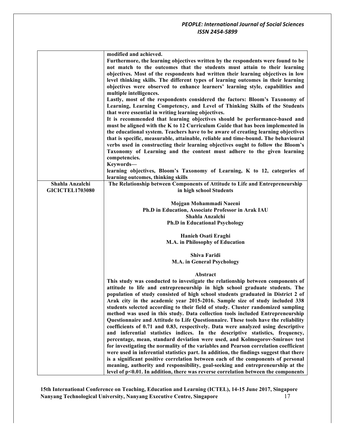|                        | modified and achieved.                                                                 |
|------------------------|----------------------------------------------------------------------------------------|
|                        | Furthermore, the learning objectives written by the respondents were found to be       |
|                        | not match to the outcomes that the students must attain to their learning              |
|                        | objectives. Most of the respondents had written their learning objectives in low       |
|                        | level thinking skills. The different types of learning outcomes in their learning      |
|                        | objectives were observed to enhance learners' learning style, capabilities and         |
|                        | multiple intelligences.                                                                |
|                        |                                                                                        |
|                        | Lastly, most of the respondents considered the factors: Bloom's Taxonomy of            |
|                        | Learning, Learning Competency, and Level of Thinking Skills of the Students            |
|                        | that were essential in writing learning objectives.                                    |
|                        | It is recommended that learning objectives should be performance-based and             |
|                        | must be aligned with the K to 12 Curriculum Guide that has been implemented in         |
|                        | the educational system. Teachers have to be aware of creating learning objectives      |
|                        | that is specific, measurable, attainable, reliable and time-bound. The behavioural     |
|                        | verbs used in constructing their learning objectives ought to follow the Bloom's       |
|                        | Taxonomy of Learning and the content must adhere to the given learning                 |
|                        | competencies.                                                                          |
|                        | Keywords-                                                                              |
|                        | learning objectives, Bloom's Taxonomy of Learning, K to 12, categories of              |
|                        | learning outcomes, thinking skills                                                     |
| Shahla Anzalchi        | The Relationship between Components of Attitude to Life and Entrepreneurship           |
| <b>GICICTEL1703080</b> | in high school Students                                                                |
|                        |                                                                                        |
|                        | Mojgan Mohammadi Naeeni                                                                |
|                        | Ph.D in Education, Associate Professor in Arak IAU                                     |
|                        | Shahla Anzalchi                                                                        |
|                        | <b>Ph.D in Educational Psychology</b>                                                  |
|                        |                                                                                        |
|                        | Hanieh Osati Eraghi                                                                    |
|                        | M.A. in Philosophy of Education                                                        |
|                        |                                                                                        |
|                        | Shiva Faridi                                                                           |
|                        | <b>M.A.</b> in General Psychology                                                      |
|                        | Abstract                                                                               |
|                        | This study was conducted to investigate the relationship between components of         |
|                        | attitude to life and entrepreneurship in high school graduate students. The            |
|                        |                                                                                        |
|                        | population of study consisted of high school students graduated in District 2 of       |
|                        | Arak city in the academic year 2015-2016. Sample size of study included 338            |
|                        | students selected according to their field of study. Cluster randomized sampling       |
|                        | method was used in this study. Data collection tools included Entrepreneurship         |
|                        | Questionnaire and Attitude to Life Questionnaire. These tools have the reliability     |
|                        | coefficients of 0.71 and 0.83, respectively. Data were analyzed using descriptive      |
|                        | and inferential statistics indices. In the descriptive statistics, frequency,          |
|                        | percentage, mean, standard deviation were used, and Kolmogorov-Smirnov test            |
|                        | for investigating the normality of the variables and Pearson correlation coefficient   |
|                        | were used in inferential statistics part. In addition, the findings suggest that there |
|                        | is a significant positive correlation between each of the components of personal       |
|                        | meaning, authority and responsibility, goal-seeking and entrepreneurship at the        |
|                        | level of p<0.01. In addition, there was reverse correlation between the components     |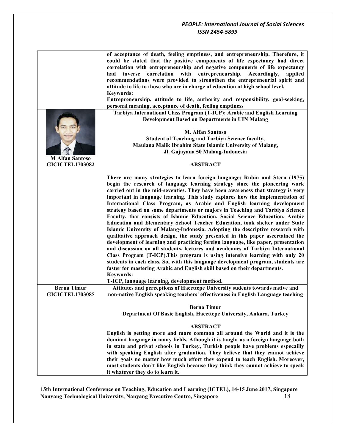| <b>M</b> Alfan Santoso<br><b>GICICTEL1703082</b> | of acceptance of death, feeling emptiness, and entrepreneurship. Therefore, it<br>could be stated that the positive components of life expectancy had direct<br>correlation with entrepreneurship and negative components of life expectancy<br>with entrepreneurship. Accordingly,<br>inverse<br>correlation<br>had<br>applied<br>recommendations were provided to strengthen the entrepreneurial spirit and<br>attitude to life to those who are in charge of education at high school level.<br><b>Keywords:</b><br>Entrepreneurship, attitude to life, authority and responsibility, goal-seeking,<br>personal meaning, acceptance of death, feeling emptiness<br>Tarbiya International Class Program (T-ICP): Arabic and English Learning<br><b>Development Based on Departments in UIN Malang</b><br><b>M. Alfan Santoso</b><br><b>Student of Teaching and Tarbiya Science faculty,</b><br>Maulana Malik Ibrahim State Islamic University of Malang,<br>Jl. Gajayana 50 Malang-Indonesia<br><b>ABSTRACT</b>                                                                                                                                                                                                                                                                                                           |
|--------------------------------------------------|-----------------------------------------------------------------------------------------------------------------------------------------------------------------------------------------------------------------------------------------------------------------------------------------------------------------------------------------------------------------------------------------------------------------------------------------------------------------------------------------------------------------------------------------------------------------------------------------------------------------------------------------------------------------------------------------------------------------------------------------------------------------------------------------------------------------------------------------------------------------------------------------------------------------------------------------------------------------------------------------------------------------------------------------------------------------------------------------------------------------------------------------------------------------------------------------------------------------------------------------------------------------------------------------------------------------------------|
|                                                  |                                                                                                                                                                                                                                                                                                                                                                                                                                                                                                                                                                                                                                                                                                                                                                                                                                                                                                                                                                                                                                                                                                                                                                                                                                                                                                                             |
|                                                  | There are many strategies to learn foreign language; Rubin and Stern (1975)<br>begin the research of language learning strategy since the pioneering work<br>carried out in the mid-seventies. They have been awareness that strategy is very<br>important in language learning. This study explores how the implementation of<br>International Class Program, as Arabic and English learning development<br>strategy based on some departments or majors in Teaching and Tarbiya Science<br>Faculty, that consists of Islamic Education, Social Science Education, Arabic<br>Education and Elementary School Teacher Education, took shelter under State<br>Islamic University of Malang-Indonesia. Adopting the descriptive research with<br>qualitative approach design, the study presented in this paper ascertained the<br>development of learning and practicing foreign language, like paper, presentation<br>and discussion on all students, lectures and academics of Tarbiya International<br>Class Program (T-ICP). This program is using intensive learning with only 20<br>students in each class. So, with this language development program, students are<br>faster for mastering Arabic and English skill based on their departments.<br><b>Keywords:</b><br>T-ICP, language learning, development method. |
| <b>Berna Timur</b><br><b>GICICTEL1703085</b>     | Attitutes and perceptions of Hacettepe University sudents towards native and<br>non-native English speaking teachers' effectiveness in English Language teaching                                                                                                                                                                                                                                                                                                                                                                                                                                                                                                                                                                                                                                                                                                                                                                                                                                                                                                                                                                                                                                                                                                                                                            |
|                                                  | <b>Berna Timur</b><br>Department Of Basic English, Hacettepe University, Ankara, Turkey<br><b>ABSTRACT</b><br>English is getting more and more common all around the World and it is the<br>dominat language in many fields. Athough it is taught as a foreign language both<br>in state and privat schools in Turkey, Turkish people have problems especailly<br>with speaking English after graduation. They believe that they cannot achieve<br>their goals no matter how much effort they expend to teach English. Moreover,                                                                                                                                                                                                                                                                                                                                                                                                                                                                                                                                                                                                                                                                                                                                                                                            |
|                                                  | most students don't like English because they think they cannot achieve to speak<br>it whatever they do to learn it.                                                                                                                                                                                                                                                                                                                                                                                                                                                                                                                                                                                                                                                                                                                                                                                                                                                                                                                                                                                                                                                                                                                                                                                                        |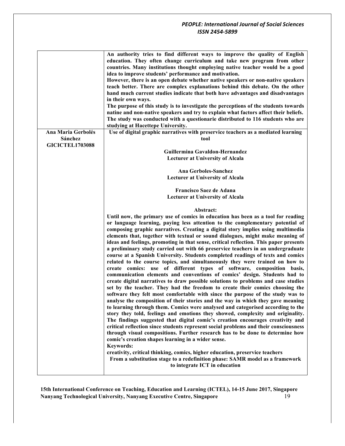|                                                         | An authority tries to find different ways to improve the quality of English<br>education. They often change curriculum and take new program from other<br>countries. Many institutions thought employing native teacher would be a good<br>idea to improve students' performance and motivation.<br>However, there is an open debate whether native speakers or non-native speakers<br>teach better. There are complex explanations behind this debate. On the other<br>hand much current studies indicate that both have advantages and disadvantages<br>in their own ways.<br>The purpose of this study is to investigate the perceptions of the students towards<br>natine and non-native speakers and try to explain what factors affect their beliefs.<br>The study was conducted with a questionarie distributed to 116 students who are<br>studying at Hacettepe University.                                                                                                                                                                                                                                                                                                                                                                                                                                                                                                                                                                                                                                                                                                                                                                                                                                                                                              |
|---------------------------------------------------------|----------------------------------------------------------------------------------------------------------------------------------------------------------------------------------------------------------------------------------------------------------------------------------------------------------------------------------------------------------------------------------------------------------------------------------------------------------------------------------------------------------------------------------------------------------------------------------------------------------------------------------------------------------------------------------------------------------------------------------------------------------------------------------------------------------------------------------------------------------------------------------------------------------------------------------------------------------------------------------------------------------------------------------------------------------------------------------------------------------------------------------------------------------------------------------------------------------------------------------------------------------------------------------------------------------------------------------------------------------------------------------------------------------------------------------------------------------------------------------------------------------------------------------------------------------------------------------------------------------------------------------------------------------------------------------------------------------------------------------------------------------------------------------|
| Ana Maria Gerbolés<br>Sánchez<br><b>GICICTEL1703088</b> | Use of digital graphic narratives with preservice teachers as a mediated learning<br>tool                                                                                                                                                                                                                                                                                                                                                                                                                                                                                                                                                                                                                                                                                                                                                                                                                                                                                                                                                                                                                                                                                                                                                                                                                                                                                                                                                                                                                                                                                                                                                                                                                                                                                        |
|                                                         | Guillermina Gavaldon-Hernandez<br><b>Lecturer at University of Alcala</b>                                                                                                                                                                                                                                                                                                                                                                                                                                                                                                                                                                                                                                                                                                                                                                                                                                                                                                                                                                                                                                                                                                                                                                                                                                                                                                                                                                                                                                                                                                                                                                                                                                                                                                        |
|                                                         | Ana Gerboles-Sanchez<br><b>Lecturer at University of Alcala</b>                                                                                                                                                                                                                                                                                                                                                                                                                                                                                                                                                                                                                                                                                                                                                                                                                                                                                                                                                                                                                                                                                                                                                                                                                                                                                                                                                                                                                                                                                                                                                                                                                                                                                                                  |
|                                                         | Francisco Saez de Adana<br><b>Lecturer at University of Alcala</b>                                                                                                                                                                                                                                                                                                                                                                                                                                                                                                                                                                                                                                                                                                                                                                                                                                                                                                                                                                                                                                                                                                                                                                                                                                                                                                                                                                                                                                                                                                                                                                                                                                                                                                               |
|                                                         | Abstract:                                                                                                                                                                                                                                                                                                                                                                                                                                                                                                                                                                                                                                                                                                                                                                                                                                                                                                                                                                                                                                                                                                                                                                                                                                                                                                                                                                                                                                                                                                                                                                                                                                                                                                                                                                        |
|                                                         | Until now, the primary use of comics in education has been as a tool for reading<br>or language learning, paying less attention to the complementary potential of<br>composing graphic narratives. Creating a digital story implies using multimedia<br>elements that, together with textual or sound dialogues, might make meaning of<br>ideas and feelings, promoting in that sense, critical reflection. This paper presents<br>a preliminary study carried out with 66 preservice teachers in an undergraduate<br>course at a Spanish University. Students completed readings of texts and comics<br>related to the course topics, and simultaneously they were trained on how to<br>create comics: use of different types of software, composition basis,<br>communication elements and conventions of comics' design. Students had to<br>create digital narratives to draw possible solutions to problems and case studies<br>set by the teacher. They had the freedom to create their comics choosing the<br>software they felt most comfortable with since the purpose of the study was to<br>analyse the composition of their stories and the way in which they gave meaning<br>to learning through them. Comics were analysed and categorised according to the<br>story they told, feelings and emotions they showed, complexity and originality.<br>The findings suggested that digital comic's creation encourages creativity and<br>critical reflection since students represent social problems and their consciousness<br>through visual compositions. Further research has to be done to determine how<br>comic's creation shapes learning in a wider sense.<br><b>Keywords:</b><br>creativity, critical thinking, comics, higher education, preservice teachers |
|                                                         | From a substitution stage to a redefinition phase: SAMR model as a framework<br>to integrate ICT in education                                                                                                                                                                                                                                                                                                                                                                                                                                                                                                                                                                                                                                                                                                                                                                                                                                                                                                                                                                                                                                                                                                                                                                                                                                                                                                                                                                                                                                                                                                                                                                                                                                                                    |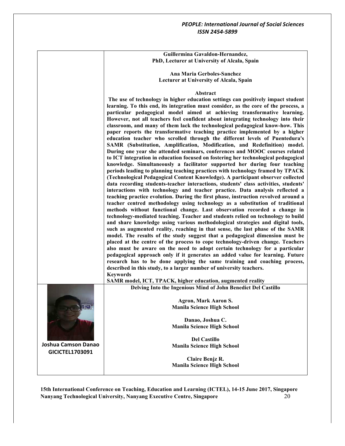**Guillermina Gavaldon-Hernandez, PhD, Lecturer at University of Alcala, Spain**

**Ana Maria Gerboles-Sanchez Lecturer at University of Alcala, Spain**

#### **Abstract**

**The use of technology in higher education settings can positively impact student learning. To this end, its integration must consider, as the core of the process, a particular pedagogical model aimed at achieving transformative learning. However, not all teachers feel confident about integrating technology into their classroom, and many of them lack the technological pedagogical know-how. This paper reports the transformative teaching practice implemented by a higher education teacher who scrolled through the different levels of Puentedura's SAMR (Substitution, Amplification, Modification, and Redefinition) model. During one year she attended seminars, conferences and MOOC courses related to ICT integration in education focused on fostering her technological pedagogical knowledge. Simultaneously a facilitator supported her during four teaching periods leading to planning teaching practices with technology framed by TPACK (Technological Pedagogical Content Knowledge). A participant observer collected data recording students-teacher interactions, students' class activities, students' interactions with technology and teacher practice. Data analysis reflected a teaching practice evolution. During the first phase, instruction revolved around a teacher centred methodology using technology as a substitution of traditional methods without functional change. Last observation recorded a change in technology-mediated teaching. Teacher and students relied on technology to build and share knowledge using various methodological strategies and digital tools, such as augmented reality, reaching in that sense, the last phase of the SAMR model. The results of the study suggest that a pedagogical dimension must be placed at the centre of the process to cope technology-driven change. Teachers also must be aware on the need to adopt certain technology for a particular pedagogical approach only if it generates an added value for learning. Future research has to be done applying the same training and coaching process, described in this study, to a larger number of university teachers. Keywords** 

**SAMR model, ICT, TPACK, higher education, augmented reality**

**Delving Into the Ingenious Mind of John Benedict Del Castillo**

**Agron, Mark Aaron S. Manila Science High School**

**Danao, Joshua C. Manila Science High School**

**Del Castillo Manila Science High School**

**Claire Benjz R. Manila Science High School**

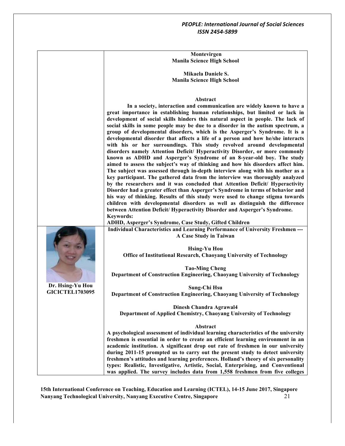|                        | Montevirgen                                                                                                                                                    |
|------------------------|----------------------------------------------------------------------------------------------------------------------------------------------------------------|
|                        | <b>Manila Science High School</b>                                                                                                                              |
|                        |                                                                                                                                                                |
|                        | Mikaela Daniele S.<br><b>Manila Science High School</b>                                                                                                        |
|                        |                                                                                                                                                                |
|                        |                                                                                                                                                                |
|                        | <b>Abstract</b>                                                                                                                                                |
|                        | In a society, interaction and communication are widely known to have a                                                                                         |
|                        | great importance in establishing human relationships, but limited or lack in                                                                                   |
|                        | development of social skills hinders this natural aspect in people. The lack of                                                                                |
|                        | social skills in some people may be due to a disorder in the autism spectrum, a                                                                                |
|                        | group of developmental disorders, which is the Asperger's Syndrome. It is a<br>developmental disorder that affects a life of a person and how he/she interacts |
|                        | with his or her surroundings. This study revolved around developmental                                                                                         |
|                        | disorders namely Attention Deficit/ Hyperactivity Disorder, or more commonly                                                                                   |
|                        | known as ADHD and Asperger's Syndrome of an 8-year-old boy. The study                                                                                          |
|                        | aimed to assess the subject's way of thinking and how his disorders affect him.                                                                                |
|                        | The subject was assessed through in-depth interview along with his mother as a                                                                                 |
|                        | key participant. The gathered data from the interview was thoroughly analyzed<br>by the researchers and it was concluded that Attention Deficit/ Hyperactivity |
|                        | Disorder had a greater effect than Asperger's Syndrome in terms of behavior and                                                                                |
|                        | his way of thinking. Results of this study were used to change stigma towards                                                                                  |
|                        | children with developmental disorders as well as distinguish the difference                                                                                    |
|                        | between Attention Deficit/ Hyperactivity Disorder and Asperger's Syndrome.                                                                                     |
|                        | <b>Keywords:</b>                                                                                                                                               |
|                        | ADHD, Asperger's Syndrome, Case Study, Gifted Children                                                                                                         |
|                        | Individual Characteristics and Learning Performance of University Freshmen ---<br>A Case Study in Taiwan                                                       |
|                        |                                                                                                                                                                |
|                        | <b>Hsing-Yu Hou</b>                                                                                                                                            |
|                        | Office of Institutional Research, Chaoyang University of Technology                                                                                            |
|                        |                                                                                                                                                                |
|                        | <b>Tao-Ming Cheng</b>                                                                                                                                          |
|                        | Department of Construction Engineering, Chaoyang University of Technology                                                                                      |
| Dr. Hsing-Yu Hou       | <b>Sung-Chi Hsu</b>                                                                                                                                            |
| <b>GICICTEL1703095</b> | Department of Construction Engineering, Chaoyang University of Technology                                                                                      |
|                        |                                                                                                                                                                |
|                        | Dinesh Chandra Agrawal4                                                                                                                                        |
|                        | Department of Applied Chemistry, Chaoyang University of Technology                                                                                             |
|                        | Abstract                                                                                                                                                       |
|                        | A psychological assessment of individual learning characteristics of the university                                                                            |
|                        | freshmen is essential in order to create an efficient learning environment in an                                                                               |
|                        | academic institution. A significant drop out rate of freshmen in our university                                                                                |
|                        | during 2011-15 prompted us to carry out the present study to detect university                                                                                 |
|                        | freshmen's attitudes and learning preferences. Holland's theory of six personality                                                                             |
|                        | types: Realistic, Investigative, Artistic, Social, Enterprising, and Conventional                                                                              |
|                        | was applied. The survey includes data from 1,558 freshmen from five colleges                                                                                   |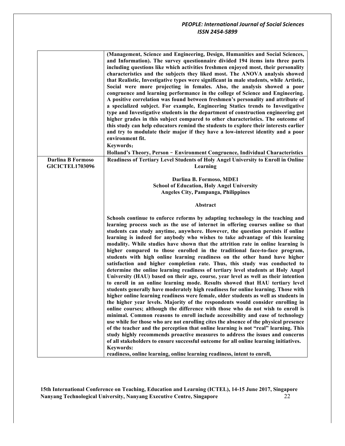|                          | (Management, Science and Engineering, Design, Humanities and Social Sciences,                |
|--------------------------|----------------------------------------------------------------------------------------------|
|                          | and Information). The survey questionnaire divided 194 items into three parts                |
|                          | including questions like which activities freshmen enjoyed most, their personality           |
|                          |                                                                                              |
|                          | characteristics and the subjects they liked most. The ANOVA analysis showed                  |
|                          | that Realistic, Investigative types were significant in male students, while Artistic,       |
|                          | Social were more projecting in females. Also, the analysis showed a poor                     |
|                          | congruence and learning performance in the college of Science and Engineering.               |
|                          | A positive correlation was found between freshmen's personality and attribute of             |
|                          | a specialized subject. For example, Engineering Statics trends to Investigative              |
|                          | type and Investigative students in the department of construction engineering got            |
|                          |                                                                                              |
|                          | higher grades in this subject compared to other characteristics. The outcome of              |
|                          | this study can help educators remind the students to explore their interests earlier         |
|                          | and try to modulate their major if they have a low-interest identity and a poor              |
|                          | environment fit.                                                                             |
|                          | Keywords:                                                                                    |
|                          |                                                                                              |
|                          | Holland's Theory, Person - Environment Congruence, Individual Characteristics                |
| <b>Darlina B Formoso</b> | Readiness of Tertiary Level Students of Holy Angel University to Enroll in Online            |
| <b>GICICTEL1703096</b>   | Learning                                                                                     |
|                          |                                                                                              |
|                          | Darlina B. Formoso, MDE1                                                                     |
|                          | <b>School of Education, Holy Angel University</b>                                            |
|                          |                                                                                              |
|                          | <b>Angeles City, Pampanga, Philippines</b>                                                   |
|                          |                                                                                              |
|                          |                                                                                              |
|                          | Abstract                                                                                     |
|                          |                                                                                              |
|                          | Schools continue to enforce reforms by adapting technology in the teaching and               |
|                          | learning process such as the use of internet in offering courses online so that              |
|                          | students can study anytime, anywhere. However, the question persists if online               |
|                          | learning is indeed for anybody who wishes to take advantage of this learning                 |
|                          |                                                                                              |
|                          | modality. While studies have shown that the attrition rate in online learning is             |
|                          | higher compared to those enrolled in the traditional face-to-face program,                   |
|                          | students with high online learning readiness on the other hand have higher                   |
|                          | satisfaction and higher completion rate. Thus, this study was conducted to                   |
|                          | determine the online learning readiness of tertiary level students at Holy Angel             |
|                          | University (HAU) based on their age, course, year level as well as their intention           |
|                          |                                                                                              |
|                          | to enroll in an online learning mode. Results showed that HAU tertiary level                 |
|                          | students generally have moderately high readiness for online learning. Those with            |
|                          | higher online learning readiness were female, older students as well as students in          |
|                          | the higher year levels. Majority of the respondents would consider enrolling in              |
|                          | online courses; although the difference with those who do not wish to enroll is              |
|                          | minimal. Common reasons to enroll include accessibility and ease of technology               |
|                          |                                                                                              |
|                          | use while for those who are not enrolling cites the absence of the physical presence         |
|                          | of the teacher and the perception that online learning is not "real" learning. This          |
|                          | study highly recommends proactive measures to address the issues and concerns                |
|                          | of all stakeholders to ensure successful outcome for all online learning initiatives.        |
|                          | <b>Keywords:</b><br>readiness, online learning, online learning readiness, intent to enroll, |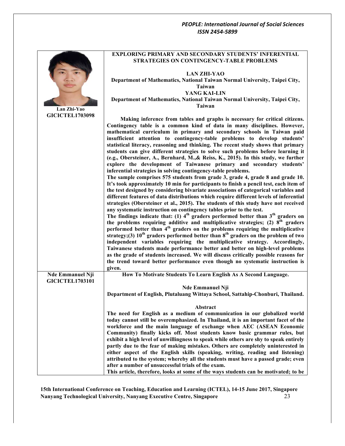|                         | <b>EXPLORING PRIMARY AND SECONDARY STUDENTS' INFERENTIAL</b><br><b>STRATEGIES ON CONTINGENCY-TABLE PROBLEMS</b>                                                               |
|-------------------------|-------------------------------------------------------------------------------------------------------------------------------------------------------------------------------|
|                         | <b>LAN ZHI-YAO</b>                                                                                                                                                            |
|                         | Department of Mathematics, National Taiwan Normal University, Taipei City,                                                                                                    |
|                         | Taiwan                                                                                                                                                                        |
|                         | YANG KAI-LIN                                                                                                                                                                  |
|                         | Department of Mathematics, National Taiwan Normal University, Taipei City,                                                                                                    |
| Lan Zhi-Yao             | <b>Taiwan</b>                                                                                                                                                                 |
| <b>GICICTEL1703098</b>  | Making inference from tables and graphs is necessary for critical citizens.                                                                                                   |
|                         | Contingency table is a common kind of data in many disciplines. However,                                                                                                      |
|                         | mathematical curriculum in primary and secondary schools in Taiwan paid                                                                                                       |
|                         | insufficient attention to contingency-table problems to develop students'                                                                                                     |
|                         | statistical literacy, reasoning and thinking. The recent study shows that primary                                                                                             |
|                         | students can give different strategies to solve such problems before learning it<br>(e.g., Obersteiner, A., Bernhard, M., & Reiss, K., 2015). In this study, we further       |
|                         | explore the development of Taiwanese primary and secondary students'                                                                                                          |
|                         | inferential strategies in solving contingency-table problems.                                                                                                                 |
|                         | The sample comprises 575 students from grade 3, grade 4, grade 8 and grade 10.                                                                                                |
|                         | It's took approximately 10 min for participants to finish a pencil test, each item of                                                                                         |
|                         | the test designed by considering bivariate associations of categorical variables and                                                                                          |
|                         | different features of data distributions which require different levels of inferential<br>strategies (Obersteiner et al., 2015). The students of this study have not received |
|                         | any systematic instruction on contingency tables prior to the test.                                                                                                           |
|                         | The findings indicate that: (1) $4th$ graders performed better than $3th$ graders on                                                                                          |
|                         | the problems requiring additive and multiplicative strategies; (2) $8th$ graders                                                                                              |
|                         | performed better than 4 <sup>th</sup> graders on the problems requiring the multiplicative                                                                                    |
|                         | strategy;(3) $10^{th}$ graders performed better than $8^{th}$ graders on the problem of two<br>independent variables requiring the multiplicative strategy. Accordingly,      |
|                         | Taiwanese students made performance better and better on high-level problems                                                                                                  |
|                         | as the grade of students increased. We will discuss critically possible reasons for                                                                                           |
|                         | the trend toward better performance even though no systematic instruction is                                                                                                  |
|                         | given.                                                                                                                                                                        |
| <b>Nde Emmanuel Nji</b> | How To Motivate Students To Learn English As A Second Language.                                                                                                               |
| <b>GICICTEL1703101</b>  |                                                                                                                                                                               |
|                         | <b>Nde Emmanuel Nji</b><br>Department of English, Plutaluang Wittaya School, Sattahip-Chonburi, Thailand.                                                                     |
|                         |                                                                                                                                                                               |
|                         | Abstract                                                                                                                                                                      |
|                         | The need for English as a medium of communication in our globalized world                                                                                                     |
|                         | today cannot still be overemphasized. In Thailand, it is an important facet of the                                                                                            |
|                         | workforce and the main language of exchange when AEC (ASEAN Economic                                                                                                          |
|                         | Community) finally kicks off. Most students know basic grammar rules, but<br>exhibit a high level of unwillingness to speak while others are shy to speak entirely            |
|                         | partly due to the fear of making mistakes. Others are completely uninterested in                                                                                              |
|                         | either aspect of the English skills (speaking, writing, reading and listening)                                                                                                |
|                         | attributed to the system; whereby all the students must have a passed grade; even                                                                                             |
|                         | after a number of unsuccessful trials of the exam.                                                                                                                            |
|                         | This article, therefore, looks at some of the ways students can be motivated; to be                                                                                           |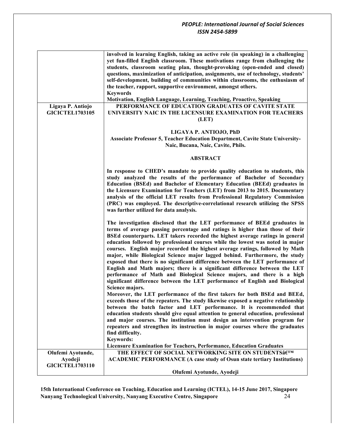|                                                        | involved in learning English, taking an active role (in speaking) in a challenging<br>yet fun-filled English classroom. These motivations range from challenging the<br>students, classroom seating plan, thought-provoking (open-ended and closed)<br>questions, maximization of anticipation, assignments, use of technology, students'<br>self-development, building of communities within classrooms, the enthusiasm of                                                                                                                                                                                                                                                                                                                                                                                                                                                                                             |
|--------------------------------------------------------|-------------------------------------------------------------------------------------------------------------------------------------------------------------------------------------------------------------------------------------------------------------------------------------------------------------------------------------------------------------------------------------------------------------------------------------------------------------------------------------------------------------------------------------------------------------------------------------------------------------------------------------------------------------------------------------------------------------------------------------------------------------------------------------------------------------------------------------------------------------------------------------------------------------------------|
|                                                        | the teacher, rapport, supportive environment, amongst others.                                                                                                                                                                                                                                                                                                                                                                                                                                                                                                                                                                                                                                                                                                                                                                                                                                                           |
|                                                        | <b>Keywords</b><br>Motivation, English Language, Learning, Teaching, Proactive, Speaking                                                                                                                                                                                                                                                                                                                                                                                                                                                                                                                                                                                                                                                                                                                                                                                                                                |
| Ligaya P. Antiojo<br><b>GICICTEL1703105</b>            | PERFORMANCE OF EDUCATION GRADUATES OF CAVITE STATE<br>UNIVERSITY NAIC IN THE LICENSURE EXAMINATION FOR TEACHERS<br>(LET)                                                                                                                                                                                                                                                                                                                                                                                                                                                                                                                                                                                                                                                                                                                                                                                                |
|                                                        | LIGAYA P. ANTIOJO, PhD<br>Associate Professor 5, Teacher Education Department, Cavite State University-<br>Naic, Bucana, Naic, Cavite, Phils.                                                                                                                                                                                                                                                                                                                                                                                                                                                                                                                                                                                                                                                                                                                                                                           |
|                                                        | <b>ABSTRACT</b>                                                                                                                                                                                                                                                                                                                                                                                                                                                                                                                                                                                                                                                                                                                                                                                                                                                                                                         |
|                                                        | In response to CHED's mandate to provide quality education to students, this<br>study analyzed the results of the performance of Bachelor of Secondary<br>Education (BSEd) and Bachelor of Elementary Education (BEEd) graduates in<br>the Licensure Examination for Teachers (LET) from 2013 to 2015. Documentary<br>analysis of the official LET results from Professional Regulatory Commission<br>(PRC) was employed. The descriptive-correlational research utilizing the SPSS<br>was further utilized for data analysis.                                                                                                                                                                                                                                                                                                                                                                                          |
|                                                        | The investigation disclosed that the LET performance of BEEd graduates in<br>terms of average passing percentage and ratings is higher than those of their<br>BSEd counterparts. LET takers recorded the highest average ratings in general<br>education followed by professional courses while the lowest was noted in major<br>courses. English major recorded the highest average ratings, followed by Math<br>major, while Biological Science major lagged behind. Furthermore, the study<br>exposed that there is no significant difference between the LET performance of<br>English and Math majors; there is a significant difference between the LET<br>performance of Math and Biological Science majors, and there is a high<br>significant difference between the LET performance of English and Biological<br>Science majors.<br>Moreover, the LET performance of the first takers for both BSEd and BEEd, |
|                                                        | exceeds those of the repeaters. The study likewise exposed a negative relationship<br>between the batch factor and LET performance. It is recommended that<br>education students should give equal attention to general education, professional<br>and major courses. The institution must design an intervention program for<br>repeaters and strengthen its instruction in major courses where the graduates<br>find difficulty.<br>Keywords:                                                                                                                                                                                                                                                                                                                                                                                                                                                                         |
|                                                        | Licensure Examination for Teachers, Performance, Education Graduates                                                                                                                                                                                                                                                                                                                                                                                                                                                                                                                                                                                                                                                                                                                                                                                                                                                    |
| Olufemi Ayotunde,<br>Ayodeji<br><b>GICICTEL1703110</b> | THE EFFECT OF SOCIAL NETWORKING SITE ON STUDENTS aETM<br><b>ACADEMIC PERFORMANCE (A case study of Osun state tertiary Institutions)</b>                                                                                                                                                                                                                                                                                                                                                                                                                                                                                                                                                                                                                                                                                                                                                                                 |
|                                                        | Olufemi Ayotunde, Ayodeji                                                                                                                                                                                                                                                                                                                                                                                                                                                                                                                                                                                                                                                                                                                                                                                                                                                                                               |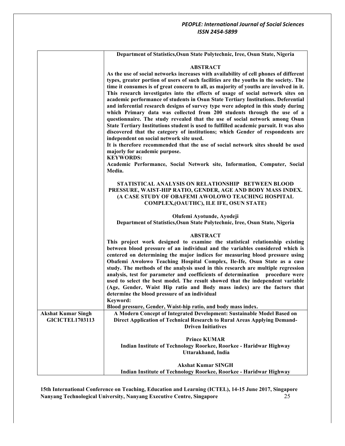|                                                     | Department of Statistics, Osun State Polytechnic, Iree, Osun State, Nigeria                                                                                                                                                                                                                                                                                                                                                                                                                                                                                                                                                                                                                                                                                                                                                                                                                                                                                                                                                                                                                                                                                             |
|-----------------------------------------------------|-------------------------------------------------------------------------------------------------------------------------------------------------------------------------------------------------------------------------------------------------------------------------------------------------------------------------------------------------------------------------------------------------------------------------------------------------------------------------------------------------------------------------------------------------------------------------------------------------------------------------------------------------------------------------------------------------------------------------------------------------------------------------------------------------------------------------------------------------------------------------------------------------------------------------------------------------------------------------------------------------------------------------------------------------------------------------------------------------------------------------------------------------------------------------|
|                                                     | <b>ABSTRACT</b><br>As the use of social networks increases with availability of cell phones of different<br>types, greater portion of users of such facilities are the youths in the society. The<br>time it consumes is of great concern to all, as majority of youths are involved in it.<br>This research investigates into the effects of usage of social network sites on<br>academic performance of students in Osun State Tertiary Institutions. Deferential<br>and inferential research designs of survey type were adopted in this study during<br>which Primary data was collected from 200 students through the use of a<br>questionnaire. The study revealed that the use of social network among Osun<br>State Tertiary Institutions student is used to fulfilled academic pursuit. It was also<br>discovered that the category of institutions; which Gender of respondents are<br>independent on social network site used.<br>It is therefore recommended that the use of social network sites should be used<br>majorly for academic purpose.<br><b>KEYWORDS:</b><br>Academic Performance, Social Network site, Information, Computer, Social<br>Media. |
|                                                     | STATISTICAL ANALYSIS ON RELATIONSHIP BETWEEN BLOOD<br>PRESSURE, WAIST-HIP RATIO, GENDER, AGE AND BODY MASS INDEX.<br>(A CASE STUDY OF OBAFEMI AWOLOWO TEACHING HOSPITAL<br>COMPLEX, (OAUTHC), ILE IFE, OSUN STATE)                                                                                                                                                                                                                                                                                                                                                                                                                                                                                                                                                                                                                                                                                                                                                                                                                                                                                                                                                      |
|                                                     | Olufemi Ayotunde, Ayodeji<br>Department of Statistics, Osun State Polytechnic, Iree, Osun State, Nigeria                                                                                                                                                                                                                                                                                                                                                                                                                                                                                                                                                                                                                                                                                                                                                                                                                                                                                                                                                                                                                                                                |
|                                                     | <b>ABSTRACT</b><br>This project work designed to examine the statistical relationship existing<br>between blood pressure of an individual and the variables considered which is<br>centered on determining the major indices for measuring blood pressure using<br>Obafemi Awolowo Teaching Hospital Complex, Ile-Ife, Osun State as a case<br>study. The methods of the analysis used in this research are multiple regression<br>analysis, test for parameter and coefficients of determination procedure were<br>used to select the best model. The result showed that the independent variable<br>(Age, Gender, Waist Hip ratio and Body mass index) are the factors that<br>determine the blood pressure of an individual<br>Keyword:                                                                                                                                                                                                                                                                                                                                                                                                                              |
|                                                     | Blood pressure, Gender, Waist-hip ratio, and body mass index.                                                                                                                                                                                                                                                                                                                                                                                                                                                                                                                                                                                                                                                                                                                                                                                                                                                                                                                                                                                                                                                                                                           |
| <b>Akshat Kumar Singh</b><br><b>GICICTEL1703113</b> | A Modern Concept of Integrated Development: Sustainable Model Based on<br>Direct Application of Technical Research to Rural Areas Applying Demand-<br><b>Driven Initiatives</b>                                                                                                                                                                                                                                                                                                                                                                                                                                                                                                                                                                                                                                                                                                                                                                                                                                                                                                                                                                                         |
|                                                     | <b>Prince KUMAR</b><br>Indian Institute of Technology Roorkee, Roorkee - Haridwar Highway<br>Uttarakhand, India                                                                                                                                                                                                                                                                                                                                                                                                                                                                                                                                                                                                                                                                                                                                                                                                                                                                                                                                                                                                                                                         |
|                                                     | <b>Akshat Kumar SINGH</b><br>Indian Institute of Technology Roorkee, Roorkee - Haridwar Highway                                                                                                                                                                                                                                                                                                                                                                                                                                                                                                                                                                                                                                                                                                                                                                                                                                                                                                                                                                                                                                                                         |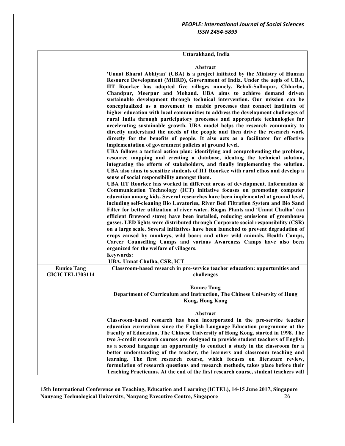| Uttarakhand, India |  |
|--------------------|--|
|--------------------|--|

#### **Abstract**

|                                              | 'Unnat Bharat Abhiyan' (UBA) is a project initiated by the Ministry of Human<br>Resource Development (MHRD), Government of India. Under the aegis of UBA,<br>IIT Roorkee has adopted five villages namely, Beladi-Salhapur, Chharba,<br>Chandpur, Meerpur and Mohand. UBA aims to achieve demand driven<br>sustainable development through technical intervention. Our mission can be<br>conceptualized as a movement to enable processes that connect institutes of<br>higher education with local communities to address the development challenges of<br>rural India through participatory processes and appropriate technologies for<br>accelerating sustainable growth. UBA model helps the research community to<br>directly understand the needs of the people and then drive the research work<br>directly for the benefits of people. It also acts as a facilitator for effective<br>implementation of government policies at ground level.<br>UBA follows a tactical action plan: identifying and comprehending the problem,<br>resource mapping and creating a database, ideating the technical solution,<br>integrating the efforts of stakeholders, and finally implementing the solution.<br>UBA also aims to sensitize students of IIT Roorkee with rural ethos and develop a<br>sense of social responsibility amongst them.<br>UBA IIT Roorkee has worked in different areas of development. Information &<br>Communication Technology (ICT) initiative focuses on promoting computer<br>education among kids. Several researches have been implemented at ground level,<br>including self-cleaning Bio Lavatories, River Bed Filtration System and Bio Sand<br>Filter for better utilization of river water. Biogas Plants and 'Unnat Chulha' (an<br>efficient firewood stove) have been installed, reducing emissions of greenhouse<br>gasses. LED lights were distributed through Corporate social responsibility (CSR)<br>on a large scale. Several initiatives have been launched to prevent degradation of<br>crops caused by monkeys, wild boars and other wild animals. Health Camps,<br>Career Counselling Camps and various Awareness Camps have also been<br>organized for the welfare of villagers.<br><b>Keywords:</b><br>UBA, Unnat Chulha, CSR, ICT |
|----------------------------------------------|-------------------------------------------------------------------------------------------------------------------------------------------------------------------------------------------------------------------------------------------------------------------------------------------------------------------------------------------------------------------------------------------------------------------------------------------------------------------------------------------------------------------------------------------------------------------------------------------------------------------------------------------------------------------------------------------------------------------------------------------------------------------------------------------------------------------------------------------------------------------------------------------------------------------------------------------------------------------------------------------------------------------------------------------------------------------------------------------------------------------------------------------------------------------------------------------------------------------------------------------------------------------------------------------------------------------------------------------------------------------------------------------------------------------------------------------------------------------------------------------------------------------------------------------------------------------------------------------------------------------------------------------------------------------------------------------------------------------------------------------------------------------------------------------------------------------------------------------------------------------------------------------------------------------------------------------------------------------------------------------------------------------------------------------------------------------------------------------------------------------------------------------------------------------------------------------------------------------------------------------------------------------------------------|
| <b>Eunice Tang</b><br><b>GICICTEL1703114</b> | Classroom-based research in pre-service teacher education: opportunities and<br>challenges                                                                                                                                                                                                                                                                                                                                                                                                                                                                                                                                                                                                                                                                                                                                                                                                                                                                                                                                                                                                                                                                                                                                                                                                                                                                                                                                                                                                                                                                                                                                                                                                                                                                                                                                                                                                                                                                                                                                                                                                                                                                                                                                                                                          |
|                                              | <b>Eunice Tang</b><br>Department of Curriculum and Instruction, The Chinese University of Hong<br><b>Kong, Hong Kong</b>                                                                                                                                                                                                                                                                                                                                                                                                                                                                                                                                                                                                                                                                                                                                                                                                                                                                                                                                                                                                                                                                                                                                                                                                                                                                                                                                                                                                                                                                                                                                                                                                                                                                                                                                                                                                                                                                                                                                                                                                                                                                                                                                                            |
|                                              | Abstract<br>Classroom-based research has been incorporated in the pre-service teacher<br>education curriculum since the English Language Education programme at the<br>Faculty of Education, The Chinese University of Hong Kong, started in 1998. The<br>two 3-credit research courses are designed to provide student teachers of English<br>as a second language an opportunity to conduct a study in the classroom for a<br>better understanding of the teacher, the learners and classroom teaching and<br>learning. The first research course, which focuses on literature review,<br>formulation of research questions and research methods, takes place before their<br>Teaching Practicums. At the end of the first research course, student teachers will                                                                                                                                                                                                                                                                                                                                                                                                                                                                                                                                                                                                                                                                                                                                                                                                                                                                                                                                                                                                                                                                                                                                                                                                                                                                                                                                                                                                                                                                                                                 |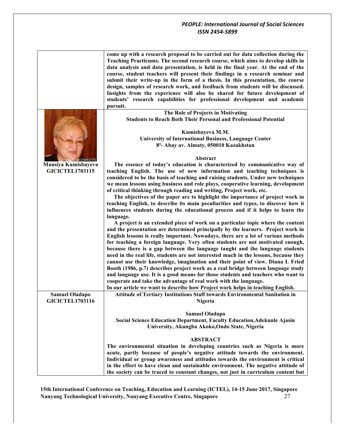|                                               | come up with a research proposal to be carried out for data collection during the<br>Teaching Practicums. The second research course, which aims to develop skills in<br>data analysis and data presentation, is held in the final year. At the end of the<br>course, student teachers will present their findings in a research seminar and<br>submit their write-up in the form of a thesis. In this presentation, the course<br>design, samples of research work, and feedback from students will be discussed.<br>Insights from the experience will also be shared for future development of<br>students' research capabilities for professional development and academic<br>pursuit. |
|-----------------------------------------------|-------------------------------------------------------------------------------------------------------------------------------------------------------------------------------------------------------------------------------------------------------------------------------------------------------------------------------------------------------------------------------------------------------------------------------------------------------------------------------------------------------------------------------------------------------------------------------------------------------------------------------------------------------------------------------------------|
|                                               | The Role of Projects in Motivating                                                                                                                                                                                                                                                                                                                                                                                                                                                                                                                                                                                                                                                        |
|                                               | <b>Students to Reach Both Their Personal and Professional Potential</b>                                                                                                                                                                                                                                                                                                                                                                                                                                                                                                                                                                                                                   |
|                                               | Kumisbayeva M.M.                                                                                                                                                                                                                                                                                                                                                                                                                                                                                                                                                                                                                                                                          |
|                                               | <b>University of International Business, Language Center</b>                                                                                                                                                                                                                                                                                                                                                                                                                                                                                                                                                                                                                              |
|                                               | 8 <sup>a</sup> - Abay av. Almaty, 050010 Kazakhstan                                                                                                                                                                                                                                                                                                                                                                                                                                                                                                                                                                                                                                       |
|                                               |                                                                                                                                                                                                                                                                                                                                                                                                                                                                                                                                                                                                                                                                                           |
|                                               |                                                                                                                                                                                                                                                                                                                                                                                                                                                                                                                                                                                                                                                                                           |
| ассники пі                                    | Abstract                                                                                                                                                                                                                                                                                                                                                                                                                                                                                                                                                                                                                                                                                  |
| Mansiya Kumisbayeva<br><b>GICICTEL1703115</b> | The essence of today's education is characterized by communicative way of<br>teaching English. The use of new information and teaching techniques is<br>considered to be the basis of teaching and raising students. Under new techniques<br>we mean lessons using business and role plays, cooperative learning, development<br>of critical thinking through reading and writing, Project work, etc.                                                                                                                                                                                                                                                                                     |
|                                               | The objectives of the paper are to highlight the importance of project work in                                                                                                                                                                                                                                                                                                                                                                                                                                                                                                                                                                                                            |
|                                               | teaching English, to describe its main peculiarities and types, to discover how it                                                                                                                                                                                                                                                                                                                                                                                                                                                                                                                                                                                                        |
|                                               | influences students during the educational process and if it helps to learn the                                                                                                                                                                                                                                                                                                                                                                                                                                                                                                                                                                                                           |
|                                               | language.                                                                                                                                                                                                                                                                                                                                                                                                                                                                                                                                                                                                                                                                                 |
|                                               | A project is an extended piece of work on a particular topic where the content                                                                                                                                                                                                                                                                                                                                                                                                                                                                                                                                                                                                            |
|                                               |                                                                                                                                                                                                                                                                                                                                                                                                                                                                                                                                                                                                                                                                                           |
|                                               | and the presentation are determined principally by the learners. Project work in                                                                                                                                                                                                                                                                                                                                                                                                                                                                                                                                                                                                          |
|                                               | English lessons is really important. Nowadays, there are a lot of various methods                                                                                                                                                                                                                                                                                                                                                                                                                                                                                                                                                                                                         |
|                                               | for teaching a foreign language. Very often students are not motivated enough,                                                                                                                                                                                                                                                                                                                                                                                                                                                                                                                                                                                                            |
|                                               | because there is a gap between the language taught and the language students                                                                                                                                                                                                                                                                                                                                                                                                                                                                                                                                                                                                              |
|                                               | need in the real life, students are not interested much in the lessons, because they                                                                                                                                                                                                                                                                                                                                                                                                                                                                                                                                                                                                      |
|                                               | cannot use their knowledge, imagination and their point of view. Diana L Fried                                                                                                                                                                                                                                                                                                                                                                                                                                                                                                                                                                                                            |
|                                               | Booth (1986, p.7) describes project work as a real bridge between language study                                                                                                                                                                                                                                                                                                                                                                                                                                                                                                                                                                                                          |
|                                               | and language use. It is a good means for those students and teachers who want to                                                                                                                                                                                                                                                                                                                                                                                                                                                                                                                                                                                                          |
|                                               | cooperate and take the advantage of real work with the language.                                                                                                                                                                                                                                                                                                                                                                                                                                                                                                                                                                                                                          |
|                                               |                                                                                                                                                                                                                                                                                                                                                                                                                                                                                                                                                                                                                                                                                           |
|                                               | In our article we want to describe how Project work helps in teaching English.                                                                                                                                                                                                                                                                                                                                                                                                                                                                                                                                                                                                            |
| <b>Samuel Oladapo</b>                         | Attitude of Tertiary Institutions Staff towards Environmental Sanitation in                                                                                                                                                                                                                                                                                                                                                                                                                                                                                                                                                                                                               |
| <b>GICICTEL1703116</b>                        | Nigeria                                                                                                                                                                                                                                                                                                                                                                                                                                                                                                                                                                                                                                                                                   |
|                                               |                                                                                                                                                                                                                                                                                                                                                                                                                                                                                                                                                                                                                                                                                           |
|                                               | <b>Samuel Oladapo</b>                                                                                                                                                                                                                                                                                                                                                                                                                                                                                                                                                                                                                                                                     |
|                                               | Social Science Education Department, Faculty Education, Adekunle Ajasin                                                                                                                                                                                                                                                                                                                                                                                                                                                                                                                                                                                                                   |
|                                               | University, Akungba Akoko, Ondo State, Nigeria                                                                                                                                                                                                                                                                                                                                                                                                                                                                                                                                                                                                                                            |
|                                               |                                                                                                                                                                                                                                                                                                                                                                                                                                                                                                                                                                                                                                                                                           |
|                                               | <b>ABSTRACT</b>                                                                                                                                                                                                                                                                                                                                                                                                                                                                                                                                                                                                                                                                           |
|                                               | The environmental situation in developing countries such as Nigeria is more                                                                                                                                                                                                                                                                                                                                                                                                                                                                                                                                                                                                               |
|                                               |                                                                                                                                                                                                                                                                                                                                                                                                                                                                                                                                                                                                                                                                                           |
|                                               | acute, partly because of people's negative attitude towards the environment.                                                                                                                                                                                                                                                                                                                                                                                                                                                                                                                                                                                                              |
|                                               | Individual or group awareness and attitudes towards the environment is critical                                                                                                                                                                                                                                                                                                                                                                                                                                                                                                                                                                                                           |
|                                               | in the effort to have clean and sustainable environment. The negative attitude of                                                                                                                                                                                                                                                                                                                                                                                                                                                                                                                                                                                                         |
|                                               | the society can be traced to constant changes, not just in curriculum content but                                                                                                                                                                                                                                                                                                                                                                                                                                                                                                                                                                                                         |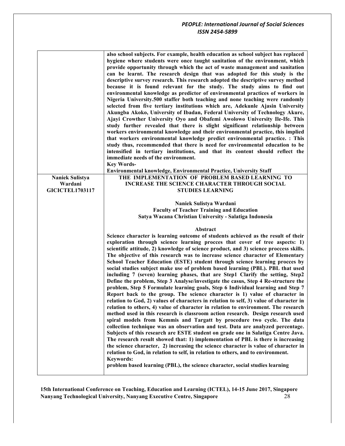|                                   | also school subjects. For example, health education as school subject has replaced<br>hygiene where students were once taught sanitation of the environment, which<br>provide opportunity through which the act of waste management and sanitation<br>can be learnt. The research design that was adopted for this study is the<br>descriptive survey research. This research adopted the descriptive survey method<br>because it is found relevant for the study. The study aims to find out<br>environmental knowledge as predictor of environmental practices of workers in<br>Nigeria University.500 staffer both teaching and none teaching were randomly<br>selected from five tertiary institutions which are, Adekunle Ajasin University<br>Akungba Akoko, University of Ibadan, Federal University of Technology Akure,<br>Ajayi Crowther University Oyo and Obafemi Awolowo University Ile-Ife. This<br>study further revealed that there is slight significant relationship between<br>workers environmental knowledge and their environmental practice, this implied<br>that workers environmental knowledge predict environmental practice. : This<br>study thus, recommended that there is need for environmental education to be<br>intensified in tertiary institutions, and that its content should reflect the<br>immediate needs of the environment.<br><b>Key Words-</b><br>Environmental knowledge, Environmental Practice, University Staff                                                                                                                                                                                                                                                                            |
|-----------------------------------|----------------------------------------------------------------------------------------------------------------------------------------------------------------------------------------------------------------------------------------------------------------------------------------------------------------------------------------------------------------------------------------------------------------------------------------------------------------------------------------------------------------------------------------------------------------------------------------------------------------------------------------------------------------------------------------------------------------------------------------------------------------------------------------------------------------------------------------------------------------------------------------------------------------------------------------------------------------------------------------------------------------------------------------------------------------------------------------------------------------------------------------------------------------------------------------------------------------------------------------------------------------------------------------------------------------------------------------------------------------------------------------------------------------------------------------------------------------------------------------------------------------------------------------------------------------------------------------------------------------------------------------------------------------------------------------------------------------------------------------------|
|                                   |                                                                                                                                                                                                                                                                                                                                                                                                                                                                                                                                                                                                                                                                                                                                                                                                                                                                                                                                                                                                                                                                                                                                                                                                                                                                                                                                                                                                                                                                                                                                                                                                                                                                                                                                              |
| <b>Naniek Sulistya</b>            | THE IMPLEMENTATION OF PROBLEM BASED LEARNING TO<br><b>INCREASE THE SCIENCE CHARACTER THROUGH SOCIAL</b>                                                                                                                                                                                                                                                                                                                                                                                                                                                                                                                                                                                                                                                                                                                                                                                                                                                                                                                                                                                                                                                                                                                                                                                                                                                                                                                                                                                                                                                                                                                                                                                                                                      |
| Wardani<br><b>GICICTEL1703117</b> | <b>STUDIES LEARNING</b>                                                                                                                                                                                                                                                                                                                                                                                                                                                                                                                                                                                                                                                                                                                                                                                                                                                                                                                                                                                                                                                                                                                                                                                                                                                                                                                                                                                                                                                                                                                                                                                                                                                                                                                      |
|                                   |                                                                                                                                                                                                                                                                                                                                                                                                                                                                                                                                                                                                                                                                                                                                                                                                                                                                                                                                                                                                                                                                                                                                                                                                                                                                                                                                                                                                                                                                                                                                                                                                                                                                                                                                              |
|                                   | Naniek Sulistya Wardani                                                                                                                                                                                                                                                                                                                                                                                                                                                                                                                                                                                                                                                                                                                                                                                                                                                                                                                                                                                                                                                                                                                                                                                                                                                                                                                                                                                                                                                                                                                                                                                                                                                                                                                      |
|                                   | <b>Faculty of Teacher Training and Education</b>                                                                                                                                                                                                                                                                                                                                                                                                                                                                                                                                                                                                                                                                                                                                                                                                                                                                                                                                                                                                                                                                                                                                                                                                                                                                                                                                                                                                                                                                                                                                                                                                                                                                                             |
|                                   | Satya Wacana Christian University - Salatiga Indonesia                                                                                                                                                                                                                                                                                                                                                                                                                                                                                                                                                                                                                                                                                                                                                                                                                                                                                                                                                                                                                                                                                                                                                                                                                                                                                                                                                                                                                                                                                                                                                                                                                                                                                       |
|                                   |                                                                                                                                                                                                                                                                                                                                                                                                                                                                                                                                                                                                                                                                                                                                                                                                                                                                                                                                                                                                                                                                                                                                                                                                                                                                                                                                                                                                                                                                                                                                                                                                                                                                                                                                              |
|                                   | Abstract                                                                                                                                                                                                                                                                                                                                                                                                                                                                                                                                                                                                                                                                                                                                                                                                                                                                                                                                                                                                                                                                                                                                                                                                                                                                                                                                                                                                                                                                                                                                                                                                                                                                                                                                     |
|                                   | Science character is learning outcome of students achieved as the result of their<br>exploration through science learning procces that cover of tree aspects: 1)<br>scientific attitude, 2) knowledge of science product, and 3) science proccess skills.<br>The objective of this research was to increase science character of Elementary<br>School Teacher Education (ESTE) student through science learning procces by<br>social studies subject make use of problem based learning (PBL). PBL that used<br>including 7 (seven) learning phases, that are Step1 Clarify the setting, Step2<br>Define the problem, Step 3 Analyse/investigate the casus, Step 4 Re-structure the<br>problem, Step 5 Formulate learning goals, Step 6 Individual learning and Step 7<br>Report back to the group. The science character is 1) value of character in<br>relation to God, 2) values of characters in relation to self, 3) value of character in<br>relation to others, 4) value of character in relation to environment. The research<br>method used in this research is classroom action research. Design research used<br>spiral models from Kemmis and Targatt by procedure two cycle. The data<br>collection technique was an observation and test. Data are analyzed percentage.<br>Subjects of this research are ESTE student on grade one in Salatiga Centre Java.<br>The research result showed that: 1) implementation of PBL is there is increasing<br>the science character, 2) increasing the science character is value of character in<br>relation to God, in relation to self, in relation to others, and to environment.<br><b>Keywords:</b><br>problem based learning (PBL), the science character, social studies learning |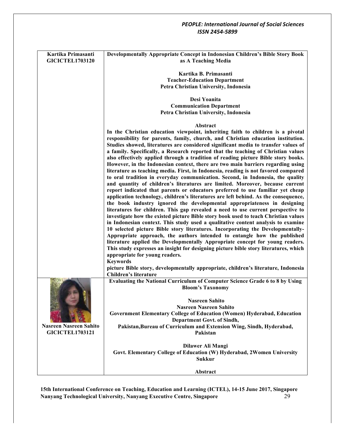| Kartika Primasanti<br><b>GICICTEL1703120</b> | Developmentally Appropriate Concept in Indonesian Children's Bible Story Book<br>as A Teaching Media                                                        |
|----------------------------------------------|-------------------------------------------------------------------------------------------------------------------------------------------------------------|
|                                              |                                                                                                                                                             |
|                                              | Kartika B. Primasanti<br><b>Teacher-Education Department</b>                                                                                                |
|                                              | Petra Christian University, Indonesia                                                                                                                       |
|                                              |                                                                                                                                                             |
|                                              | Desi Yoanita                                                                                                                                                |
|                                              | <b>Communication Department</b>                                                                                                                             |
|                                              | Petra Christian University, Indonesia                                                                                                                       |
|                                              | Abstract                                                                                                                                                    |
|                                              | In the Christian education viewpoint, inheriting faith to children is a pivotal                                                                             |
|                                              | responsibility for parents, family, church, and Christian education institution.                                                                            |
|                                              | Studies showed, literatures are considered significant media to transfer values of                                                                          |
|                                              | a family. Specifically, a Research reported that the teaching of Christian values                                                                           |
|                                              | also effectively applied through a tradition of reading picture Bible story books.                                                                          |
|                                              | However, in the Indonesian context, there are two main barriers regarding using                                                                             |
|                                              | literature as teaching media. First, in Indonesia, reading is not favored compared                                                                          |
|                                              | to oral tradition in everyday communication. Second, in Indonesia, the quality                                                                              |
|                                              | and quantity of children's literatures are limited. Moreover, because current                                                                               |
|                                              | report indicated that parents or educators preferred to use familiar yet cheap                                                                              |
|                                              | application technology, children's literatures are left behind. As the consequence,                                                                         |
|                                              | the book industry ignored the developmental appropriateness in designing                                                                                    |
|                                              | literatures for children. This gap revealed a need to use current perspective to                                                                            |
|                                              | investigate how the existed picture Bible story book used to teach Christian values                                                                         |
|                                              | in Indonesian context. This study used a qualitative content analysis to examine                                                                            |
|                                              | 10 selected picture Bible story literatures. Incorporating the Developmentally-<br>Appropriate approach, the authors intended to entangle how the published |
|                                              | literature applied the Developmentally Appropriate concept for young readers.                                                                               |
|                                              | This study expresses an insight for designing picture bible story literatures, which                                                                        |
|                                              | appropriate for young readers.                                                                                                                              |
|                                              | <b>Keywords</b>                                                                                                                                             |
|                                              | picture Bible story, developmentally appropriate, children's literature, Indonesia                                                                          |
|                                              | Children's literature                                                                                                                                       |
|                                              | Evaluating the National Curriculum of Computer Science Grade 6 to 8 by Using                                                                                |
|                                              | <b>Bloom's Taxonomy</b>                                                                                                                                     |
|                                              |                                                                                                                                                             |
|                                              | <b>Nasreen Sahito</b>                                                                                                                                       |
|                                              | <b>Nasreen Nasreen Sahito</b>                                                                                                                               |
|                                              | Government Elementary College of Education (Women) Hyderabad, Education                                                                                     |
|                                              | Department Govt. of Sindh,                                                                                                                                  |
| <b>Nasreen Nasreen Sahito</b>                | Pakistan, Bureau of Curriculum and Extension Wing, Sindh, Hyderabad,                                                                                        |
| <b>GICICTEL1703121</b>                       | Pakistan                                                                                                                                                    |
|                                              | Dilawer Ali Mangi                                                                                                                                           |
|                                              | Govt. Elementary College of Education (W) Hyderabad, 2Women University                                                                                      |
|                                              | <b>Sukkur</b>                                                                                                                                               |
|                                              |                                                                                                                                                             |
|                                              | Abstract                                                                                                                                                    |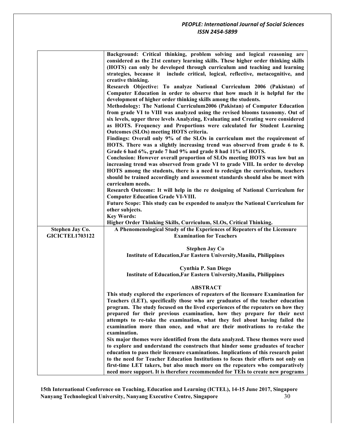|                        | Background: Critical thinking, problem solving and logical reasoning are                                                                                 |
|------------------------|----------------------------------------------------------------------------------------------------------------------------------------------------------|
|                        | considered as the 21st century learning skills. These higher order thinking skills                                                                       |
|                        | (HOTS) can only be developed through curriculum and teaching and learning                                                                                |
|                        | strategies, because it include critical, logical, reflective, metacognitive, and                                                                         |
|                        | creative thinking.                                                                                                                                       |
|                        | Research Objective: To analyze National Curriculum 2006 (Pakistan) of                                                                                    |
|                        | Computer Education in order to observe that how much it is helpful for the                                                                               |
|                        | development of higher order thinking skills among the students.                                                                                          |
|                        | Methodology: The National Curriculum2006 (Pakistan) of Computer Education                                                                                |
|                        | from grade VI to VIII was analyzed using the revised blooms taxonomy. Out of                                                                             |
|                        | six levels, upper three levels Analyzing, Evaluating and Creating were considered                                                                        |
|                        | as HOTS. Frequency and Proportions were calculated for Student Learning                                                                                  |
|                        | Outcomes (SLOs) meeting HOTS criteria.                                                                                                                   |
|                        | Findings: Overall only 9% of the SLOs in curriculum met the requirement of                                                                               |
|                        | HOTS. There was a slightly increasing trend was observed from grade 6 to 8.                                                                              |
|                        | Grade 6 had 6%, grade 7 had 9% and grade 8 had 11% of HOTS.                                                                                              |
|                        | Conclusion: However overall proportion of SLOs meeting HOTS was low but an                                                                               |
|                        | increasing trend was observed from grade VI to grade VIII. In order to develop                                                                           |
|                        | HOTS among the students, there is a need to redesign the curriculum, teachers                                                                            |
|                        | should be trained accordingly and assessment standards should also be meet with                                                                          |
|                        | curriculum needs.                                                                                                                                        |
|                        | Research Outcome: It will help in the re designing of National Curriculum for                                                                            |
|                        | <b>Computer Education Grade VI-VIII.</b>                                                                                                                 |
|                        | Future Scope: This study can be expended to analyze the National Curriculum for                                                                          |
|                        | other subjects.                                                                                                                                          |
|                        |                                                                                                                                                          |
|                        | <b>Key Words:</b>                                                                                                                                        |
|                        | Higher Order Thinking Skills, Curriculum, SLOs, Critical Thinking.                                                                                       |
| Stephen Jay Co.        | A Phenomenological Study of the Experiences of Repeaters of the Licensure                                                                                |
| <b>GICICTEL1703122</b> | <b>Examination for Teachers</b>                                                                                                                          |
|                        |                                                                                                                                                          |
|                        | <b>Stephen Jay Co</b>                                                                                                                                    |
|                        | Institute of Education, Far Eastern University, Manila, Philippines                                                                                      |
|                        |                                                                                                                                                          |
|                        | <b>Cynthia P. San Diego</b>                                                                                                                              |
|                        | <b>Institute of Education, Far Eastern University, Manila, Philippines</b>                                                                               |
|                        |                                                                                                                                                          |
|                        | <b>ABSTRACT</b>                                                                                                                                          |
|                        | This study explored the experiences of repeaters of the licensure Examination for                                                                        |
|                        | Teachers (LET), specifically those who are graduates of the teacher education                                                                            |
|                        | program. The study focused on the lived experiences of the repeaters on how they                                                                         |
|                        | prepared for their previous examination, how they prepare for their next                                                                                 |
|                        | attempts to re-take the examination, what they feel about having failed the<br>examination more than once, and what are their motivations to re-take the |
|                        | examination.                                                                                                                                             |
|                        | Six major themes were identified from the data analyzed. These themes were used                                                                          |
|                        | to explore and understand the constructs that hinder some graduates of teacher                                                                           |
|                        | education to pass their licensure examinations. Implications of this research point                                                                      |
|                        | to the need for Teacher Education Institutions to focus their efforts not only on                                                                        |
|                        | first-time LET takers, but also much more on the repeaters who comparatively                                                                             |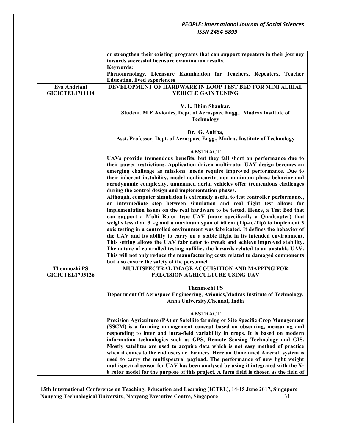|                        | or strengthen their existing programs that can support repeaters in their journey<br>towards successful licensure examination results.                                                                                                                                                                                                                                                                                                                                                                                                                                                                                                                                                                                                                                                                                                                                                                                                                                                                                                                                                                                                                                                                                                                                                                                           |
|------------------------|----------------------------------------------------------------------------------------------------------------------------------------------------------------------------------------------------------------------------------------------------------------------------------------------------------------------------------------------------------------------------------------------------------------------------------------------------------------------------------------------------------------------------------------------------------------------------------------------------------------------------------------------------------------------------------------------------------------------------------------------------------------------------------------------------------------------------------------------------------------------------------------------------------------------------------------------------------------------------------------------------------------------------------------------------------------------------------------------------------------------------------------------------------------------------------------------------------------------------------------------------------------------------------------------------------------------------------|
|                        | <b>Keywords:</b><br>Phenomenology, Licensure Examination for Teachers, Repeaters, Teacher<br><b>Education, lived experiences</b>                                                                                                                                                                                                                                                                                                                                                                                                                                                                                                                                                                                                                                                                                                                                                                                                                                                                                                                                                                                                                                                                                                                                                                                                 |
| Eva Andriani           | DEVELOPMENT OF HARDWARE IN LOOP TEST BED FOR MINI AERIAL                                                                                                                                                                                                                                                                                                                                                                                                                                                                                                                                                                                                                                                                                                                                                                                                                                                                                                                                                                                                                                                                                                                                                                                                                                                                         |
| <b>GICICTEL1711114</b> | <b>VEHICLE GAIN TUNING</b>                                                                                                                                                                                                                                                                                                                                                                                                                                                                                                                                                                                                                                                                                                                                                                                                                                                                                                                                                                                                                                                                                                                                                                                                                                                                                                       |
|                        | V. L. Bhim Shankar,<br>Student, M E Avionics, Dept. of Aerospace Engg., Madras Institute of<br><b>Technology</b>                                                                                                                                                                                                                                                                                                                                                                                                                                                                                                                                                                                                                                                                                                                                                                                                                                                                                                                                                                                                                                                                                                                                                                                                                 |
|                        |                                                                                                                                                                                                                                                                                                                                                                                                                                                                                                                                                                                                                                                                                                                                                                                                                                                                                                                                                                                                                                                                                                                                                                                                                                                                                                                                  |
|                        | Dr. G. Anitha,<br>Asst. Professor, Dept. of Aerospace Engg., Madras Institute of Technology                                                                                                                                                                                                                                                                                                                                                                                                                                                                                                                                                                                                                                                                                                                                                                                                                                                                                                                                                                                                                                                                                                                                                                                                                                      |
|                        | <b>ABSTRACT</b>                                                                                                                                                                                                                                                                                                                                                                                                                                                                                                                                                                                                                                                                                                                                                                                                                                                                                                                                                                                                                                                                                                                                                                                                                                                                                                                  |
|                        | UAVs provide tremendous benefits, but they fall short on performance due to<br>their power restrictions. Application driven multi-rotor UAV design becomes an<br>emerging challenge as missions' needs require improved performance. Due to<br>their inherent instability, model nonlinearity, non-minimum phase behavior and<br>aerodynamic complexity, unmanned aerial vehicles offer tremendous challenges<br>during the control design and implementation phases.<br>Although, computer simulation is extremely useful to test controller performance,<br>an intermediate step between simulation and real flight test allows for<br>implementation issues on the real hardware to be tested. Hence, a Test Bed that<br>can support a Multi Rotor type UAV (more specifically a Quadcopter) that<br>weighs less than $3$ kg and a maximum span of 60 cm (Tip-to-Tip) to implement $3$<br>axis testing in a controlled environment was fabricated. It defines the behavior of<br>the UAV and its ability to carry on a stable flight in its intended environment.<br>This setting allows the UAV fabricator to tweak and achieve improved stability.<br>The nature of controlled testing nullifies the hazards related to an unstable UAV.<br>This will not only reduce the manufacturing costs related to damaged components |
| <b>Thenmozhi PS</b>    | but also ensure the safety of the personnel.<br>MULTISPECTRAL IMAGE ACQUISITION AND MAPPING FOR                                                                                                                                                                                                                                                                                                                                                                                                                                                                                                                                                                                                                                                                                                                                                                                                                                                                                                                                                                                                                                                                                                                                                                                                                                  |
| <b>GICICTEL1703126</b> | PRECISION AGRICULTURE USING UAV                                                                                                                                                                                                                                                                                                                                                                                                                                                                                                                                                                                                                                                                                                                                                                                                                                                                                                                                                                                                                                                                                                                                                                                                                                                                                                  |
|                        | <b>Thenmozhi PS</b><br>Department Of Aerospace Engineering, Avionics, Madras Institute of Technology,<br>Anna University, Chennai, India                                                                                                                                                                                                                                                                                                                                                                                                                                                                                                                                                                                                                                                                                                                                                                                                                                                                                                                                                                                                                                                                                                                                                                                         |
|                        | <b>ABSTRACT</b><br>Precision Agriculture (PA) or Satellite farming or Site Specific Crop Management<br>(SSCM) is a farming management concept based on observing, measuring and<br>responding to inter and intra-field variability in crops. It is based on modern<br>information technologies such as GPS, Remote Sensing Technology and GIS.<br>Mostly satellites are used to acquire data which is not easy method of practice<br>when it comes to the end users i.e. farmers. Here an Unmanned Aircraft system is<br>used to carry the multispectral payload. The performance of new light weight<br>multispectral sensor for UAV has been analysed by using it integrated with the X-<br>8 rotor model for the purpose of this project. A farm field is chosen as the field of                                                                                                                                                                                                                                                                                                                                                                                                                                                                                                                                              |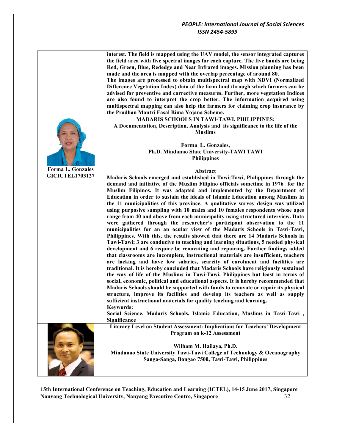|                          | interest. The field is mapped using the UAV model, the sensor integrated captures<br>the field area with five spectral images for each capture. The five bands are being<br>Red, Green, Blue, Rededge and Near Infrared images. Mission planning has been<br>made and the area is mapped with the overlap percentage of around 80.<br>The images are processed to obtain multispectral map with NDVI (Normalized<br>Difference Vegetation Index) data of the farm land through which farmers can be<br>advised for preventive and corrective measures. Further, more vegetation Indices<br>are also found to interpret the crop better. The information acquired using<br>multispectral mapping can also help the farmers for claiming crop insurance by<br>the Pradhan Mantri Fasal Bima Yojana Scheme.                                                                                                                                                                                                                                                                                                                                                                                                                                                                                                                                                                                                                                                                                                                                                                                                                                                                                                               |
|--------------------------|------------------------------------------------------------------------------------------------------------------------------------------------------------------------------------------------------------------------------------------------------------------------------------------------------------------------------------------------------------------------------------------------------------------------------------------------------------------------------------------------------------------------------------------------------------------------------------------------------------------------------------------------------------------------------------------------------------------------------------------------------------------------------------------------------------------------------------------------------------------------------------------------------------------------------------------------------------------------------------------------------------------------------------------------------------------------------------------------------------------------------------------------------------------------------------------------------------------------------------------------------------------------------------------------------------------------------------------------------------------------------------------------------------------------------------------------------------------------------------------------------------------------------------------------------------------------------------------------------------------------------------------------------------------------------------------------------------------------|
|                          | MADARIS SCHOOLS IN TAWI-TAWI, PHILIPPINES:                                                                                                                                                                                                                                                                                                                                                                                                                                                                                                                                                                                                                                                                                                                                                                                                                                                                                                                                                                                                                                                                                                                                                                                                                                                                                                                                                                                                                                                                                                                                                                                                                                                                             |
|                          | A Documentation, Description, Analysis and its significance to the life of the<br><b>Muslims</b>                                                                                                                                                                                                                                                                                                                                                                                                                                                                                                                                                                                                                                                                                                                                                                                                                                                                                                                                                                                                                                                                                                                                                                                                                                                                                                                                                                                                                                                                                                                                                                                                                       |
|                          | Forma L. Gonzales,                                                                                                                                                                                                                                                                                                                                                                                                                                                                                                                                                                                                                                                                                                                                                                                                                                                                                                                                                                                                                                                                                                                                                                                                                                                                                                                                                                                                                                                                                                                                                                                                                                                                                                     |
|                          | Ph.D. Mindanao State University-TAWI TAWI                                                                                                                                                                                                                                                                                                                                                                                                                                                                                                                                                                                                                                                                                                                                                                                                                                                                                                                                                                                                                                                                                                                                                                                                                                                                                                                                                                                                                                                                                                                                                                                                                                                                              |
|                          | <b>Philippines</b>                                                                                                                                                                                                                                                                                                                                                                                                                                                                                                                                                                                                                                                                                                                                                                                                                                                                                                                                                                                                                                                                                                                                                                                                                                                                                                                                                                                                                                                                                                                                                                                                                                                                                                     |
| <b>Forma L. Gonzales</b> |                                                                                                                                                                                                                                                                                                                                                                                                                                                                                                                                                                                                                                                                                                                                                                                                                                                                                                                                                                                                                                                                                                                                                                                                                                                                                                                                                                                                                                                                                                                                                                                                                                                                                                                        |
|                          |                                                                                                                                                                                                                                                                                                                                                                                                                                                                                                                                                                                                                                                                                                                                                                                                                                                                                                                                                                                                                                                                                                                                                                                                                                                                                                                                                                                                                                                                                                                                                                                                                                                                                                                        |
| <b>GICICTEL1703127</b>   | Abstract<br>Madaris Schools emerged and established in Tawi-Tawi, Philippines through the<br>demand and initiative of the Muslim Filipino officials sometime in 1976 for the<br>Muslim Filipinos. It was adapted and implemented by the Department of<br>Education in order to sustain the ideals of Islamic Education among Muslims in<br>the 11 municipalities of this province. A qualitative survey design was utilized<br>using purposive sampling with 10 males and 10 females respondents whose ages<br>range from 40 and above from each municipality using structured interview. Data<br>were gathered through the researcher's participant observation to the 11<br>municipalities for an an ocular view of the Madaris Schools in Tawi-Tawi,<br>Philippines. With this, the results showed that there are 14 Madaris Schools in<br>Tawi-Tawi; 3 are conducive to teaching and learning situations, 5 needed physical<br>development and 6 require be renovating and repairing. Further findings added<br>that classrooms are incomplete, instructional materials are insufficient, teachers<br>are lacking and have low salaries, scarcity of enrolment and facilities are<br>traditional. It is hereby concluded that Madaris Schools have religiously sustained<br>the way of life of the Muslims in Tawi-Tawi, Philippines but least in terms of<br>social, economic, political and educational aspects. It is hereby recommended that<br>Madaris Schools should be supported with funds to renovate or repair its physical<br>structure, improve its facilities and develop its teachers as well as supply<br>sufficient instructional materials for quality teaching and learning.<br><b>Keywords:</b> |
|                          | Social Science, Madaris Schools, Islamic Education, Muslims in Tawi-Tawi,                                                                                                                                                                                                                                                                                                                                                                                                                                                                                                                                                                                                                                                                                                                                                                                                                                                                                                                                                                                                                                                                                                                                                                                                                                                                                                                                                                                                                                                                                                                                                                                                                                              |
|                          | Significance                                                                                                                                                                                                                                                                                                                                                                                                                                                                                                                                                                                                                                                                                                                                                                                                                                                                                                                                                                                                                                                                                                                                                                                                                                                                                                                                                                                                                                                                                                                                                                                                                                                                                                           |
|                          | Literacy Level on Student Assessment: Implications for Teachers' Development<br>Program on k-12 Assessment                                                                                                                                                                                                                                                                                                                                                                                                                                                                                                                                                                                                                                                                                                                                                                                                                                                                                                                                                                                                                                                                                                                                                                                                                                                                                                                                                                                                                                                                                                                                                                                                             |
|                          | Wilham M. Hailaya, Ph.D.<br>Mindanao State University Tawi-Tawi College of Technology & Oceanography<br>Sanga-Sanga, Bongao 7500, Tawi-Tawi, Philippines                                                                                                                                                                                                                                                                                                                                                                                                                                                                                                                                                                                                                                                                                                                                                                                                                                                                                                                                                                                                                                                                                                                                                                                                                                                                                                                                                                                                                                                                                                                                                               |
|                          |                                                                                                                                                                                                                                                                                                                                                                                                                                                                                                                                                                                                                                                                                                                                                                                                                                                                                                                                                                                                                                                                                                                                                                                                                                                                                                                                                                                                                                                                                                                                                                                                                                                                                                                        |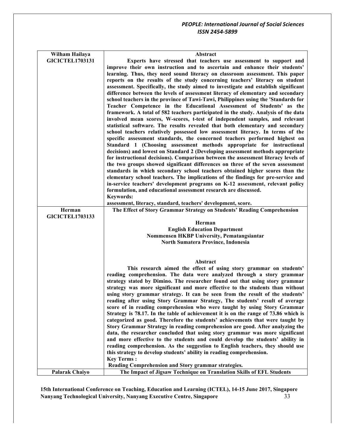| Wilham Hailaya         | Abstract                                                                            |
|------------------------|-------------------------------------------------------------------------------------|
| <b>GICICTEL1703131</b> | Experts have stressed that teachers use assessment to support and                   |
|                        | improve their own instruction and to ascertain and enhance their students'          |
|                        | learning. Thus, they need sound literacy on classroom assessment. This paper        |
|                        | reports on the results of the study concerning teachers' literacy on student        |
|                        | assessment. Specifically, the study aimed to investigate and establish significant  |
|                        | difference between the levels of assessment literacy of elementary and secondary    |
|                        | school teachers in the province of Tawi-Tawi, Philippines using the 'Standards for  |
|                        | Teacher Competence in the Educational Assessment of Students' as the                |
|                        | framework. A total of 582 teachers participated in the study. Analysis of the data  |
|                        |                                                                                     |
|                        | involved mean scores, W-scores, t-test of independent samples, and relevant         |
|                        | statistical software. The results revealed that both elementary and secondary       |
|                        | school teachers relatively possessed low assessment literacy. In terms of the       |
|                        | specific assessment standards, the concerned teachers performed highest on          |
|                        | Standard 1 (Choosing assessment methods appropriate for instructional               |
|                        | decisions) and lowest on Standard 2 (Developing assessment methods appropriate      |
|                        | for instructional decisions). Comparison between the assessment literacy levels of  |
|                        | the two groups showed significant differences on three of the seven assessment      |
|                        | standards in which secondary school teachers obtained higher scores than the        |
|                        | elementary school teachers. The implications of the findings for pre-service and    |
|                        | in-service teachers' development programs on K-12 assessment, relevant policy       |
|                        | formulation, and educational assessment research are discussed.                     |
|                        | <b>Keywords:</b>                                                                    |
|                        | assessment, literacy, standard, teachers' development, score.                       |
| Herman                 | The Effect of Story Grammar Strategy on Students' Reading Comprehension             |
| <b>GICICTEL1703133</b> |                                                                                     |
|                        | Herman                                                                              |
|                        | <b>English Education Department</b>                                                 |
|                        | Nommensen HKBP University, Pematangsiantar                                          |
|                        | North Sumatera Province, Indonesia                                                  |
|                        |                                                                                     |
|                        |                                                                                     |
|                        | Abstract                                                                            |
|                        | This research aimed the effect of using story grammar on students'                  |
|                        | reading comprehension. The data were analyzed through a story grammar               |
|                        | strategy stated by Dimino. The researcher found out that using story grammar        |
|                        | strategy was more significant and more effective to the students than without       |
|                        | using story grammar strategy. It can be seen from the result of the students'       |
|                        | reading after using Story Grammar Strategy, The students' result of average         |
|                        |                                                                                     |
|                        | score of in reading comprehension who were taught by using Story Grammar            |
|                        | Strategy is 78.17. In the table of achievement it is on the range of 73.86 which is |
|                        | categorized as good. Therefore the students' achievements that were taught by       |
|                        | Story Grammar Strategy in reading comprehension are good. After analyzing the       |
|                        | data, the researcher concluded that using story grammar was more significant        |
|                        | and more effective to the students and could develop the students' ability in       |
|                        | reading comprehension. As the suggestion to English teachers, they should use       |
|                        | this strategy to develop students' ability in reading comprehension.                |
|                        | <b>Key Terms:</b>                                                                   |
|                        | Reading Comprehension and Story grammar strategies.                                 |
| Palarak Chaiyo         | The Impact of Jigsaw Technique on Translation Skills of EFL Students                |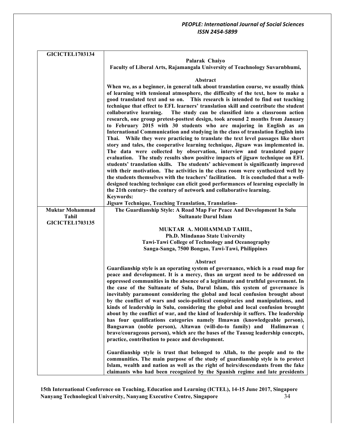| <b>GICICTEL1703134</b> |                                                                                                                                                                       |
|------------------------|-----------------------------------------------------------------------------------------------------------------------------------------------------------------------|
|                        | Palarak Chaiyo                                                                                                                                                        |
|                        | Faculty of Liberal Arts, Rajamangala University of Teachnology Suvarnbhumi,                                                                                           |
|                        |                                                                                                                                                                       |
|                        | Abstract                                                                                                                                                              |
|                        | When we, as a beginner, in general talk about translation course, we usually think                                                                                    |
|                        | of learning with tensional atmosphere, the difficulty of the text, how to make a                                                                                      |
|                        | good translated text and so on. This research is intended to find out teaching<br>technique that effect to EFL learners' translation skill and contribute the student |
|                        | collaborative learning.<br>The study can be classified into a classroom action                                                                                        |
|                        | research, one group pretest-posttest design, took around 2 months from January                                                                                        |
|                        | to February 2015 with 30 students who are majoring in English as an                                                                                                   |
|                        | International Communication and studying in the class of translation English into                                                                                     |
|                        | Thai. While they were practicing to translate the text level passages like short                                                                                      |
|                        | story and tales, the cooperative learning technique, Jigsaw was implemented in.                                                                                       |
|                        | The data were collected by observation, interview and translated paper<br>evaluation. The study results show positive impacts of jigsaw technique on EFL              |
|                        | students' translation skills. The students' achievement is significantly improved                                                                                     |
|                        | with their motivation. The activities in the class room were synthesized well by                                                                                      |
|                        | the students themselves with the teachers' facilitation. It is concluded that a well-                                                                                 |
|                        | designed teaching technique can elicit good performances of learning especially in                                                                                    |
|                        | the 21th century- the century of network and collaborative learning.                                                                                                  |
|                        | <b>Keywords:</b><br>Jigsaw Technique, Teaching Translation, Translation-                                                                                              |
| <b>Muktar Mohammad</b> | The Guardianship Style: A Road Map For Peace And Development In Sulu                                                                                                  |
| Tahil                  | <b>Sultanate Darul Islam</b>                                                                                                                                          |
| <b>GICICTEL1703135</b> |                                                                                                                                                                       |
|                        | MUKTAR A. MOHAMMAD TAHIL,                                                                                                                                             |
|                        | Ph.D. Mindanao State University                                                                                                                                       |
|                        | Tawi-Tawi College of Technology and Oceanography                                                                                                                      |
|                        | Sanga-Sanga, 7500 Bongao, Tawi-Tawi, Philippines                                                                                                                      |
|                        | Abstract                                                                                                                                                              |
|                        | Guardianship style is an operating system of governance, which is a road map for                                                                                      |
|                        | peace and development. It is a mercy, thus an urgent need to be addressed on                                                                                          |
|                        | oppressed communities in the absence of a legitimate and truthful government. In                                                                                      |
|                        | the case of the Sultanate of Sulu, Darul Islam, this system of governance is                                                                                          |
|                        | inevitably paramount considering the global and local confusion brought about<br>by the conflict of wars and socio-political conspiracies and manipulations, and      |
|                        | kinds of leadership in Sulu, considering the global and local confusion brought                                                                                       |
|                        | about by the conflict of war, and the kind of leadership it suffers. The leadership                                                                                   |
|                        | has four qualifications categories namely Ilmawan (knowledgeable person),                                                                                             |
|                        | Bangsawan (noble person), Altawan (will-do-to family) and<br>Halimawan (                                                                                              |
|                        | brave/courageous person), which are the bases of the Tausug leadership concepts,                                                                                      |
|                        | practice, contribution to peace and development.                                                                                                                      |
|                        | Guardianship style is trust that belonged to Allah, to the people and to the                                                                                          |
|                        | communities. The main purpose of the study of guardianship style is to protect                                                                                        |
|                        | Islam, wealth and nation as well as the right of heirs/descendants from the fake                                                                                      |
|                        | claimants who had been recognized by the Spanish regime and late presidents                                                                                           |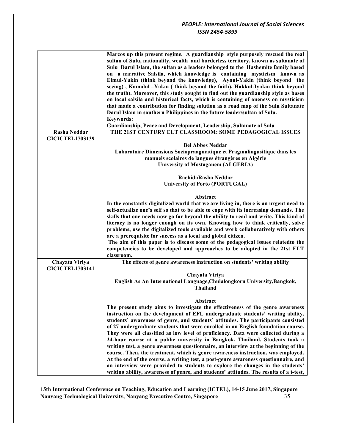|                                               | Marcos up this present regime. A guardianship style purposely rescued the real<br>sultan of Sulu, nationality, wealth and borderless territory, known as sultanate of<br>Sulu Darul Islam, the sultan as a leaders belonged to the Hashemite family based<br>on a narrative Salsila, which knowledge is containing mysticism known as<br>Elmul-Yakin (think beyond the knowledge), Aynul-Yakin (think beyond the<br>seeing), Kamalul -Yakin (think beyond the faith), Hakkul-Iyakin think beyond<br>the truth). Moreover, this study sought to find out the guardianship style as bases<br>on local salsila and historical facts, which is containing of oneness on mysticism<br>that made a contribution for finding solution as a road map of the Sulu Sultanate<br>Darul Islam in southern Philippines in the future leader/sultan of Sulu.<br><b>Keywords:</b><br>Guardianship, Peace and Development, Leadership, Sultanate of Sulu                                 |
|-----------------------------------------------|--------------------------------------------------------------------------------------------------------------------------------------------------------------------------------------------------------------------------------------------------------------------------------------------------------------------------------------------------------------------------------------------------------------------------------------------------------------------------------------------------------------------------------------------------------------------------------------------------------------------------------------------------------------------------------------------------------------------------------------------------------------------------------------------------------------------------------------------------------------------------------------------------------------------------------------------------------------------------|
| <b>Rasha Neddar</b><br><b>GICICTEL1703139</b> | THE 21ST CENTURY ELT CLASSROOM: SOME PEDAGOGICAL ISSUES                                                                                                                                                                                                                                                                                                                                                                                                                                                                                                                                                                                                                                                                                                                                                                                                                                                                                                                  |
|                                               | <b>Bel Abbes Neddar</b><br>Laboratoire Dimensions Sociopraagmatique et Pragmalingusitique dans les<br>manuels scolaires de langues étrangères en Algérie<br><b>University of Mostaganem (ALGERIA)</b>                                                                                                                                                                                                                                                                                                                                                                                                                                                                                                                                                                                                                                                                                                                                                                    |
|                                               | RachidaRasha Neddar<br><b>University of Porto (PORTUGAL)</b>                                                                                                                                                                                                                                                                                                                                                                                                                                                                                                                                                                                                                                                                                                                                                                                                                                                                                                             |
|                                               | Abstract<br>In the constantly digitalized world that we are living in, there is an urgent need to<br>self-actualize one's self so that to be able to cope with its increasing demands. The<br>skills that one needs now go far beyond the ability to read and write. This kind of<br>literacy is no longer enough on its own. Knowing how to think critically, solve<br>problems, use the digitalized tools available and work collaboratively with others<br>are a prerequisite for success as a local and global citizen.<br>The aim of this paper is to discuss some of the pedagogical issues related to the<br>competencies to be developed and approaches to be adopted in the 21st ELT<br>classroom.                                                                                                                                                                                                                                                              |
| Chayata Viriya<br><b>GICICTEL1703141</b>      | The effects of genre awareness instruction on students' writing ability<br>Chayata Viriya<br>English As An International Language, Chulalongkorn University, Bangkok,<br><b>Thailand</b>                                                                                                                                                                                                                                                                                                                                                                                                                                                                                                                                                                                                                                                                                                                                                                                 |
|                                               | Abstract<br>The present study aims to investigate the effectiveness of the genre awareness<br>instruction on the development of EFL undergraduate students' writing ability,<br>students' awareness of genre, and students' attitudes. The participants consisted<br>of 27 undergraduate students that were enrolled in an English foundation course.<br>They were all classified as low level of proficiency. Data were collected during a<br>24-hour course at a public university in Bangkok, Thailand. Students took a<br>writing test, a genre awareness questionnaire, an interview at the beginning of the<br>course. Then, the treatment, which is genre awareness instruction, was employed.<br>At the end of the course, a writing test, a post-genre awareness questionnaire, and<br>an interview were provided to students to explore the changes in the students'<br>writing ability, awareness of genre, and students' attitudes. The results of a t-test, |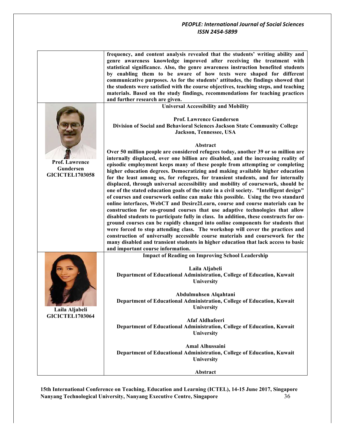|                                                              | frequency, and content analysis revealed that the students' writing ability and<br>genre awareness knowledge improved after receiving the treatment with<br>statistical significance. Also, the genre awareness instruction benefited students<br>by enabling them to be aware of how texts were shaped for different<br>communicative purposes. As for the students' attitudes, the findings showed that<br>the students were satisfied with the course objectives, teaching steps, and teaching<br>materials. Based on the study findings, recommendations for teaching practices<br>and further research are given.                                                                                                                                                                                                                                                                                                                                                                                                                                                                                                                                                                                                                                                                                                                      |
|--------------------------------------------------------------|---------------------------------------------------------------------------------------------------------------------------------------------------------------------------------------------------------------------------------------------------------------------------------------------------------------------------------------------------------------------------------------------------------------------------------------------------------------------------------------------------------------------------------------------------------------------------------------------------------------------------------------------------------------------------------------------------------------------------------------------------------------------------------------------------------------------------------------------------------------------------------------------------------------------------------------------------------------------------------------------------------------------------------------------------------------------------------------------------------------------------------------------------------------------------------------------------------------------------------------------------------------------------------------------------------------------------------------------|
|                                                              | <b>Universal Accessibility and Mobility</b>                                                                                                                                                                                                                                                                                                                                                                                                                                                                                                                                                                                                                                                                                                                                                                                                                                                                                                                                                                                                                                                                                                                                                                                                                                                                                                 |
|                                                              | <b>Prof. Lawrence Gundersen</b><br>Division of Social and Behavioral Sciences Jackson State Community College<br>Jackson, Tennessee, USA                                                                                                                                                                                                                                                                                                                                                                                                                                                                                                                                                                                                                                                                                                                                                                                                                                                                                                                                                                                                                                                                                                                                                                                                    |
|                                                              | Abstract                                                                                                                                                                                                                                                                                                                                                                                                                                                                                                                                                                                                                                                                                                                                                                                                                                                                                                                                                                                                                                                                                                                                                                                                                                                                                                                                    |
| <b>Prof. Lawrence</b><br>Gundersen<br><b>GICICTEL1703058</b> | Over 50 million people are considered refugees today, another 39 or so million are<br>internally displaced, over one billion are disabled, and the increasing reality of<br>episodic employment keeps many of these people from attempting or completing<br>higher education degrees. Democratizing and making available higher education<br>for the least among us, for refugees, for transient students, and for internally<br>displaced, through universal accessibility and mobility of coursework, should be<br>one of the stated education goals of the state in a civil society. "Intelligent design"<br>of courses and coursework online can make this possible. Using the two standard<br>online interfaces, WebCT and Desire2Learn, course and course materials can be<br>construction for on-ground courses that use adaptive technologies that allow<br>disabled students to participate fully in class. In addition, these constructs for on-<br>ground courses can be rapidly changed into online components for students that<br>were forced to stop attending class. The workshop will cover the practices and<br>construction of universally accessible course materials and coursework for the<br>many disabled and transient students in higher education that lack access to basic<br>and important course information. |
|                                                              | <b>Impact of Reading on Improving School Leadership</b>                                                                                                                                                                                                                                                                                                                                                                                                                                                                                                                                                                                                                                                                                                                                                                                                                                                                                                                                                                                                                                                                                                                                                                                                                                                                                     |
| Laila Aljabeli                                               | Laila Aljabeli<br>Department of Educational Administration, College of Education, Kuwait<br>University                                                                                                                                                                                                                                                                                                                                                                                                                                                                                                                                                                                                                                                                                                                                                                                                                                                                                                                                                                                                                                                                                                                                                                                                                                      |
|                                                              | Abdulmuhsen Alqahtani<br>Department of Educational Administration, College of Education, Kuwait<br>University                                                                                                                                                                                                                                                                                                                                                                                                                                                                                                                                                                                                                                                                                                                                                                                                                                                                                                                                                                                                                                                                                                                                                                                                                               |
| <b>GICICTEL1703064</b>                                       | Afaf Aldhafeeri<br>Department of Educational Administration, College of Education, Kuwait<br>University                                                                                                                                                                                                                                                                                                                                                                                                                                                                                                                                                                                                                                                                                                                                                                                                                                                                                                                                                                                                                                                                                                                                                                                                                                     |
|                                                              | <b>Amal Alhussaini</b><br>Department of Educational Administration, College of Education, Kuwait<br>University                                                                                                                                                                                                                                                                                                                                                                                                                                                                                                                                                                                                                                                                                                                                                                                                                                                                                                                                                                                                                                                                                                                                                                                                                              |
|                                                              | Abstract                                                                                                                                                                                                                                                                                                                                                                                                                                                                                                                                                                                                                                                                                                                                                                                                                                                                                                                                                                                                                                                                                                                                                                                                                                                                                                                                    |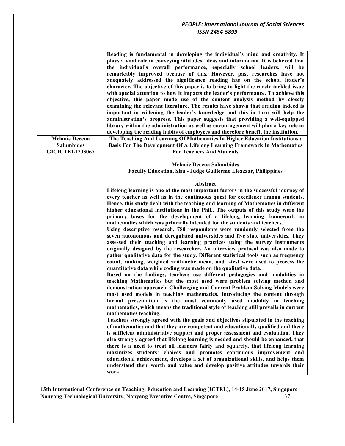|                        | Reading is fundamental in developing the individual's mind and creativity. It<br>plays a vital role in conveying attitudes, ideas and information. It is believed that<br>the individual's overall performance, especially school leaders, will be<br>remarkably improved because of this. However, past researches have not<br>adequately addressed the significance reading has on the school leader's<br>character. The objective of this paper is to bring to light the rarely tackled issue<br>with special attention to how it impacts the leader's performance. To achieve this<br>objective, this paper made use of the content analysis method by closely<br>examining the relevant literature. The results have shown that reading indeed is<br>important in widening the leader's knowledge and this in turn will help the<br>administration's progress. This paper suggests that providing a well-equipped<br>library within the administration as well as encouragement will play a key role in<br>developing the reading habits of employees and therefore benefit the institution. |
|------------------------|---------------------------------------------------------------------------------------------------------------------------------------------------------------------------------------------------------------------------------------------------------------------------------------------------------------------------------------------------------------------------------------------------------------------------------------------------------------------------------------------------------------------------------------------------------------------------------------------------------------------------------------------------------------------------------------------------------------------------------------------------------------------------------------------------------------------------------------------------------------------------------------------------------------------------------------------------------------------------------------------------------------------------------------------------------------------------------------------------|
| <b>Melanie Decena</b>  | The Teaching And Learning Of Mathematics In Higher Education Institutions :                                                                                                                                                                                                                                                                                                                                                                                                                                                                                                                                                                                                                                                                                                                                                                                                                                                                                                                                                                                                                       |
| <b>Salumbides</b>      | Basis For The Development Of A Lifelong Learning Framework In Mathematics                                                                                                                                                                                                                                                                                                                                                                                                                                                                                                                                                                                                                                                                                                                                                                                                                                                                                                                                                                                                                         |
| <b>GICICTEL1703067</b> | <b>For Teachers And Students</b>                                                                                                                                                                                                                                                                                                                                                                                                                                                                                                                                                                                                                                                                                                                                                                                                                                                                                                                                                                                                                                                                  |
|                        |                                                                                                                                                                                                                                                                                                                                                                                                                                                                                                                                                                                                                                                                                                                                                                                                                                                                                                                                                                                                                                                                                                   |
|                        | <b>Melanie Decena Salumbides</b><br><b>Faculty Education, Slsu - Judge Guillermo Eleazzar, Philippines</b>                                                                                                                                                                                                                                                                                                                                                                                                                                                                                                                                                                                                                                                                                                                                                                                                                                                                                                                                                                                        |
|                        |                                                                                                                                                                                                                                                                                                                                                                                                                                                                                                                                                                                                                                                                                                                                                                                                                                                                                                                                                                                                                                                                                                   |
|                        | Abstract                                                                                                                                                                                                                                                                                                                                                                                                                                                                                                                                                                                                                                                                                                                                                                                                                                                                                                                                                                                                                                                                                          |
|                        | Lifelong learning is one of the most important factors in the successful journey of                                                                                                                                                                                                                                                                                                                                                                                                                                                                                                                                                                                                                                                                                                                                                                                                                                                                                                                                                                                                               |
|                        | every teacher as well as in the continuous quest for excellence among students.                                                                                                                                                                                                                                                                                                                                                                                                                                                                                                                                                                                                                                                                                                                                                                                                                                                                                                                                                                                                                   |
|                        | Hence, this study dealt with the teaching and learning of Mathematics in different                                                                                                                                                                                                                                                                                                                                                                                                                                                                                                                                                                                                                                                                                                                                                                                                                                                                                                                                                                                                                |
|                        | higher educational institutions in the Phil The outputs of this study were the                                                                                                                                                                                                                                                                                                                                                                                                                                                                                                                                                                                                                                                                                                                                                                                                                                                                                                                                                                                                                    |
|                        | primary bases for the development of a lifelong learning framework in                                                                                                                                                                                                                                                                                                                                                                                                                                                                                                                                                                                                                                                                                                                                                                                                                                                                                                                                                                                                                             |
|                        | mathematics which was primarily intended for the students and teachers.<br>Using descriptive research, 780 respondents were randomly selected from the                                                                                                                                                                                                                                                                                                                                                                                                                                                                                                                                                                                                                                                                                                                                                                                                                                                                                                                                            |
|                        | seven autonomous and deregulated universities and five state universities. They<br>assessed their teaching and learning practices using the survey instruments<br>originally designed by the researcher. An interview protocol was also made to<br>gather qualitative data for the study. Different statistical tools such as frequency<br>count, ranking, weighted arithmetic mean, and t-test were used to process the                                                                                                                                                                                                                                                                                                                                                                                                                                                                                                                                                                                                                                                                          |
|                        | quantitative data while coding was made on the qualitative data.<br>Based on the findings, teachers use different pedagogies and modalities in<br>teaching Mathematics but the most used were problem solving method and<br>demonstration approach. Challenging and Current Problem Solving Models were<br>most used models in teaching mathematics. Introducing the content through<br>formal presentation is the most commonly used modality in teaching<br>mathematics, which means the traditional style of teaching still prevails in current<br>mathematics teaching.                                                                                                                                                                                                                                                                                                                                                                                                                                                                                                                       |
|                        | Teachers strongly agreed with the goals and objectives stipulated in the teaching<br>of mathematics and that they are competent and educationally qualified and there<br>is sufficient administrative support and proper assessment and evaluation. They<br>also strongly agreed that lifelong learning is needed and should be enhanced, that<br>there is a need to treat all learners fairly and squarely, that lifelong learning<br>maximizes students' choices and promotes continuous improvement and<br>educational achievement, develops a set of organizational skills, and helps them<br>understand their worth and value and develop positive attitudes towards their                                                                                                                                                                                                                                                                                                                                                                                                                   |
|                        | work.                                                                                                                                                                                                                                                                                                                                                                                                                                                                                                                                                                                                                                                                                                                                                                                                                                                                                                                                                                                                                                                                                             |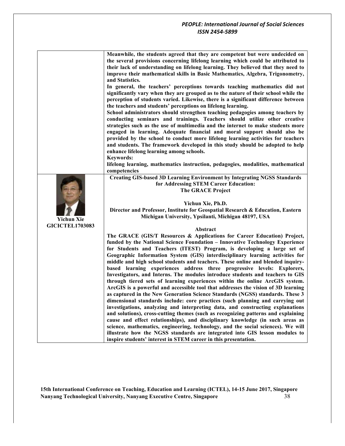|                        | Meanwhile, the students agreed that they are competent but were undecided on<br>the several provisions concerning lifelong learning which could be attributed to<br>their lack of understanding on lifelong learning. They believed that they need to<br>improve their mathematical skills in Basic Mathematics, Algebra, Trigonometry,<br>and Statistics.<br>In general, the teachers' perceptions towards teaching mathematics did not<br>significantly vary when they are grouped as to the nature of their school while the<br>perception of students varied. Likewise, there is a significant difference between<br>the teachers and students' perceptions on lifelong learning.<br>School administrators should strengthen teaching pedagogies among teachers by<br>conducting seminars and trainings. Teachers should utilize other creative<br>strategies such as the use of multimedia and the internet to make students more<br>engaged in learning. Adequate financial and moral support should also be<br>provided by the school to conduct more lifelong learning activities for teachers<br>and students. The framework developed in this study should be adopted to help<br>enhance lifelong learning among schools.<br><b>Keywords:</b><br>lifelong learning, mathematics instruction, pedagogies, modalities, mathematical<br>competencies |
|------------------------|-------------------------------------------------------------------------------------------------------------------------------------------------------------------------------------------------------------------------------------------------------------------------------------------------------------------------------------------------------------------------------------------------------------------------------------------------------------------------------------------------------------------------------------------------------------------------------------------------------------------------------------------------------------------------------------------------------------------------------------------------------------------------------------------------------------------------------------------------------------------------------------------------------------------------------------------------------------------------------------------------------------------------------------------------------------------------------------------------------------------------------------------------------------------------------------------------------------------------------------------------------------------------------------------------------------------------------------------------------------|
|                        | <b>Creating GIS-based 3D Learning Environment by Integrating NGSS Standards</b>                                                                                                                                                                                                                                                                                                                                                                                                                                                                                                                                                                                                                                                                                                                                                                                                                                                                                                                                                                                                                                                                                                                                                                                                                                                                             |
|                        | for Addressing STEM Career Education:                                                                                                                                                                                                                                                                                                                                                                                                                                                                                                                                                                                                                                                                                                                                                                                                                                                                                                                                                                                                                                                                                                                                                                                                                                                                                                                       |
|                        | <b>The GRACE Project</b>                                                                                                                                                                                                                                                                                                                                                                                                                                                                                                                                                                                                                                                                                                                                                                                                                                                                                                                                                                                                                                                                                                                                                                                                                                                                                                                                    |
|                        |                                                                                                                                                                                                                                                                                                                                                                                                                                                                                                                                                                                                                                                                                                                                                                                                                                                                                                                                                                                                                                                                                                                                                                                                                                                                                                                                                             |
|                        | Yichun Xie, Ph.D.                                                                                                                                                                                                                                                                                                                                                                                                                                                                                                                                                                                                                                                                                                                                                                                                                                                                                                                                                                                                                                                                                                                                                                                                                                                                                                                                           |
|                        | Director and Professor, Institute for Geospatial Research & Education, Eastern                                                                                                                                                                                                                                                                                                                                                                                                                                                                                                                                                                                                                                                                                                                                                                                                                                                                                                                                                                                                                                                                                                                                                                                                                                                                              |
| Yichun Xie             | Michigan University, Ypsilanti, Michigan 48197, USA                                                                                                                                                                                                                                                                                                                                                                                                                                                                                                                                                                                                                                                                                                                                                                                                                                                                                                                                                                                                                                                                                                                                                                                                                                                                                                         |
| <b>GICICTEL1703083</b> | Abstract                                                                                                                                                                                                                                                                                                                                                                                                                                                                                                                                                                                                                                                                                                                                                                                                                                                                                                                                                                                                                                                                                                                                                                                                                                                                                                                                                    |
|                        | The GRACE (GIS/T Resources & Applications for Career Education) Project,                                                                                                                                                                                                                                                                                                                                                                                                                                                                                                                                                                                                                                                                                                                                                                                                                                                                                                                                                                                                                                                                                                                                                                                                                                                                                    |
|                        | funded by the National Science Foundation - Innovative Technology Experience                                                                                                                                                                                                                                                                                                                                                                                                                                                                                                                                                                                                                                                                                                                                                                                                                                                                                                                                                                                                                                                                                                                                                                                                                                                                                |
|                        | for Students and Teachers (ITEST) Program, is developing a large set of                                                                                                                                                                                                                                                                                                                                                                                                                                                                                                                                                                                                                                                                                                                                                                                                                                                                                                                                                                                                                                                                                                                                                                                                                                                                                     |
|                        | Geographic Information System (GIS) interdisciplinary learning activities for                                                                                                                                                                                                                                                                                                                                                                                                                                                                                                                                                                                                                                                                                                                                                                                                                                                                                                                                                                                                                                                                                                                                                                                                                                                                               |
|                        | middle and high school students and teachers. These online and blended inquiry-                                                                                                                                                                                                                                                                                                                                                                                                                                                                                                                                                                                                                                                                                                                                                                                                                                                                                                                                                                                                                                                                                                                                                                                                                                                                             |
|                        | based learning experiences address three progressive levels: Explorers,                                                                                                                                                                                                                                                                                                                                                                                                                                                                                                                                                                                                                                                                                                                                                                                                                                                                                                                                                                                                                                                                                                                                                                                                                                                                                     |
|                        | Investigators, and Interns. The modules introduce students and teachers to GIS                                                                                                                                                                                                                                                                                                                                                                                                                                                                                                                                                                                                                                                                                                                                                                                                                                                                                                                                                                                                                                                                                                                                                                                                                                                                              |
|                        | through tiered sets of learning experiences within the online ArcGIS system.                                                                                                                                                                                                                                                                                                                                                                                                                                                                                                                                                                                                                                                                                                                                                                                                                                                                                                                                                                                                                                                                                                                                                                                                                                                                                |
|                        | ArcGIS is a powerful and accessible tool that addresses the vision of 3D learning                                                                                                                                                                                                                                                                                                                                                                                                                                                                                                                                                                                                                                                                                                                                                                                                                                                                                                                                                                                                                                                                                                                                                                                                                                                                           |
|                        | as captured in the New Generation Science Standards (NGSS) standards. These 3<br>dimensional standards include: core practices (such planning and carrying out                                                                                                                                                                                                                                                                                                                                                                                                                                                                                                                                                                                                                                                                                                                                                                                                                                                                                                                                                                                                                                                                                                                                                                                              |
|                        | investigations, analyzing and interpreting data, and constructing explanations                                                                                                                                                                                                                                                                                                                                                                                                                                                                                                                                                                                                                                                                                                                                                                                                                                                                                                                                                                                                                                                                                                                                                                                                                                                                              |
|                        | and solutions), cross-cutting themes (such as recognizing patterns and explaining                                                                                                                                                                                                                                                                                                                                                                                                                                                                                                                                                                                                                                                                                                                                                                                                                                                                                                                                                                                                                                                                                                                                                                                                                                                                           |
|                        | cause and effect relationships), and disciplinary knowledge (in such areas as                                                                                                                                                                                                                                                                                                                                                                                                                                                                                                                                                                                                                                                                                                                                                                                                                                                                                                                                                                                                                                                                                                                                                                                                                                                                               |
|                        | science, mathematics, engineering, technology, and the social sciences). We will                                                                                                                                                                                                                                                                                                                                                                                                                                                                                                                                                                                                                                                                                                                                                                                                                                                                                                                                                                                                                                                                                                                                                                                                                                                                            |
|                        | illustrate how the NGSS standards are integrated into GIS lesson modules to                                                                                                                                                                                                                                                                                                                                                                                                                                                                                                                                                                                                                                                                                                                                                                                                                                                                                                                                                                                                                                                                                                                                                                                                                                                                                 |
|                        | inspire students' interest in STEM career in this presentation.                                                                                                                                                                                                                                                                                                                                                                                                                                                                                                                                                                                                                                                                                                                                                                                                                                                                                                                                                                                                                                                                                                                                                                                                                                                                                             |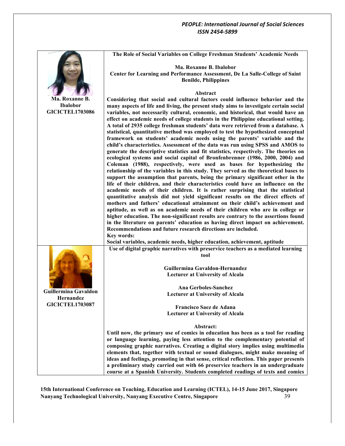|                                   | The Role of Social Variables on College Freshman Students' Academic Needs                                                                                                  |
|-----------------------------------|----------------------------------------------------------------------------------------------------------------------------------------------------------------------------|
|                                   | Ma. Roxanne B. Ibalobor                                                                                                                                                    |
|                                   | Center for Learning and Performance Assessment, De La Salle-College of Saint                                                                                               |
|                                   | <b>Benilde, Philippines</b>                                                                                                                                                |
|                                   |                                                                                                                                                                            |
|                                   | Abstract                                                                                                                                                                   |
| Ma. Roxanne B.<br><b>Ibalobor</b> | Considering that social and cultural factors could influence behavior and the                                                                                              |
| <b>GICICTEL1703086</b>            | many aspects of life and living, the present study aims to investigate certain social<br>variables, not necessarily cultural, economic, and historical, that would have an |
|                                   | effect on academic needs of college students in the Philippine educational setting.                                                                                        |
|                                   | A total of 2935 college freshman students' data were retrieved from a database. A                                                                                          |
|                                   | statistical, quantitative method was employed to test the hypothesized conceptual                                                                                          |
|                                   | framework on students' academic needs using the parents' variable and the                                                                                                  |
|                                   | child's characteristics. Assessment of the data was run using SPSS and AMOS to                                                                                             |
|                                   | generate the descriptive statistics and fit statistics, respectively. The theories on                                                                                      |
|                                   | ecological systems and social capital of Bronfenbrenner (1986, 2000, 2004) and<br>Coleman (1988), respectively, were used as bases for hypothesizing the                   |
|                                   | relationship of the variables in this study. They served as the theoretical bases to                                                                                       |
|                                   | support the assumption that parents, being the primary significant other in the                                                                                            |
|                                   | life of their children, and their characteristics could have an influence on the                                                                                           |
|                                   | academic needs of their children. It is rather surprising that the statistical                                                                                             |
|                                   | quantitative analysis did not yield significant results on the direct effects of                                                                                           |
|                                   | mothers and fathers' educational attainment on their child's achievement and                                                                                               |
|                                   | aptitude, as well as on academic needs of their children who are in college or<br>higher education. The non-significant results are contrary to the assertions found       |
|                                   | in the literature on parents' education as having direct impact on achievement.                                                                                            |
|                                   | Recommendations and future research directions are included.                                                                                                               |
|                                   | Key words:                                                                                                                                                                 |
|                                   | Social variables, academic needs, higher education, achievement, aptitude                                                                                                  |
|                                   | Use of digital graphic narratives with preservice teachers as a mediated learning                                                                                          |
|                                   | tool                                                                                                                                                                       |
|                                   | Guillermina Gavaldon-Hernandez                                                                                                                                             |
|                                   | <b>Lecturer at University of Alcala</b>                                                                                                                                    |
|                                   |                                                                                                                                                                            |
| <b>Guillermina Gavaldon</b>       | <b>Ana Gerboles-Sanchez</b>                                                                                                                                                |
| Hernandez                         | <b>Lecturer at University of Alcala</b>                                                                                                                                    |
| <b>GICICTEL1703087</b>            | Francisco Saez de Adana                                                                                                                                                    |
|                                   | <b>Lecturer at University of Alcala</b>                                                                                                                                    |
|                                   |                                                                                                                                                                            |
|                                   | Abstract:                                                                                                                                                                  |
|                                   | Until now, the primary use of comics in education has been as a tool for reading                                                                                           |
|                                   | or language learning, paying less attention to the complementary potential of<br>composing graphic narratives. Creating a digital story implies using multimedia           |
|                                   | elements that, together with textual or sound dialogues, might make meaning of                                                                                             |
|                                   | ideas and feelings, promoting in that sense, critical reflection. This paper presents                                                                                      |
|                                   | a preliminary study carried out with 66 preservice teachers in an undergraduate                                                                                            |
|                                   | course at a Spanish University. Students completed readings of texts and comics                                                                                            |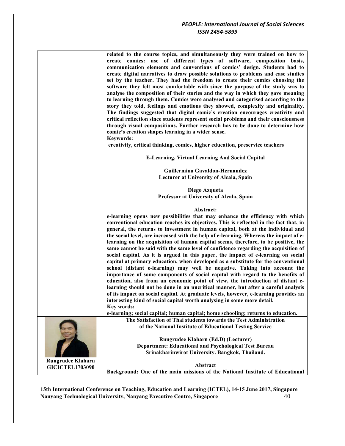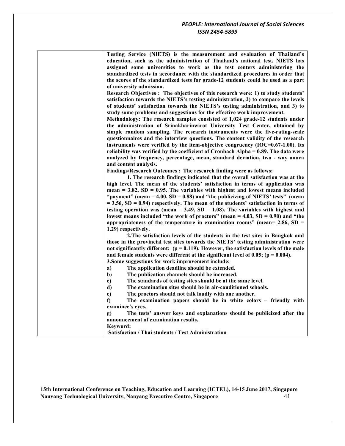| Testing Service (NIETS) is the measurement and evaluation of Thailand's                   |
|-------------------------------------------------------------------------------------------|
| education, such as the administration of Thailand's national test. NIETS has              |
| assigned some universities to work as the test centers administering the                  |
| standardized tests in accordance with the standardized procedures in order that           |
| the scores of the standardized tests for grade-12 students could be used as a part        |
| of university admission.                                                                  |
| Research Objectives : The objectives of this research were: 1) to study students'         |
| satisfaction towards the NIETS's testing administration, 2) to compare the levels         |
| of students' satisfaction towards the NIETS's testing administration, and 3) to           |
| study some problems and suggestions for the effective work improvement.                   |
| Methodology: The research samples consisted of 1,024 grade-12 students under              |
| the administration of Srinakharinwirot University Test Center, obtained by                |
| simple random sampling. The research instruments were the five-rating-scale               |
| questionnaires and the interview questions. The content validity of the research          |
| instruments were verified by the item-objective congruency ( $IOC=0.67-1.00$ ). Its       |
| reliability was verified by the coefficient of Cronbach Alpha = 0.89. The data were       |
| analyzed by frequency, percentage, mean, standard deviation, two - way anova              |
| and content analysis.                                                                     |
| Findings/Research Outcomes: The research finding were as follows:                         |
| 1. The research findings indicated that the overall satisfaction was at the               |
| high level. The mean of the students' satisfaction in terms of application was            |
| mean = $3.82$ , SD = 0.95. The variables with highest and lowest means included           |
| "payment" (mean = $4.00$ , SD = 0.88) and "the publicizing of NIETS' tests" (mean         |
| $=$ 3.56, SD = 0.94) respectively. The mean of the students' satisfaction in terms of     |
| testing operation was (mean = $3.49$ , SD = $1.08$ ). The variables with highest and      |
| lowest means included "the work of proctors" (mean $=$ 4.03, SD $=$ 0.90) and "the        |
| appropriateness of the temperature in examination rooms" (mean= $2.86$ , SD =             |
| 1.29) respectively.                                                                       |
| 2. The satisfaction levels of the students in the test sites in Bangkok and               |
| those in the provincial test sites towards the NIETS' testing administration were         |
| not significantly different; $(p = 0.119)$ . However, the satisfaction levels of the male |
| and female students were different at the significant level of 0.05; ( $p = 0.004$ ).     |
| 3. Some suggestions for work improvement include:                                         |
| The application deadline should be extended.<br>a)                                        |
| $b$<br>The publication channels should be increased.                                      |
| $\mathbf{c})$<br>The standards of testing sites should be at the same level.              |
| The examination sites should be in air-conditioned schools.<br>d)                         |
| e)<br>The proctors should not talk loudly with one another.                               |
| f)<br>The examination papers should be in white colors - friendly with                    |
| examinee's eyes.                                                                          |
| The tests' answer keys and explanations should be publicized after the<br>g)              |
| announcement of examination results.                                                      |
| Keyword:                                                                                  |
| <b>Satisfaction / Thai students / Test Administration</b>                                 |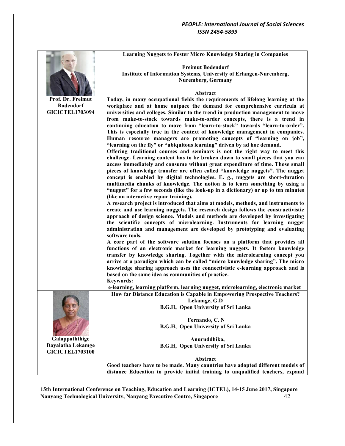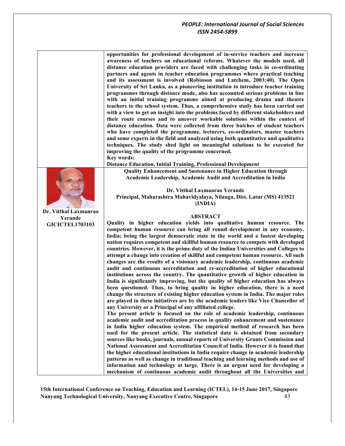**opportunities for professional development of in-service teachers and increase awareness of teachers on educational reforms. Whatever the models used, all distance education providers are faced with challenging tasks in co-ordinating partners and agents in teacher education programmes where practical teaching and its assessment is involved (Robinson and Latchem, 2003:40). The Open University of Sri Lanka, as a pioneering institution to introduce teacher training programmes through distance mode, also has accounted serious problems in line with an initial training programme aimed at producing drama and theatre teachers to the school system. Thus, a comprehensive study has been carried out with a view to get an insight into the problems faced by different stakeholders and their route courses and to uncover workable solutions within the context of distance education. Data were collected from three batches of student teachers who have completed the programme, lecturers, co-ordinators, master teachers and some experts in the field and analyzed using both quantitative and qualitative techniques. The study shed light on meaningful solutions to be executed for improving the quality of the programme concerned. Key words: Distance Education, Initial Training, Professional Development Dr. Vitthal Laxmanrao Yerande GICICTEL1703103 Quality Enhancement and Sustenance in Higher Education through Academic Leadership, Academic Audit and Accreditation in India Dr. Vitthal Laxmanrao Yerande Principal, Maharashtra Mahavidyalaya, Nilanga, Dist. Latur (MS) 413521 (INDIA) ABSTRACT Quality in higher education yields into qualitative human resource. The competent human resource can bring all round development in any economy. India; being the largest democratic state in the world and a fastest developing nation requires competent and skillful human resource to compete with developed countries. However, it is the prime duty of the Indian Universities and Colleges to attempt a change into creation of skillful and competent human resource. All such changes are the results of a visionary academic leadership, continuous academic audit and continuous accreditation and re-accreditation of higher educational institutions across the country. The quantitative growth of higher education in India is significantly improving, but the quality of higher education has always been questioned. Thus, to bring quality in higher education, there is a need change the structure of existing higher education system in India. The major roles are played in these initiatives are by the academic leaders like Vice Chancellor of any University or a Principal of any affiliated college. The present article is focused on the role of academic leadership, continuous academic audit and accreditation process in quality enhancement and sustenance in India higher education system. The empirical method of research has been used for the present article. The statistical data is obtained from secondary sources like books, journals, annual reports of University Grants Commission and National Assessment and Accreditation Council of India. However it is found that the higher educational institutions in India require change in academic leadership patterns as well as change in traditional teaching and learning methods and use of information and technology at large. There is an urgent need for developing a mechanism of continuous academic audit throughout all the Universities and**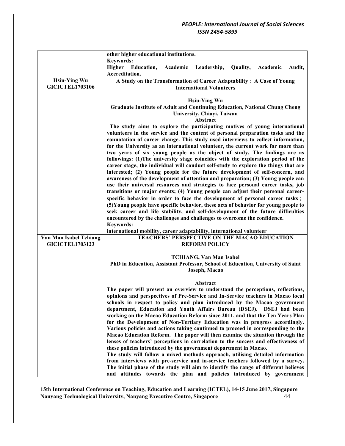|                        | other higher educational institutions.                                                                                                                             |
|------------------------|--------------------------------------------------------------------------------------------------------------------------------------------------------------------|
|                        | <b>Keywords:</b>                                                                                                                                                   |
|                        | Higher<br><b>Education,</b><br>Academic<br>Leadership,<br>Quality,<br>Academic<br>Audit,                                                                           |
|                        | Accreditation.                                                                                                                                                     |
| <b>Hsiu-Ying Wu</b>    | A Study on the Transformation of Career Adaptability: A Case of Young                                                                                              |
| <b>GICICTEL1703106</b> | <b>International Volunteers</b>                                                                                                                                    |
|                        |                                                                                                                                                                    |
|                        | <b>Hsiu-Ying Wu</b>                                                                                                                                                |
|                        | <b>Graduate Institute of Adult and Continuing Education, National Chung Cheng</b>                                                                                  |
|                        | University, Chiayi, Taiwan                                                                                                                                         |
|                        | Abstract                                                                                                                                                           |
|                        | The study aims to explore the participating motives of young international                                                                                         |
|                        | volunteers in the service and the content of personal preparation tasks and the                                                                                    |
|                        | connotation of career change. This study used interviews to collect information,                                                                                   |
|                        | for the University as an international volunteer, the current work for more than                                                                                   |
|                        | two years of six young people as the object of study. The findings are as                                                                                          |
|                        | followings: (1) The university stage coincides with the exploration period of the                                                                                  |
|                        | career stage, the individual will conduct self-study to explore the things that are                                                                                |
|                        | interested; (2) Young people for the future development of self-concern, and                                                                                       |
|                        | awareness of the development of attention and preparation; (3) Young people can<br>use their universal resources and strategies to face personal career tasks, job |
|                        | transitions or major events; (4) Young people can adjust their personal career-                                                                                    |
|                        | specific behavior in order to face the development of personal career tasks;                                                                                       |
|                        | (5) Young people have specific behavior, these acts of behavior for young people to                                                                                |
|                        | seek career and life stability, and self-development of the future difficulties                                                                                    |
|                        | encountered by the challenges and challenges to overcome the confidence.                                                                                           |
|                        | Keywords:                                                                                                                                                          |
|                        | international mobility, career adaptability, international volunteer                                                                                               |
| Van Man Isabel Tchiang | <b>TEACHERS' PERSPECTIVE ON THE MACAO EDUCATION</b>                                                                                                                |
| <b>GICICTEL1703123</b> | <b>REFORM POLICY</b>                                                                                                                                               |
|                        |                                                                                                                                                                    |
|                        | <b>TCHIANG, Van Man Isabel</b>                                                                                                                                     |
|                        | PhD in Education, Assistant Professor, School of Education, University of Saint                                                                                    |
|                        | Joseph, Macao                                                                                                                                                      |
|                        |                                                                                                                                                                    |
|                        | Abstract                                                                                                                                                           |
|                        | The paper will present an overview to understand the perceptions, reflections,                                                                                     |
|                        | opinions and perspectives of Pre-Service and In-Service teachers in Macao local                                                                                    |
|                        | schools in respect to policy and plan introduced by the Macao government                                                                                           |
|                        | department, Education and Youth Affairs Bureau (DSEJ). DSEJ had been                                                                                               |
|                        | working on the Macao Education Reform since 2011, and that the Ten Years Plan                                                                                      |
|                        | for the Development of Non-Tertiary Education was in progress accordingly.                                                                                         |
|                        | Various policies and actions taking continued to proceed in corresponding to the<br>Macao Education Reform. The paper will then examine the situation through the  |
|                        | lenses of teachers' perceptions in correlation to the success and effectiveness of                                                                                 |
|                        | these policies introduced by the government department in Macao.                                                                                                   |
|                        | The study will follow a mixed methods approach, utilising detailed information                                                                                     |
|                        | from interviews with pre-service and in-service teachers followed by a survey.                                                                                     |
|                        | The initial phase of the study will aim to identify the range of different believes                                                                                |
|                        | and attitudes towards the plan and policies introduced by government                                                                                               |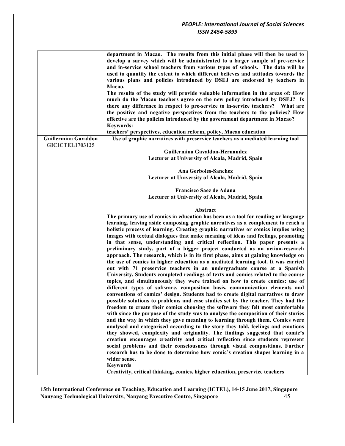|                                                | department in Macao. The results from this initial phase will then be used to<br>develop a survey which will be administrated to a larger sample of pre-service<br>and in-service school teachers from various types of schools. The data will be<br>used to quantify the extent to which different believes and attitudes towards the<br>various plans and policies introduced by DSEJ are endorsed by teachers in<br>Macao.<br>The results of the study will provide valuable information in the areas of: How<br>much do the Macao teachers agree on the new policy introduced by DSEJ? Is<br>there any difference in respect to pre-service to in-service teachers? What are<br>the positive and negative perspectives from the teachers to the policies? How<br>effective are the policies introduced by the government department in Macao?<br><b>Keywords:</b><br>teachers' perspectives, education reform, policy, Macao education                                                                                                                                                                                                                                                                                                                                                                                                                                                                                                                                                                                                                                                                                                                                                                                                                                                                                                                                                                                                                                                        |
|------------------------------------------------|---------------------------------------------------------------------------------------------------------------------------------------------------------------------------------------------------------------------------------------------------------------------------------------------------------------------------------------------------------------------------------------------------------------------------------------------------------------------------------------------------------------------------------------------------------------------------------------------------------------------------------------------------------------------------------------------------------------------------------------------------------------------------------------------------------------------------------------------------------------------------------------------------------------------------------------------------------------------------------------------------------------------------------------------------------------------------------------------------------------------------------------------------------------------------------------------------------------------------------------------------------------------------------------------------------------------------------------------------------------------------------------------------------------------------------------------------------------------------------------------------------------------------------------------------------------------------------------------------------------------------------------------------------------------------------------------------------------------------------------------------------------------------------------------------------------------------------------------------------------------------------------------------------------------------------------------------------------------------------------------------|
| Guillermina Gavaldon<br><b>GICICTEL1703125</b> | Use of graphic narratives with preservice teachers as a mediated learning tool<br>Guillermina Gavaldon-Hernandez                                                                                                                                                                                                                                                                                                                                                                                                                                                                                                                                                                                                                                                                                                                                                                                                                                                                                                                                                                                                                                                                                                                                                                                                                                                                                                                                                                                                                                                                                                                                                                                                                                                                                                                                                                                                                                                                                  |
|                                                | Lecturer at University of Alcala, Madrid, Spain                                                                                                                                                                                                                                                                                                                                                                                                                                                                                                                                                                                                                                                                                                                                                                                                                                                                                                                                                                                                                                                                                                                                                                                                                                                                                                                                                                                                                                                                                                                                                                                                                                                                                                                                                                                                                                                                                                                                                   |
|                                                | Ana Gerboles-Sanchez                                                                                                                                                                                                                                                                                                                                                                                                                                                                                                                                                                                                                                                                                                                                                                                                                                                                                                                                                                                                                                                                                                                                                                                                                                                                                                                                                                                                                                                                                                                                                                                                                                                                                                                                                                                                                                                                                                                                                                              |
|                                                | Lecturer at University of Alcala, Madrid, Spain                                                                                                                                                                                                                                                                                                                                                                                                                                                                                                                                                                                                                                                                                                                                                                                                                                                                                                                                                                                                                                                                                                                                                                                                                                                                                                                                                                                                                                                                                                                                                                                                                                                                                                                                                                                                                                                                                                                                                   |
|                                                | Francisco Saez de Adana                                                                                                                                                                                                                                                                                                                                                                                                                                                                                                                                                                                                                                                                                                                                                                                                                                                                                                                                                                                                                                                                                                                                                                                                                                                                                                                                                                                                                                                                                                                                                                                                                                                                                                                                                                                                                                                                                                                                                                           |
|                                                | Lecturer at University of Alcala, Madrid, Spain                                                                                                                                                                                                                                                                                                                                                                                                                                                                                                                                                                                                                                                                                                                                                                                                                                                                                                                                                                                                                                                                                                                                                                                                                                                                                                                                                                                                                                                                                                                                                                                                                                                                                                                                                                                                                                                                                                                                                   |
|                                                | Abstract                                                                                                                                                                                                                                                                                                                                                                                                                                                                                                                                                                                                                                                                                                                                                                                                                                                                                                                                                                                                                                                                                                                                                                                                                                                                                                                                                                                                                                                                                                                                                                                                                                                                                                                                                                                                                                                                                                                                                                                          |
|                                                | The primary use of comics in education has been as a tool for reading or language<br>learning, leaving aside composing graphic narratives as a complement to reach a<br>holistic process of learning. Creating graphic narratives or comics implies using<br>images with textual dialogues that make meaning of ideas and feelings, promoting<br>in that sense, understanding and critical reflection. This paper presents a<br>preliminary study, part of a bigger project conducted as an action-research<br>approach. The research, which is in its first phase, aims at gaining knowledge on<br>the use of comics in higher education as a mediated learning tool. It was carried<br>out with 71 preservice teachers in an undergraduate course at a Spanish<br>University. Students completed readings of texts and comics related to the course<br>topics, and simultaneously they were trained on how to create comics: use of<br>different types of software, composition basis, communication elements and<br>conventions of comics' design. Students had to create digital narratives to draw<br>possible solutions to problems and case studies set by the teacher. They had the<br>freedom to create their comics choosing the software they felt most comfortable<br>with since the purpose of the study was to analyse the composition of their stories<br>and the way in which they gave meaning to learning through them. Comics were<br>analysed and categorised according to the story they told, feelings and emotions<br>they showed, complexity and originality. The findings suggested that comic's<br>creation encourages creativity and critical reflection since students represent<br>social problems and their consciousness through visual compositions. Further<br>research has to be done to determine how comic's creation shapes learning in a<br>wider sense.<br><b>Keywords</b><br>Creativity, critical thinking, comics, higher education, preservice teachers |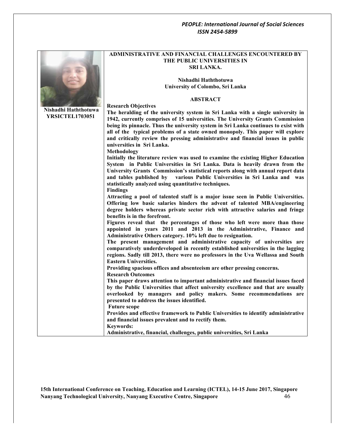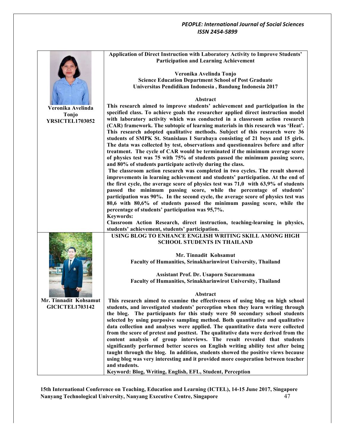|                        | Application of Direct Instruction with Laboratory Activity to Improve Students'    |
|------------------------|------------------------------------------------------------------------------------|
|                        | <b>Participation and Learning Achievement</b>                                      |
|                        |                                                                                    |
|                        |                                                                                    |
|                        | Veronika Avelinda Tonjo                                                            |
|                        | <b>Science Education Department School of Post Graduate</b>                        |
|                        | Universitas Pendidikan Indonesia, Bandung Indonesia 2017                           |
|                        |                                                                                    |
|                        | Abstract                                                                           |
|                        | This research aimed to improve students' achievement and participation in the      |
| Veronika Avelinda      |                                                                                    |
| Tonjo                  | specified class. To achieve goals the researcher applied direct instruction model  |
| <b>YRSICTEL1703052</b> | with laboratory activity which was conducted in a classroom action research        |
|                        | (CAR) framework. The subtopic of learning materials in this research was 'Heat'.   |
|                        | This research adopted qualitative methods. Subject of this research were 36        |
|                        | students of SMPK St. Stanislaus I Surabaya consisting of 21 boys and 15 girls.     |
|                        | The data was collected by test, observations and questionnaires before and after   |
|                        |                                                                                    |
|                        | treatment. The cycle of CAR would be terminated if the minimum average score       |
|                        | of physics test was 75 with 75% of students passed the minimum passing score,      |
|                        | and 80% of students participate actively during the class.                         |
|                        | The classroom action research was completed in two cycles. The result showed       |
|                        | improvements in learning achievement and students' participation. At the end of    |
|                        | the first cycle, the average score of physics test was 71,0 with 63,9% of students |
|                        | passed the minimum passing score, while the percentage of students'                |
|                        |                                                                                    |
|                        | participation was 90%. In the second cycle, the average score of physics test was  |
|                        | 80,6 with 80,6% of students passed the minimum passing score, while the            |
|                        | percentage of students' participation was 95,7%.                                   |
|                        | Keywords:                                                                          |
|                        | Classroom Action Research, direct instruction, teaching-learning in physics,       |
|                        | students' achievement, students' participation.                                    |
|                        | USING BLOG TO ENHANCE ENGLISH WRITING SKILL AMONG HIGH                             |
|                        | <b>SCHOOL STUDENTS IN THAILAND</b>                                                 |
|                        |                                                                                    |
|                        |                                                                                    |
|                        | Mr. Tinnadit Kohsamut                                                              |
|                        | Faculty of Humanities, Srinakharinwirot University, Thailand                       |
|                        |                                                                                    |
|                        | Assistant Prof. Dr. Usaporn Sucaromana                                             |
|                        | Faculty of Humanities, Srinakharinwirot University, Thailand                       |
|                        |                                                                                    |
|                        |                                                                                    |
|                        | Abstract                                                                           |
| Mr. Tinnadit Kohsamut  | This research aimed to examine the effectiveness of using blog on high school      |
| <b>GICICTEL1703142</b> | students, and investigated students' perception when they learn writing through    |
|                        | the blog. The participants for this study were 50 secondary school students        |
|                        | selected by using purposive sampling method. Both quantitative and qualitative     |
|                        | data collection and analyses were applied. The quantitative data were collected    |
|                        | from the score of pretest and posttest. The qualitative data were derived from the |
|                        | content analysis of group interviews. The result revealed that students            |
|                        |                                                                                    |
|                        | significantly performed better scores on English writing ability test after being  |
|                        | taught through the blog. In addition, students showed the positive views because   |
|                        | using blog was very interesting and it provided more cooperation between teacher   |
|                        | and students.                                                                      |
|                        | Keyword: Blog, Writing, English, EFL, Student, Perception                          |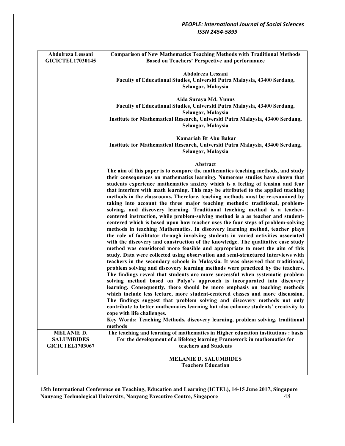| Abdolreza Lessani<br><b>GICICTEL17030145</b>                     | <b>Comparison of New Mathematics Teaching Methods with Traditional Methods</b><br><b>Based on Teachers' Perspective and performance</b>                                                                                                                                                                                                                                                                                                                                                                                                                                                                                                                                 |
|------------------------------------------------------------------|-------------------------------------------------------------------------------------------------------------------------------------------------------------------------------------------------------------------------------------------------------------------------------------------------------------------------------------------------------------------------------------------------------------------------------------------------------------------------------------------------------------------------------------------------------------------------------------------------------------------------------------------------------------------------|
|                                                                  | Abdolreza Lessani<br>Faculty of Educational Studies, Universiti Putra Malaysia, 43400 Serdang,<br>Selangor, Malaysia                                                                                                                                                                                                                                                                                                                                                                                                                                                                                                                                                    |
|                                                                  | Aida Suraya Md. Yunus<br>Faculty of Educational Studies, Universiti Putra Malaysia, 43400 Serdang,<br>Selangor, Malaysia                                                                                                                                                                                                                                                                                                                                                                                                                                                                                                                                                |
|                                                                  | Institute for Mathematical Research, Universiti Putra Malaysia, 43400 Serdang,<br>Selangor, Malaysia                                                                                                                                                                                                                                                                                                                                                                                                                                                                                                                                                                    |
|                                                                  | Kamariah Bt Abu Bakar<br>Institute for Mathematical Research, Universiti Putra Malaysia, 43400 Serdang,<br>Selangor, Malaysia                                                                                                                                                                                                                                                                                                                                                                                                                                                                                                                                           |
|                                                                  | Abstract                                                                                                                                                                                                                                                                                                                                                                                                                                                                                                                                                                                                                                                                |
|                                                                  | The aim of this paper is to compare the mathematics teaching methods, and study<br>their consequences on mathematics learning. Numerous studies have shown that<br>students experience mathematics anxiety which is a feeling of tension and fear<br>that interfere with math learning. This may be attributed to the applied teaching<br>methods in the classrooms. Therefore, teaching methods must be re-examined by<br>taking into account the three major teaching methods: traditional, problem-<br>solving, and discovery learning. Traditional teaching method is a teacher-<br>centered instruction, while problem-solving method is a as teacher and student- |
|                                                                  | centered which is based upon how teacher uses the four steps of problem-solving<br>methods in teaching Mathematics. In discovery learning method, teacher plays<br>the role of facilitator through involving students in varied activities associated<br>with the discovery and construction of the knowledge. The qualitative case study<br>method was considered more feasible and appropriate to meet the aim of this<br>study. Data were collected using observation and semi-structured interviews with<br>teachers in the secondary schools in Malaysia. It was observed that traditional,                                                                        |
|                                                                  | problem solving and discovery learning methods were practiced by the teachers.<br>The findings reveal that students are more successful when systematic problem<br>solving method based on Polya's approach is incorporated into discovery<br>learning. Consequently, there should be more emphasis on teaching methods<br>which include less lecture, more student-centered classes and more discussion.<br>The findings suggest that problem solving and discovery methods not only<br>contribute to better mathematics learning but also enhance students' creativity to<br>cope with life challenges.                                                               |
|                                                                  | Key Words: Teaching Methods, discovery learning, problem solving, traditional<br>methods                                                                                                                                                                                                                                                                                                                                                                                                                                                                                                                                                                                |
| <b>MELANIE D.</b><br><b>SALUMBIDES</b><br><b>GICICTEL1703067</b> | The teaching and learning of mathematics in Higher education institutions : basis<br>For the development of a lifelong learning Framework in mathematics for<br>teachers and Students                                                                                                                                                                                                                                                                                                                                                                                                                                                                                   |
|                                                                  | <b>MELANIE D. SALUMBIDES</b><br><b>Teachers Education</b>                                                                                                                                                                                                                                                                                                                                                                                                                                                                                                                                                                                                               |
|                                                                  |                                                                                                                                                                                                                                                                                                                                                                                                                                                                                                                                                                                                                                                                         |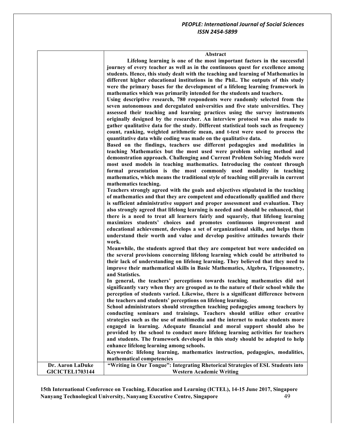٦

|                        | <b>Abstract</b>                                                                      |
|------------------------|--------------------------------------------------------------------------------------|
|                        | Lifelong learning is one of the most important factors in the successful             |
|                        | journey of every teacher as well as in the continuous quest for excellence among     |
|                        | students. Hence, this study dealt with the teaching and learning of Mathematics in   |
|                        | different higher educational institutions in the Phil The outputs of this study      |
|                        | were the primary bases for the development of a lifelong learning framework in       |
|                        | mathematics which was primarily intended for the students and teachers.              |
|                        | Using descriptive research, 780 respondents were randomly selected from the          |
|                        | seven autonomous and deregulated universities and five state universities. They      |
|                        | assessed their teaching and learning practices using the survey instruments          |
|                        | originally designed by the researcher. An interview protocol was also made to        |
|                        | gather qualitative data for the study. Different statistical tools such as frequency |
|                        | count, ranking, weighted arithmetic mean, and t-test were used to process the        |
|                        | quantitative data while coding was made on the qualitative data.                     |
|                        | Based on the findings, teachers use different pedagogies and modalities in           |
|                        | teaching Mathematics but the most used were problem solving method and               |
|                        | demonstration approach. Challenging and Current Problem Solving Models were          |
|                        | most used models in teaching mathematics. Introducing the content through            |
|                        | formal presentation is the most commonly used modality in teaching                   |
|                        | mathematics, which means the traditional style of teaching still prevails in current |
|                        | mathematics teaching.                                                                |
|                        | Teachers strongly agreed with the goals and objectives stipulated in the teaching    |
|                        | of mathematics and that they are competent and educationally qualified and there     |
|                        | is sufficient administrative support and proper assessment and evaluation. They      |
|                        | also strongly agreed that lifelong learning is needed and should be enhanced, that   |
|                        | there is a need to treat all learners fairly and squarely, that lifelong learning    |
|                        | maximizes students' choices and promotes continuous improvement and                  |
|                        | educational achievement, develops a set of organizational skills, and helps them     |
|                        | understand their worth and value and develop positive attitudes towards their        |
|                        | work.                                                                                |
|                        | Meanwhile, the students agreed that they are competent but were undecided on         |
|                        | the several provisions concerning lifelong learning which could be attributed to     |
|                        | their lack of understanding on lifelong learning. They believed that they need to    |
|                        | improve their mathematical skills in Basic Mathematics, Algebra, Trigonometry,       |
|                        | and Statistics.                                                                      |
|                        | In general, the teachers' perceptions towards teaching mathematics did not           |
|                        | significantly vary when they are grouped as to the nature of their school while the  |
|                        | perception of students varied. Likewise, there is a significant difference between   |
|                        | the teachers and students' perceptions on lifelong learning.                         |
|                        | School administrators should strengthen teaching pedagogies among teachers by        |
|                        | conducting seminars and trainings. Teachers should utilize other creative            |
|                        | strategies such as the use of multimedia and the internet to make students more      |
|                        | engaged in learning. Adequate financial and moral support should also be             |
|                        | provided by the school to conduct more lifelong learning activities for teachers     |
|                        | and students. The framework developed in this study should be adopted to help        |
|                        | enhance lifelong learning among schools.                                             |
|                        | Keywords: lifelong learning, mathematics instruction, pedagogies, modalities,        |
|                        | mathematical competencies                                                            |
| Dr. Aaron LaDuke       | "Writing in Our Tongue": Integrating Rhetorical Strategies of ESL Students into      |
| <b>GICICTEL1703144</b> | <b>Western Academic Writing</b>                                                      |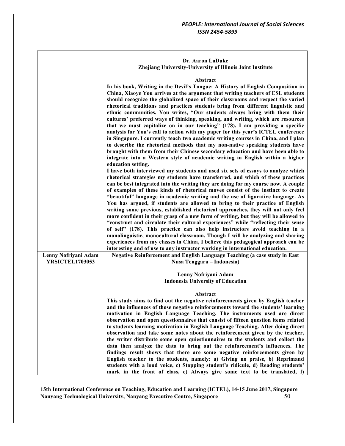|                        | Dr. Aaron LaDuke<br>Zhejiang University-University of Illinois Joint Institute                                                                                                                                                                                                                                                                                                                                                                                                                                                                                                                                                                                                                                                                                                                                                                                                                                                                                                                                                                                                                                                                                                                                                                                                                                                                                                                                                                                                                                                                                                                                                                                                                                                                                                                                                                                                                                                                                                                                                                                                                                                                                                                                                                                        |
|------------------------|-----------------------------------------------------------------------------------------------------------------------------------------------------------------------------------------------------------------------------------------------------------------------------------------------------------------------------------------------------------------------------------------------------------------------------------------------------------------------------------------------------------------------------------------------------------------------------------------------------------------------------------------------------------------------------------------------------------------------------------------------------------------------------------------------------------------------------------------------------------------------------------------------------------------------------------------------------------------------------------------------------------------------------------------------------------------------------------------------------------------------------------------------------------------------------------------------------------------------------------------------------------------------------------------------------------------------------------------------------------------------------------------------------------------------------------------------------------------------------------------------------------------------------------------------------------------------------------------------------------------------------------------------------------------------------------------------------------------------------------------------------------------------------------------------------------------------------------------------------------------------------------------------------------------------------------------------------------------------------------------------------------------------------------------------------------------------------------------------------------------------------------------------------------------------------------------------------------------------------------------------------------------------|
| Lenny Nofriyani Adam   | Abstract<br>In his book, Writing in the Devil's Tongue: A History of English Composition in<br>China, Xiaoye You arrives at the argument that writing teachers of ESL students<br>should recognize the globalized space of their classrooms and respect the varied<br>rhetorical traditions and practices students bring from different linguistic and<br>ethnic communities. You writes, "Our students always bring with them their<br>cultures' preferred ways of thinking, speaking, and writing, which are resources<br>that we must capitalize on in our teaching" (178). I am providing a specific<br>analysis for You's call to action with my paper for this year's ICTEL conference<br>in Singapore. I currently teach two academic writing courses in China, and I plan<br>to describe the rhetorical methods that my non-native speaking students have<br>brought with them from their Chinese secondary education and have been able to<br>integrate into a Western style of academic writing in English within a higher<br>education setting.<br>I have both interviewed my students and used six sets of essays to analyze which<br>rhetorical strategies my students have transferred, and which of these practices<br>can be best integrated into the writing they are doing for my course now. A couple<br>of examples of these kinds of rhetorical moves consist of the instinct to create<br>"beautiful" language in academic writing and the use of figurative language. As<br>You has argued, if students are allowed to bring to their practice of English<br>writing some previous, established rhetorical approaches, they will not only feel<br>more confident in their grasp of a new form of writing, but they will be allowed to<br>"construct and circulate their cultural experiences" while "reflecting their sense<br>of self" (178). This practice can also help instructors avoid teaching in a<br>monolinguistic, monocultural classroom. Though I will be analyzing and sharing<br>experiences from my classes in China, I believe this pedagogical approach can be<br>interesting and of use to any instructor working in international education.<br>Negative Reinforcement and English Language Teaching (a case study in East |
| <b>YRSICTEL1703053</b> | Nusa Tenggara – Indonesia)<br>Lenny Nofriyani Adam<br><b>Indonesia University of Education</b>                                                                                                                                                                                                                                                                                                                                                                                                                                                                                                                                                                                                                                                                                                                                                                                                                                                                                                                                                                                                                                                                                                                                                                                                                                                                                                                                                                                                                                                                                                                                                                                                                                                                                                                                                                                                                                                                                                                                                                                                                                                                                                                                                                        |
|                        | Abstract<br>This study aims to find out the negative reinforcements given by English teacher<br>and the influences of those negative reinforcements toward the students' learning<br>motivation in English Language Teaching. The instruments used are direct<br>observation and open questionnaires that consist of fifteen question items related<br>to students learning motivation in English Language Teaching. After doing direct<br>observation and take some notes about the reinforcement given by the teacher,<br>the writer distribute some open quiestionnaires to the students and collect the<br>data then analyze the data to bring out the reinforcement's influences. The<br>findings result shows that there are some negative reinforcements given by<br>English teacher to the students, namely: a) Giving no praise, b) Reprimand<br>students with a loud voice, c) Stopping student's ridicule, d) Reading students'<br>mark in the front of class, e) Always give some text to be translated, f)                                                                                                                                                                                                                                                                                                                                                                                                                                                                                                                                                                                                                                                                                                                                                                                                                                                                                                                                                                                                                                                                                                                                                                                                                                               |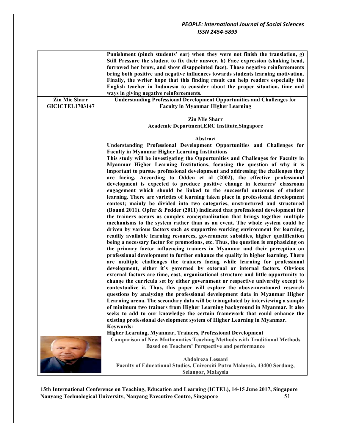|                        | Punishment (pinch students' ear) when they were not finish the translation, g)      |
|------------------------|-------------------------------------------------------------------------------------|
|                        | Still Pressure the student to fix their answer, h) Face expression (shaking head,   |
|                        | forrowed her brow, and show disappointed face). Those negative reinforcements       |
|                        | bring both positive and negative influences towards students learning motivation.   |
|                        | Finally, the writer hope that this finding result can help readers especially the   |
|                        | English teacher in Indonesia to consider about the proper situation, time and       |
|                        | ways in giving negative reinforcements.                                             |
| <b>Zin Mie Sharr</b>   | <b>Understanding Professional Development Opportunities and Challenges for</b>      |
| <b>GICICTEL1703147</b> | <b>Faculty in Myanmar Higher Learning</b>                                           |
|                        |                                                                                     |
|                        | <b>Zin Mie Sharr</b>                                                                |
|                        | Academic Department, ERC Institute, Singapore                                       |
|                        |                                                                                     |
|                        | Abstract                                                                            |
|                        | Understanding Professional Development Opportunities and Challenges for             |
|                        | <b>Faculty in Myanmar Higher Learning Institutions</b>                              |
|                        | This study will be investigating the Opportunities and Challenges for Faculty in    |
|                        | Myanmar Higher Learning Institutions, focusing the question of why it is            |
|                        | important to pursue professional development and addressing the challenges they     |
|                        | are facing. According to Odden et al (2002), the effective professional             |
|                        | development is expected to produce positive change in lecturers' classroom          |
|                        | engagement which should be linked to the successful outcomes of student             |
|                        | learning. There are varieties of learning taken place in professional development   |
|                        | context; mainly be divided into two categories, unstructured and structured         |
|                        | (Bound 2011). Opfer & Pedder (2011) indicated that professional development for     |
|                        | the trainers occurs as complex conceptualization that brings together multiple      |
|                        | mechanisms to the system rather than as an event. The whole system could be         |
|                        | driven by various factors such as supportive working environment for learning,      |
|                        | readily available learning resources, government subsidies, higher qualification    |
|                        | being a necessary factor for promotions, etc. Thus, the question is emphasizing on  |
|                        | the primary factor influencing trainers in Myanmar and their perception on          |
|                        | professional development to further enhance the quality in higher learning. There   |
|                        | are multiple challenges the trainers facing while learning for professional         |
|                        | development, either it's governed by external or internal factors. Obvious          |
|                        | external factors are time, cost, organizational structure and little opportunity to |
|                        | change the curricula set by either government or respective university except to    |
|                        | contextualize it. Thus, this paper will explore the above-mentioned research        |
|                        | questions by analyzing the professional development data in Myanmar Higher          |
|                        | Learning arena. The secondary data will be triangulated by interviewing a sample    |
|                        | of minimum two trainers from Higher Learning background in Myanmar. It also         |
|                        | seeks to add to our knowledge the certain framework that could enhance the          |
|                        | existing professional development system of Higher Learning in Myanmar.             |
|                        |                                                                                     |
|                        | <b>Keywords:</b><br>Higher Learning, Myanmar, Trainers, Professional Development    |
|                        | <b>Comparison of New Mathematics Teaching Methods with Traditional Methods</b>      |
|                        | <b>Based on Teachers' Perspective and performance</b>                               |
|                        |                                                                                     |
|                        | Abdolreza Lessani                                                                   |
|                        | Faculty of Educational Studies, Universiti Putra Malaysia, 43400 Serdang,           |
|                        | Selangor, Malaysia                                                                  |
|                        |                                                                                     |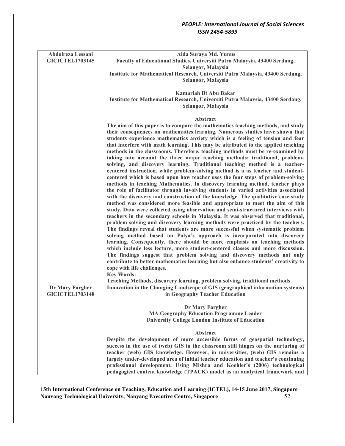| Abdolreza Lessani<br><b>GICICTEL1703145</b> | Aida Suraya Md. Yunus<br>Faculty of Educational Studies, Universiti Putra Malaysia, 43400 Serdang,<br>Selangor, Malaysia                                                                                                                                                                                                                                                                                                                                                                                                                                                                                                                                                                                                                                                                                                                                                                                                                                                                                                                                                                                                                                                                                                                                                    |
|---------------------------------------------|-----------------------------------------------------------------------------------------------------------------------------------------------------------------------------------------------------------------------------------------------------------------------------------------------------------------------------------------------------------------------------------------------------------------------------------------------------------------------------------------------------------------------------------------------------------------------------------------------------------------------------------------------------------------------------------------------------------------------------------------------------------------------------------------------------------------------------------------------------------------------------------------------------------------------------------------------------------------------------------------------------------------------------------------------------------------------------------------------------------------------------------------------------------------------------------------------------------------------------------------------------------------------------|
|                                             | Institute for Mathematical Research, Universiti Putra Malaysia, 43400 Serdang,<br>Selangor, Malaysia                                                                                                                                                                                                                                                                                                                                                                                                                                                                                                                                                                                                                                                                                                                                                                                                                                                                                                                                                                                                                                                                                                                                                                        |
|                                             |                                                                                                                                                                                                                                                                                                                                                                                                                                                                                                                                                                                                                                                                                                                                                                                                                                                                                                                                                                                                                                                                                                                                                                                                                                                                             |
|                                             | <b>Kamariah Bt Abu Bakar</b>                                                                                                                                                                                                                                                                                                                                                                                                                                                                                                                                                                                                                                                                                                                                                                                                                                                                                                                                                                                                                                                                                                                                                                                                                                                |
|                                             | Institute for Mathematical Research, Universiti Putra Malaysia, 43400 Serdang,<br>Selangor, Malaysia                                                                                                                                                                                                                                                                                                                                                                                                                                                                                                                                                                                                                                                                                                                                                                                                                                                                                                                                                                                                                                                                                                                                                                        |
|                                             | <b>Abstract</b>                                                                                                                                                                                                                                                                                                                                                                                                                                                                                                                                                                                                                                                                                                                                                                                                                                                                                                                                                                                                                                                                                                                                                                                                                                                             |
|                                             | The aim of this paper is to compare the mathematics teaching methods, and study<br>their consequences on mathematics learning. Numerous studies have shown that<br>students experience mathematics anxiety which is a feeling of tension and fear<br>that interfere with math learning. This may be attributed to the applied teaching<br>methods in the classrooms. Therefore, teaching methods must be re-examined by<br>taking into account the three major teaching methods: traditional, problem-<br>solving, and discovery learning. Traditional teaching method is a teacher-<br>centered instruction, while problem-solving method is a as teacher and student-<br>centered which is based upon how teacher uses the four steps of problem-solving<br>methods in teaching Mathematics. In discovery learning method, teacher plays<br>the role of facilitator through involving students in varied activities associated<br>with the discovery and construction of the knowledge. The qualitative case study<br>method was considered more feasible and appropriate to meet the aim of this<br>study. Data were collected using observation and semi-structured interviews with<br>teachers in the secondary schools in Malaysia. It was observed that traditional, |
|                                             | problem solving and discovery learning methods were practiced by the teachers.<br>The findings reveal that students are more successful when systematic problem<br>solving method based on Polya's approach is incorporated into discovery<br>learning. Consequently, there should be more emphasis on teaching methods<br>which include less lecture, more student-centered classes and more discussion.                                                                                                                                                                                                                                                                                                                                                                                                                                                                                                                                                                                                                                                                                                                                                                                                                                                                   |
|                                             | The findings suggest that problem solving and discovery methods not only<br>contribute to better mathematics learning but also enhance students' creativity to<br>cope with life challenges.                                                                                                                                                                                                                                                                                                                                                                                                                                                                                                                                                                                                                                                                                                                                                                                                                                                                                                                                                                                                                                                                                |
|                                             | <b>Key Words:</b>                                                                                                                                                                                                                                                                                                                                                                                                                                                                                                                                                                                                                                                                                                                                                                                                                                                                                                                                                                                                                                                                                                                                                                                                                                                           |
|                                             | Teaching Methods, discovery learning, problem solving, traditional methods                                                                                                                                                                                                                                                                                                                                                                                                                                                                                                                                                                                                                                                                                                                                                                                                                                                                                                                                                                                                                                                                                                                                                                                                  |
| Dr Mary Fargher<br><b>GICICTEL1703148</b>   | Innovation in the Changing Landscape of GIS (geographical information systems)<br>in Geography Teacher Education                                                                                                                                                                                                                                                                                                                                                                                                                                                                                                                                                                                                                                                                                                                                                                                                                                                                                                                                                                                                                                                                                                                                                            |
|                                             |                                                                                                                                                                                                                                                                                                                                                                                                                                                                                                                                                                                                                                                                                                                                                                                                                                                                                                                                                                                                                                                                                                                                                                                                                                                                             |
|                                             | Dr Mary Fargher                                                                                                                                                                                                                                                                                                                                                                                                                                                                                                                                                                                                                                                                                                                                                                                                                                                                                                                                                                                                                                                                                                                                                                                                                                                             |
|                                             | <b>MA Geography Education Programme Leader</b><br><b>University College London Institute of Education</b>                                                                                                                                                                                                                                                                                                                                                                                                                                                                                                                                                                                                                                                                                                                                                                                                                                                                                                                                                                                                                                                                                                                                                                   |
|                                             |                                                                                                                                                                                                                                                                                                                                                                                                                                                                                                                                                                                                                                                                                                                                                                                                                                                                                                                                                                                                                                                                                                                                                                                                                                                                             |
|                                             | Abstract                                                                                                                                                                                                                                                                                                                                                                                                                                                                                                                                                                                                                                                                                                                                                                                                                                                                                                                                                                                                                                                                                                                                                                                                                                                                    |
|                                             | Despite the development of more accessible forms of geospatial technology,                                                                                                                                                                                                                                                                                                                                                                                                                                                                                                                                                                                                                                                                                                                                                                                                                                                                                                                                                                                                                                                                                                                                                                                                  |
|                                             | success in the use of (web) GIS in the classroom still hinges on the nurturing of<br>teacher (web) GIS knowledge. However, in universities, (web) GIS remains a                                                                                                                                                                                                                                                                                                                                                                                                                                                                                                                                                                                                                                                                                                                                                                                                                                                                                                                                                                                                                                                                                                             |
|                                             | largely under-developed area of initial teacher education and teacher's continuing                                                                                                                                                                                                                                                                                                                                                                                                                                                                                                                                                                                                                                                                                                                                                                                                                                                                                                                                                                                                                                                                                                                                                                                          |
|                                             | professional development. Using Mishra and Koehler's (2006) technological                                                                                                                                                                                                                                                                                                                                                                                                                                                                                                                                                                                                                                                                                                                                                                                                                                                                                                                                                                                                                                                                                                                                                                                                   |
|                                             | pedagogical content knowledge (TPACK) model as an analytical framework and                                                                                                                                                                                                                                                                                                                                                                                                                                                                                                                                                                                                                                                                                                                                                                                                                                                                                                                                                                                                                                                                                                                                                                                                  |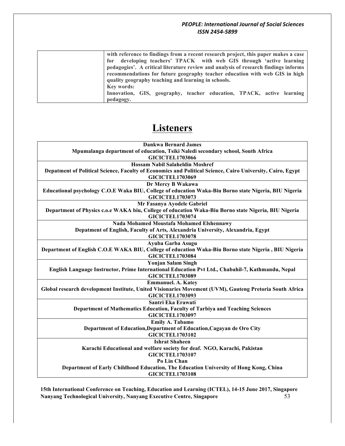| with reference to findings from a recent research project, this paper makes a case<br>for developing teachers' TPACK with web GIS through 'active learning<br>pedagogies'. A critical literature review and analysis of research findings informs |
|---------------------------------------------------------------------------------------------------------------------------------------------------------------------------------------------------------------------------------------------------|
| recommendations for future geography teacher education with web GIS in high                                                                                                                                                                       |
| quality geography teaching and learning in schools.                                                                                                                                                                                               |
| <b>Key words:</b>                                                                                                                                                                                                                                 |
| Innovation, GIS, geography, teacher education, TPACK, active learning                                                                                                                                                                             |
| pedagogy.                                                                                                                                                                                                                                         |

## **Listeners**

| <b>Dankwa Bernard James</b>                                                                                |
|------------------------------------------------------------------------------------------------------------|
| Mpumalanga department of education, Tsiki Naledi secondary school, South Africa                            |
| <b>GICICTEL1703066</b>                                                                                     |
| <b>Hossam Nabil Salaheldin Moshref</b>                                                                     |
| Depatment of Political Science, Faculty of Economics and Political Science, Cairo University, Cairo, Egypt |
| <b>GICICTEL1703069</b>                                                                                     |
| Dr Mercy B Wakawa                                                                                          |
| Educational psychology C.O.E Waka BIU, College of education Waka-Biu Borno state Nigeria, BIU Nigeria      |
| <b>GICICTEL1703073</b>                                                                                     |
| Mr Fasanya Ayodele Gabriel                                                                                 |
| Department of Physics c.o.e WAKA biu, College of education Waka-Biu Borno state Nigeria, BIU Nigeria       |
| <b>GICICTEL1703074</b>                                                                                     |
| Nada Mohamed Moustafa Mohamed Elshennawy                                                                   |
| Depatment of English, Faculty of Arts, Alexandria University, Alexandria, Egypt                            |
| <b>GICICTEL1703078</b>                                                                                     |
| Ayuba Garba Asugu                                                                                          |
| Department of English C.O.E WAKA BIU, College of education Waka-Biu Borno state Nigeria , BIU Nigeria      |
| <b>GICICTEL1703084</b>                                                                                     |
| <b>Yonjan Salam Singh</b>                                                                                  |
| English Language Instructor, Prime International Education Pvt Ltd., Chabahil-7, Kathmandu, Nepal          |
| <b>GICICTEL1703089</b>                                                                                     |
| <b>Emmanuel. A. Katey</b>                                                                                  |
| Global research development Institute, United Visionaries Movement (UVM), Gauteng Pretoria South Africa    |
| <b>GICICTEL1703093</b>                                                                                     |
| Santri Eka Erawati                                                                                         |
| Department of Mathematics Education, Faculty of Tarbiya and Teaching Sciences                              |
| <b>GICICTEL1703097</b>                                                                                     |
| Emily A. Tabamo                                                                                            |
| Department of Education, Department of Education, Cagayan de Oro City                                      |
| <b>GICICTEL1703102</b>                                                                                     |
| <b>Ishrat Shaheen</b>                                                                                      |
| Karachi Educational and welfare society for deaf. NGO, Karachi, Pakistan                                   |
| <b>GICICTEL1703107</b>                                                                                     |
| Po Lin Chan                                                                                                |
| Department of Early Childhood Education, The Education University of Hong Kong, China                      |
| <b>GICICTEL1703108</b>                                                                                     |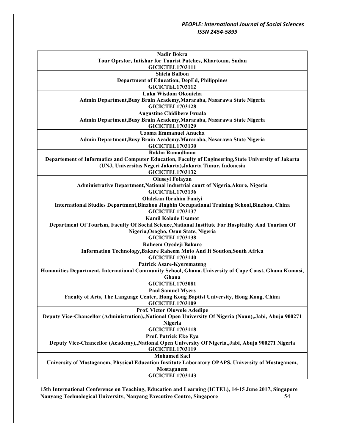| Nadir Bokra<br>Tour Oprstor, Intishar for Tourist Patches, Khartoum, Sudan                                                  |
|-----------------------------------------------------------------------------------------------------------------------------|
| <b>GICICTEL1703111</b>                                                                                                      |
| <b>Shiela Balbon</b>                                                                                                        |
| <b>Department of Education, DepEd, Philippines</b>                                                                          |
| <b>GICICTEL1703112</b>                                                                                                      |
| Luka Wisdom Okonicha                                                                                                        |
| Admin Department, Busy Brain Academy, Mararaba, Nasarawa State Nigeria                                                      |
| <b>GICICTEL1703128</b>                                                                                                      |
| <b>Augustine Chidibere Iwuala</b>                                                                                           |
| Admin Department, Busy Brain Academy, Mararaba, Nasarawa State Nigeria<br><b>GICICTEL1703129</b>                            |
| <b>Uzoma Emmanuel Anucha</b>                                                                                                |
| Admin Department, Busy Brain Academy, Mararaba, Nasarawa State Nigeria                                                      |
| <b>GICICTEL1703130</b>                                                                                                      |
| Rakha Ramadhana                                                                                                             |
| Departement of Informatics and Computer Education, Faculty of Engineering, State University of Jakarta                      |
| (UNJ, Universitas Negeri Jakarta), Jakarta Timur, Indonesia                                                                 |
| <b>GICICTEL1703132</b>                                                                                                      |
| <b>Oluseyi Folayan</b>                                                                                                      |
| Administrative Department, National industrial court of Nigeria, Akure, Nigeria                                             |
| <b>GICICTEL1703136</b>                                                                                                      |
| <b>Olalekan Ibrahim Faniyi</b>                                                                                              |
| International Studies Department, Binzhou Jingbin Occupational Training School, Binzhou, China                              |
| <b>GICICTEL1703137</b>                                                                                                      |
| <b>Kamil Kolade Usamot</b>                                                                                                  |
| Department Of Tourism, Faculty Of Social Science, National Institute For Hospitality And Tourism Of                         |
| Nigeria, Osogbo, Osun State, Nigeria<br><b>GICICTEL1703138</b>                                                              |
| Raheem Oyedeji Bakare                                                                                                       |
| Information Technology, Bakare Raheem Moto And It Soution, South Africa                                                     |
| <b>GICICTEL1703140</b>                                                                                                      |
| <b>Patrick Asare-Kyeremateng</b>                                                                                            |
| Humanities Department, International Community School, Ghana. University of Cape Coast, Ghana Kumasi,                       |
| Ghana                                                                                                                       |
| <b>GICICTEL1703081</b>                                                                                                      |
| <b>Paul Samuel Myers</b>                                                                                                    |
| Faculty of Arts, The Language Center, Hong Kong Baptist University, Hong Kong, China                                        |
| GICICTEL1703109                                                                                                             |
| <b>Prof. Victor Oluwole Adedipe</b>                                                                                         |
| Deputy Vice-Chancellor (Administration), National Open University Of Nigeria (Noun), Jabi, Abuja 900271                     |
| Nigeria                                                                                                                     |
| <b>GICICTEL1703118</b>                                                                                                      |
| Prof. Patrick Eke Eya                                                                                                       |
| Deputy Vice-Chancellor (Academy),,National Open University Of Nigeria,,Jabi, Abuja 900271 Nigeria<br><b>GICICTEL1703119</b> |
| <b>Mohamed Saci</b>                                                                                                         |
| University of Mostaganem, Physical Education Institute Laboratory OPAPS, University of Mostaganem,                          |
| Mostaganem                                                                                                                  |
| <b>GICICTEL1703143</b>                                                                                                      |
|                                                                                                                             |